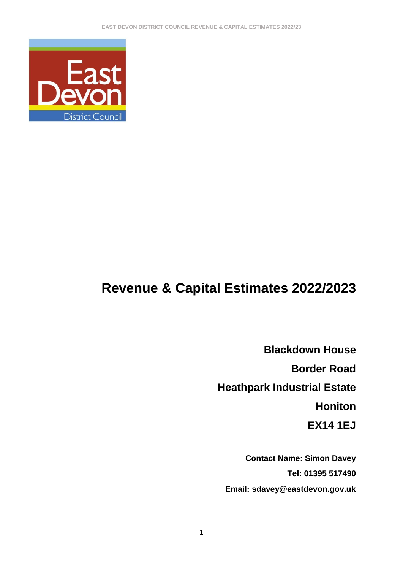

# **Revenue & Capital Estimates 2022/2023**

**Blackdown House Border Road Heathpark Industrial Estate Honiton EX14 1EJ**

**Contact Name: Simon Davey Tel: 01395 517490 Email: sdavey@eastdevon.gov.uk**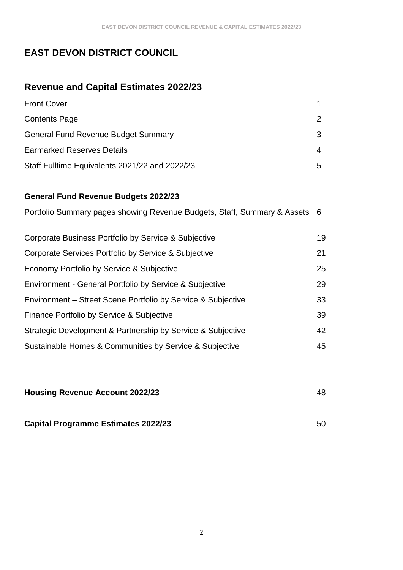# **EAST DEVON DISTRICT COUNCIL**

# **Revenue and Capital Estimates 2022/23**

| <b>Front Cover</b>                             |               |
|------------------------------------------------|---------------|
| <b>Contents Page</b>                           | $\mathcal{P}$ |
| <b>General Fund Revenue Budget Summary</b>     | 3             |
| <b>Earmarked Reserves Details</b>              | 4             |
| Staff Fulltime Equivalents 2021/22 and 2022/23 | 5             |

#### **General Fund Revenue Budgets 2022/23**

| Portfolio Summary pages showing Revenue Budgets, Staff, Summary & Assets 6 |    |
|----------------------------------------------------------------------------|----|
| Corporate Business Portfolio by Service & Subjective                       | 19 |
| Corporate Services Portfolio by Service & Subjective                       | 21 |
| Economy Portfolio by Service & Subjective                                  | 25 |
| Environment - General Portfolio by Service & Subjective                    | 29 |
| Environment – Street Scene Portfolio by Service & Subjective               | 33 |
| Finance Portfolio by Service & Subjective                                  | 39 |
| Strategic Development & Partnership by Service & Subjective                | 42 |
| Sustainable Homes & Communities by Service & Subjective                    | 45 |

| <b>Housing Revenue Account 2022/23</b>     | 48 |
|--------------------------------------------|----|
|                                            |    |
| <b>Capital Programme Estimates 2022/23</b> | 50 |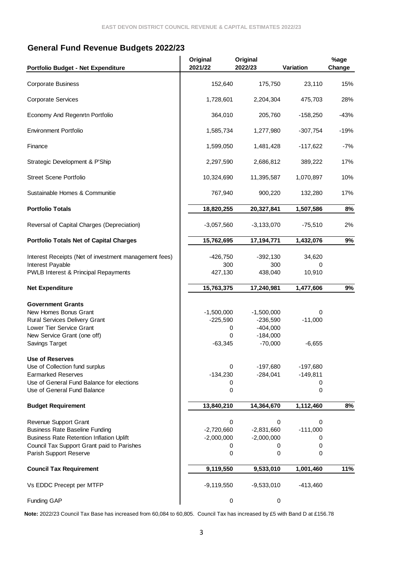#### **General Fund Revenue Budgets 2022/23**

| Portfolio Budget - Net Expenditure                                                                                | Original<br>2021/22          | Original<br>2022/23          | Variation                | %age<br>Change |
|-------------------------------------------------------------------------------------------------------------------|------------------------------|------------------------------|--------------------------|----------------|
| <b>Corporate Business</b>                                                                                         | 152,640                      | 175,750                      | 23,110                   | 15%            |
| <b>Corporate Services</b>                                                                                         | 1,728,601                    | 2,204,304                    | 475,703                  | 28%            |
| Economy And Regenrtn Portfolio                                                                                    | 364,010                      | 205,760                      | $-158,250$               | $-43%$         |
| <b>Environment Portfolio</b>                                                                                      | 1,585,734                    | 1,277,980                    | $-307,754$               | $-19%$         |
| Finance                                                                                                           | 1,599,050                    | 1,481,428                    | $-117,622$               | $-7%$          |
| Strategic Development & P'Ship                                                                                    | 2,297,590                    | 2,686,812                    | 389,222                  | 17%            |
| <b>Street Scene Portfolio</b>                                                                                     | 10,324,690                   | 11,395,587                   | 1,070,897                | 10%            |
| Sustainable Homes & Communitie                                                                                    | 767,940                      | 900,220                      | 132,280                  | 17%            |
| <b>Portfolio Totals</b>                                                                                           | 18,820,255                   | 20,327,841                   | 1,507,586                | $8\%$          |
| Reversal of Capital Charges (Depreciation)                                                                        | $-3,057,560$                 | $-3,133,070$                 | $-75,510$                | 2%             |
| <b>Portfolio Totals Net of Capital Charges</b>                                                                    | 15,762,695                   | 17,194,771                   | 1,432,076                | 9%             |
| Interest Receipts (Net of investment management fees)<br>Interest Payable<br>PWLB Interest & Principal Repayments | $-426,750$<br>300<br>427,130 | $-392,130$<br>300<br>438,040 | 34,620<br>0<br>10,910    |                |
| <b>Net Expenditure</b>                                                                                            | 15,763,375                   | 17,240,981                   | 1,477,606                | 9%             |
| <b>Government Grants</b>                                                                                          |                              |                              |                          |                |
| New Homes Bonus Grant                                                                                             | $-1,500,000$                 | $-1,500,000$                 | 0                        |                |
| Rural Services Delivery Grant                                                                                     | $-225,590$                   | $-236,590$                   | $-11,000$                |                |
| Lower Tier Service Grant                                                                                          | 0                            | $-404,000$                   |                          |                |
| New Service Grant (one off)                                                                                       | 0                            | $-184,000$                   |                          |                |
| Savings Target                                                                                                    | $-63,345$                    | $-70,000$                    | $-6,655$                 |                |
| <b>Use of Reserves</b>                                                                                            |                              |                              |                          |                |
| Use of Collection fund surplus<br><b>Earmarked Reserves</b>                                                       | 0<br>$-134,230$              | $-197,680$<br>$-284,041$     | $-197,680$<br>$-149,811$ |                |
| Use of General Fund Balance for elections                                                                         | 0                            |                              | 0                        |                |
| Use of General Fund Balance                                                                                       | 0                            |                              | 0                        |                |
| <b>Budget Requirement</b>                                                                                         | 13,840,210                   | 14,364,670                   | 1,112,460                | 8%             |
| Revenue Support Grant                                                                                             | 0                            | 0                            | 0                        |                |
| <b>Business Rate Baseline Funding</b>                                                                             | $-2,720,660$                 | $-2,831,660$                 | $-111,000$               |                |
| <b>Business Rate Retention Inflation Uplift</b>                                                                   | $-2,000,000$                 | $-2,000,000$                 | 0                        |                |
| Council Tax Support Grant paid to Parishes                                                                        | 0                            | 0                            | 0                        |                |
| Parish Support Reserve                                                                                            | 0                            | 0                            | 0                        |                |
| <b>Council Tax Requirement</b>                                                                                    | 9,119,550                    | 9,533,010                    | 1,001,460                | 11%            |
| Vs EDDC Precept per MTFP                                                                                          | $-9,119,550$                 | $-9,533,010$                 | $-413,460$               |                |
| <b>Funding GAP</b>                                                                                                | 0                            | $\pmb{0}$                    |                          |                |

**Note:** 2022/23 Council Tax Base has increased from 60,084 to 60,805. Council Tax has increased by £5 with Band D at £156.78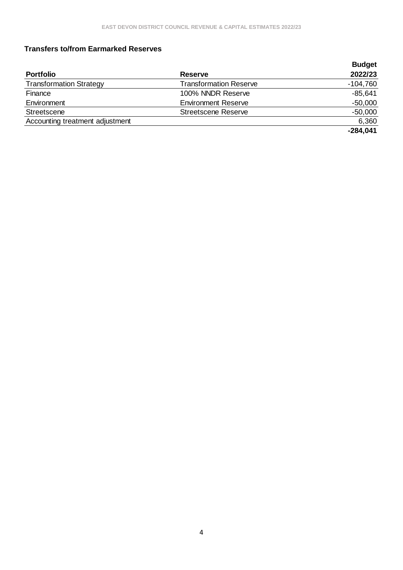#### **Transfers to/from Earmarked Reserves**

|                                 |                               | <b>Budget</b> |
|---------------------------------|-------------------------------|---------------|
| <b>Portfolio</b>                | <b>Reserve</b>                | 2022/23       |
| <b>Transformation Strategy</b>  | <b>Transformation Reserve</b> | $-104,760$    |
| Finance                         | 100% NNDR Reserve             | $-85,641$     |
| Environment                     | <b>Environment Reserve</b>    | $-50,000$     |
| Streetscene                     | <b>Streetscene Reserve</b>    | $-50,000$     |
| Accounting treatment adjustment |                               | 6,360         |
|                                 |                               | $-284,041$    |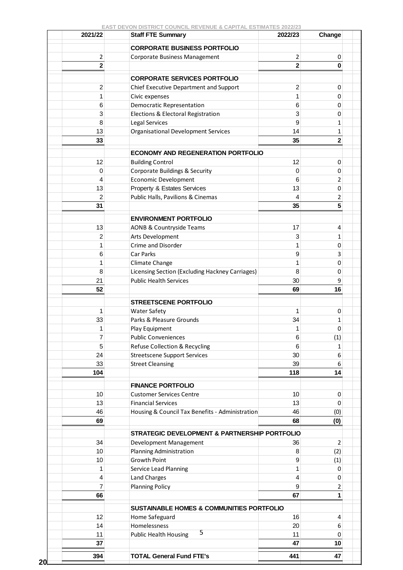| 2021/22        | <b>Staff FTE Summary</b>                             | 2022/23                 | Change         |
|----------------|------------------------------------------------------|-------------------------|----------------|
|                | <b>CORPORATE BUSINESS PORTFOLIO</b>                  |                         |                |
| 2              | Corporate Business Management                        | $\overline{2}$          | 0              |
| $\mathbf 2$    |                                                      | $\overline{\mathbf{2}}$ | 0              |
|                | <b>CORPORATE SERVICES PORTFOLIO</b>                  |                         |                |
| 2              | Chief Executive Department and Support               | $\overline{c}$          | 0              |
| 1              | Civic expenses                                       | 1                       | 0              |
| 6              | <b>Democratic Representation</b>                     | 6                       | 0              |
| 3              | Elections & Electoral Registration                   | 3                       | 0              |
| 8              | Legal Services                                       | 9                       | 1              |
| 13             | <b>Organisational Development Services</b>           | 14                      | 1              |
| 33             |                                                      | 35                      | $\mathbf 2$    |
|                |                                                      |                         |                |
|                | <b>ECONOMY AND REGENERATION PORTFOLIO</b>            |                         |                |
| 12             | <b>Building Control</b>                              | 12                      | 0              |
| $\mathbf 0$    | Corporate Buildings & Security                       | 0                       | 0              |
| 4              | <b>Economic Development</b>                          | 6                       | 2              |
| 13             | Property & Estates Services                          | 13                      | 0              |
| $\overline{2}$ | Public Halls, Pavilions & Cinemas                    | 4                       | 2              |
| 31             |                                                      | 35                      | 5              |
|                | <b>ENVIRONMENT PORTFOLIO</b>                         |                         |                |
| 13             | <b>AONB &amp; Countryside Teams</b>                  | 17                      | 4              |
| 2              | Arts Development                                     | 3                       | 1              |
| 1              | Crime and Disorder                                   | 1                       | 0              |
| 6              | Car Parks                                            | 9                       | 3              |
| 1              | Climate Change                                       | 1                       | 0              |
| 8              | Licensing Section (Excluding Hackney Carriages)      | 8                       | 0              |
| 21             | <b>Public Health Services</b>                        | 30                      | 9              |
| 52             |                                                      | 69                      | 16             |
|                |                                                      |                         |                |
|                | <b>STREETSCENE PORTFOLIO</b>                         |                         |                |
| 1              | <b>Water Safety</b>                                  | 1                       | 0              |
| 33             | Parks & Pleasure Grounds                             | 34                      | 1              |
| 1              | Play Equipment<br><b>Public Conveniences</b>         | 1                       | 0              |
| 7<br>5         |                                                      | 6<br>6                  | (1)            |
|                | <b>Refuse Collection &amp; Recycling</b>             |                         | 1              |
| 24             | <b>Streetscene Support Services</b>                  | 30                      | 6              |
| 33<br>104      | <b>Street Cleansing</b>                              | 39<br>118               | 6<br>14        |
|                |                                                      |                         |                |
|                | <b>FINANCE PORTFOLIO</b>                             |                         |                |
| 10             | <b>Customer Services Centre</b>                      | 10                      | 0              |
| 13             | <b>Financial Services</b>                            | 13                      | 0              |
| 46             | Housing & Council Tax Benefits - Administration      | 46                      | (0)            |
| 69             |                                                      | 68                      | (0)            |
|                | STRATEGIC DEVELOPMENT & PARTNERSHIP PORTFOLIO        |                         |                |
| 34             | Development Management                               | 36                      | $\overline{2}$ |
| 10             | Planning Administration                              | 8                       | (2)            |
| 10             | Growth Point                                         | 9                       | (1)            |
| 1              | Service Lead Planning                                | 1                       | 0              |
| 4              | Land Charges                                         | 4                       | 0              |
| 7              | <b>Planning Policy</b>                               | 9                       | 2              |
| 66             |                                                      | 67                      | 1              |
|                |                                                      |                         |                |
|                | <b>SUSTAINABLE HOMES &amp; COMMUNITIES PORTFOLIO</b> |                         |                |
| 12             | Home Safeguard                                       | 16                      | 4              |
| 14             | Homelessness<br>5                                    | 20<br>11                | 6              |
| 11<br>37       | <b>Public Health Housing</b>                         | 47                      | 0<br>10        |
|                |                                                      |                         |                |
| 394            | <b>TOTAL General Fund FTE's</b>                      | 441                     | 47             |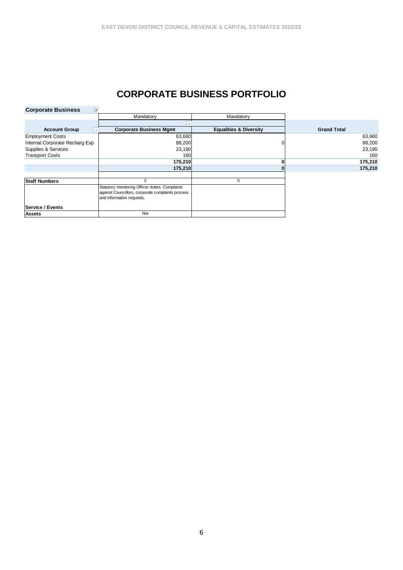### **CORPORATE BUSINESS PORTFOLIO**

| <b>Corporate Business</b><br>$\pi$ |                                                                                                                                   |                                   |                    |
|------------------------------------|-----------------------------------------------------------------------------------------------------------------------------------|-----------------------------------|--------------------|
|                                    | Mandatory                                                                                                                         | Mandatory                         |                    |
|                                    |                                                                                                                                   |                                   |                    |
| <b>Account Group</b>               | <b>Corporate Business Mgmt</b>                                                                                                    | <b>Equalities &amp; Diversity</b> | <b>Grand Total</b> |
| <b>Employment Costs</b>            | 63,660                                                                                                                            |                                   | 63,660             |
| Internal Corporate Recharg Exp     | 88,200                                                                                                                            |                                   | 88,200             |
| Supplies & Services                | 23,190                                                                                                                            |                                   | 23,190             |
| <b>Transport Costs</b>             | 160                                                                                                                               |                                   | 160                |
|                                    | 175,210                                                                                                                           |                                   | 175,210            |
|                                    | 175,210                                                                                                                           |                                   | 175,210            |
|                                    |                                                                                                                                   |                                   |                    |
| <b>Staff Numbers</b>               | 2                                                                                                                                 | 0                                 |                    |
|                                    | Statutory monitoring Officer duties. Complaints<br>against Councillors, corporate complaints process<br>and information requests. |                                   |                    |
| <b>Service / Events</b>            |                                                                                                                                   |                                   |                    |
| <b>Assets</b>                      | <b>Na</b>                                                                                                                         |                                   |                    |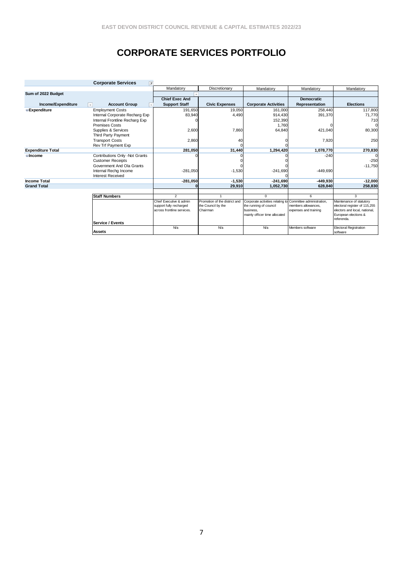# **CORPORATE SERVICES PORTFOLIO**

|                          | <b>Corporate Services</b><br>l T     |                            |                               |                                                            |                       |                                    |
|--------------------------|--------------------------------------|----------------------------|-------------------------------|------------------------------------------------------------|-----------------------|------------------------------------|
|                          |                                      | Mandatory                  | Discretionary                 | Mandatory                                                  | Mandatory             | Mandatory                          |
| Sum of 2022 Budget       |                                      |                            |                               |                                                            |                       |                                    |
|                          |                                      | <b>Chief Exec And</b>      |                               |                                                            | <b>Democratic</b>     |                                    |
| Income/Expenditure       | <b>Account Group</b><br>$\mathbf{v}$ | <b>Support Staff</b>       | <b>Civic Expenses</b>         | <b>Corporate Activities</b>                                | Representation        | <b>Elections</b>                   |
| <b>Expenditure</b>       | <b>Employment Costs</b>              | 191,650                    | 19,050                        | 161,000                                                    | 258,440               | 117,800                            |
|                          | Internal Corporate Recharg Exp       | 83,940                     | 4,490                         | 914,430                                                    | 391,370               | 71,770                             |
|                          | Internal Frontline Recharg Exp       |                            |                               | 152,390                                                    |                       | 710                                |
|                          | <b>Premises Costs</b>                |                            |                               | 1,760                                                      |                       | $\overline{0}$                     |
|                          | Supplies & Services                  | 2,600                      | 7,860                         | 64,840                                                     | 421,040               | 80,300                             |
|                          | <b>Third Party Payment</b>           |                            |                               |                                                            |                       |                                    |
|                          | <b>Transport Costs</b>               | 2,860                      | 40                            |                                                            | 7,920                 | 250                                |
|                          | Rev Trf Payment Exp                  |                            |                               |                                                            |                       |                                    |
| <b>Expenditure Total</b> |                                      | 281,050                    | 31,440                        | 1,294,420                                                  | 1,078,770             | 270,830                            |
| $\blacksquare$ Income    | Contributions Only -Not Grants       |                            |                               |                                                            | $-240$                | $\Omega$                           |
|                          | <b>Customer Receipts</b>             |                            |                               |                                                            |                       | $-250$                             |
|                          | Government And Ola Grants            |                            |                               |                                                            |                       | $-11,750$                          |
|                          | Internal Rechg Income                | $-281,050$                 | $-1,530$                      | $-241,690$                                                 | $-449.690$            |                                    |
|                          | <b>Interest Received</b>             |                            |                               |                                                            |                       |                                    |
| <b>Income Total</b>      |                                      | $-281,050$                 | $-1,530$                      | $-241,690$                                                 | $-449.930$            | $-12,000$                          |
| <b>Grand Total</b>       |                                      |                            | 29.910                        | 1.052.730                                                  | 628.840               | 258.830                            |
|                          |                                      |                            |                               |                                                            |                       |                                    |
|                          | <b>Staff Numbers</b>                 | $\overline{2}$             |                               | $\Omega$                                                   | 6                     | 3                                  |
|                          |                                      | Chief Executive & admin    | Promotion of the district and | Corporate activities relating to Committee administration, |                       | Maintenance of statutory           |
|                          |                                      | support fully recharged    | the Council by the            | the running of council                                     | members allowances.   | electoral register of 115,255      |
|                          |                                      | across frontline services. | Chairman                      | business.                                                  | expenses and training | electors and local, national,      |
|                          |                                      |                            |                               | mainly officer time allocated                              |                       | European elections &<br>referenda. |
|                          | <b>Service / Events</b>              |                            |                               |                                                            |                       |                                    |
|                          |                                      | N/a                        | N/a                           | N/a                                                        | Members software      | <b>Electoral Registration</b>      |
|                          | <b>Assets</b>                        |                            |                               |                                                            |                       | software                           |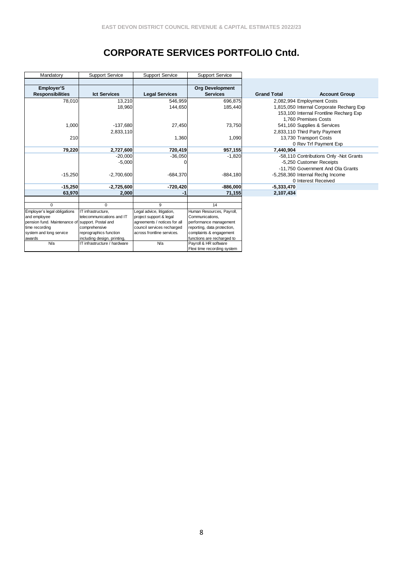# **CORPORATE SERVICES PORTFOLIO Cntd.**

| Mandatory                                        | <b>Support Service</b>                                | <b>Support Service</b>                                   | <b>Support Service</b>                                |                    |                                          |
|--------------------------------------------------|-------------------------------------------------------|----------------------------------------------------------|-------------------------------------------------------|--------------------|------------------------------------------|
|                                                  |                                                       |                                                          |                                                       |                    |                                          |
| <b>Employer'S</b>                                |                                                       |                                                          | <b>Org Development</b>                                |                    |                                          |
| <b>Responsibilities</b>                          | <b>Ict Services</b>                                   | <b>Legal Services</b>                                    | <b>Services</b>                                       | <b>Grand Total</b> | <b>Account Group</b>                     |
| 78,010                                           | 13,210                                                | 546,959                                                  | 696,875                                               |                    | 2,082,994 Employment Costs               |
|                                                  | 18,960                                                | 144,650                                                  | 185,440                                               |                    | 1,815,050 Internal Corporate Recharg Exp |
|                                                  |                                                       |                                                          |                                                       |                    | 153,100 Internal Frontline Recharg Exp   |
|                                                  |                                                       |                                                          |                                                       |                    | 1.760 Premises Costs                     |
| 1,000                                            | $-137,680$                                            | 27,450                                                   | 73,750                                                |                    | 541,160 Supplies & Services              |
|                                                  | 2,833,110                                             |                                                          |                                                       |                    | 2,833,110 Third Party Payment            |
| 210                                              |                                                       | 1,360                                                    | 1,090                                                 |                    | 13,730 Transport Costs                   |
|                                                  |                                                       |                                                          |                                                       |                    | 0 Rev Trf Payment Exp                    |
| 79,220                                           | 2,727,600                                             | 720,419                                                  | 957,155                                               | 7,440,904          |                                          |
|                                                  | $-20,000$                                             | $-36,050$                                                | $-1,820$                                              |                    | -58,110 Contributions Only -Not Grants   |
|                                                  | $-5,000$                                              |                                                          |                                                       |                    | -5,250 Customer Receipts                 |
|                                                  |                                                       |                                                          |                                                       |                    | -11,750 Government And Ola Grants        |
| $-15,250$                                        | $-2,700,600$                                          | $-684,370$                                               | $-884,180$                                            |                    | -5,258,360 Internal Rechg Income         |
|                                                  |                                                       |                                                          |                                                       |                    | 0 Interest Received                      |
| $-15,250$                                        | $-2,725,600$                                          | $-720,420$                                               | $-886,000$                                            | $-5,333,470$       |                                          |
| 63,970                                           | 2,000                                                 | -1                                                       | 71,155                                                | 2,107,434          |                                          |
|                                                  |                                                       |                                                          |                                                       |                    |                                          |
| $\Omega$                                         | $\Omega$                                              | 9                                                        | 14                                                    |                    |                                          |
| Employer's legal obligations                     | IT infrastructure,                                    | Legal advice, litigation,                                | Human Resources, Payroll,                             |                    |                                          |
| and employee                                     | telecommunications and IT                             | project support & legal                                  | Communications,                                       |                    |                                          |
| pension fund. Maintenance of support. Postal and |                                                       | agreements / notices for all                             | performance management                                |                    |                                          |
| time recording                                   | comprehensive                                         | council services recharged<br>across frontline services. | reporting, data protection,                           |                    |                                          |
| system and long service<br>awards                | reprographics function<br>including design, printing, |                                                          | complaints & engagement<br>functions are recharged to |                    |                                          |
| <b>N/a</b>                                       | IT infrastructure / hardware                          | <b>N/a</b>                                               | Payroll & HR software                                 |                    |                                          |
|                                                  |                                                       |                                                          | Flexi time recording system                           |                    |                                          |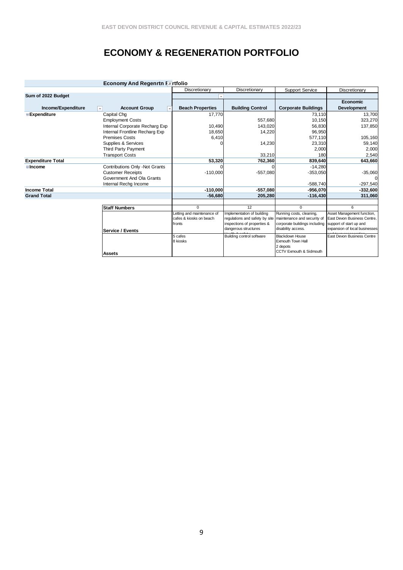# **ECONOMY & REGENERATION PORTFOLIO**

| <b>Economy And Regenrtn Fritfolio</b> |                                |                            |                                                            |                                                     |                                                          |  |  |  |
|---------------------------------------|--------------------------------|----------------------------|------------------------------------------------------------|-----------------------------------------------------|----------------------------------------------------------|--|--|--|
|                                       |                                | Discretionary              | Discretionary                                              | <b>Support Service</b>                              | Discretionary                                            |  |  |  |
| Sum of 2022 Budget                    |                                |                            |                                                            |                                                     |                                                          |  |  |  |
|                                       |                                |                            |                                                            |                                                     | <b>Economic</b>                                          |  |  |  |
| Income/Expenditure                    | <b>Account Group</b>           | <b>Beach Properties</b>    | <b>Building Control</b>                                    | <b>Corporate Buildings</b>                          | <b>Development</b>                                       |  |  |  |
| <b>Expenditure</b>                    | Capital Chg                    | 17,770                     |                                                            | 73,110                                              | 13,700                                                   |  |  |  |
|                                       | <b>Employment Costs</b>        |                            | 557,680                                                    | 10,150                                              | 323,270                                                  |  |  |  |
|                                       | Internal Corporate Recharg Exp | 10,490                     | 143,020                                                    | 56,830                                              | 137,850                                                  |  |  |  |
|                                       | Internal Frontline Recharg Exp | 18,650                     | 14,220                                                     | 96.950                                              |                                                          |  |  |  |
|                                       | <b>Premises Costs</b>          | 6,410                      |                                                            | 577,110                                             | 105,160                                                  |  |  |  |
|                                       | Supplies & Services            |                            | 14,230                                                     | 23,310                                              | 59,140                                                   |  |  |  |
|                                       | Third Party Payment            |                            |                                                            | 2,000                                               | 2,000                                                    |  |  |  |
|                                       | <b>Transport Costs</b>         |                            | 33,210                                                     | 180                                                 | 2,540                                                    |  |  |  |
| <b>Expenditure Total</b>              |                                | 53,320                     | 762,360                                                    | 839,640                                             | 643,660                                                  |  |  |  |
| <b>⊟</b> Income                       | Contributions Only -Not Grants |                            | O                                                          | $-14,280$                                           |                                                          |  |  |  |
|                                       | <b>Customer Receipts</b>       | $-110,000$                 | $-557,080$                                                 | $-353,050$                                          | $-35,060$                                                |  |  |  |
|                                       | Government And Ola Grants      |                            |                                                            |                                                     |                                                          |  |  |  |
|                                       | Internal Rechg Income          |                            |                                                            | $-588,740$                                          | $-297,540$                                               |  |  |  |
| <b>Income Total</b>                   |                                | $-110,000$                 | $-557,080$                                                 | $-956,070$                                          | $-332,600$                                               |  |  |  |
| <b>Grand Total</b>                    |                                | $-56,680$                  | 205,280                                                    | $-116,430$                                          | 311,060                                                  |  |  |  |
|                                       |                                |                            |                                                            |                                                     |                                                          |  |  |  |
|                                       | <b>Staff Numbers</b>           | $\Omega$                   | 12                                                         | $\Omega$                                            | 6                                                        |  |  |  |
|                                       |                                | Letting and maintenance of | Implementation of building                                 | Running costs, cleaning,                            | Asset Management function,                               |  |  |  |
|                                       |                                | cafes & kiosks on beach    | regulations and safety by site maintenance and security of |                                                     | East Devon Business Centre,                              |  |  |  |
|                                       |                                | fronts                     | inspections of properties &<br>dangerous structures        | corporate buildings including<br>disability access. | support of start up and<br>expansion of local businesses |  |  |  |
|                                       | Service / Events               |                            |                                                            |                                                     |                                                          |  |  |  |
|                                       |                                | 5 cafes                    | Building control software                                  | <b>Blackdown House</b><br>Exmouth Town Hall         | East Devon Business Centre                               |  |  |  |
|                                       |                                | 8 kiosks                   |                                                            | 2 depots                                            |                                                          |  |  |  |
|                                       |                                |                            |                                                            | CCTV Exmouth & Sidmouth                             |                                                          |  |  |  |
|                                       | <b>Assets</b>                  |                            |                                                            |                                                     |                                                          |  |  |  |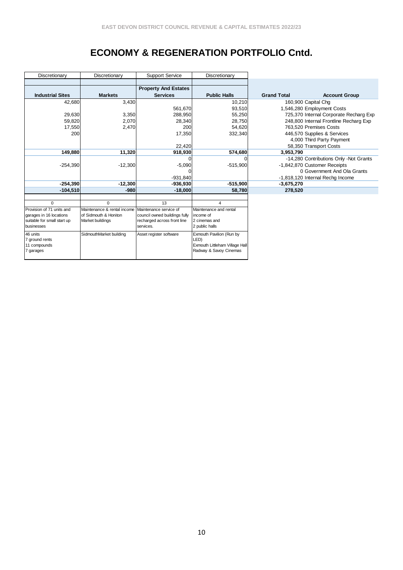## **ECONOMY & REGENERATION PORTFOLIO Cntd.**

| Discretionary               | Discretionary               | <b>Support Service</b>        | Discretionary                  |                     |                                        |
|-----------------------------|-----------------------------|-------------------------------|--------------------------------|---------------------|----------------------------------------|
|                             |                             |                               |                                |                     |                                        |
|                             |                             | <b>Property And Estates</b>   |                                |                     |                                        |
| <b>Industrial Sites</b>     | <b>Markets</b>              | <b>Services</b>               | <b>Public Halls</b>            | <b>Grand Total</b>  | <b>Account Group</b>                   |
| 42,680                      | 3,430                       |                               | 10,210                         | 160,900 Capital Chg |                                        |
|                             |                             | 561,670                       | 93,510                         |                     | 1,546,280 Employment Costs             |
| 29,630                      | 3,350                       | 288,950                       | 55,250                         |                     | 725,370 Internal Corporate Recharg Exp |
| 59,820                      | 2.070                       | 28.340                        | 28,750                         |                     | 248,800 Internal Frontline Recharg Exp |
| 17,550                      | 2,470                       | 200                           | 54,620                         |                     | 763.520 Premises Costs                 |
| 200                         |                             | 17,350                        | 332,340                        |                     | 446,570 Supplies & Services            |
|                             |                             |                               |                                |                     | 4,000 Third Party Payment              |
|                             |                             | 22,420                        |                                |                     | 58,350 Transport Costs                 |
| 149,880                     | 11,320                      | 918,930                       | 574,680                        | 3,953,790           |                                        |
|                             |                             |                               | $\Omega$                       |                     | -14,280 Contributions Only -Not Grants |
| $-254,390$                  | $-12,300$                   | $-5,090$                      | $-515,900$                     |                     | -1,842,870 Customer Receipts           |
|                             |                             |                               |                                |                     | 0 Government And Ola Grants            |
|                             |                             | $-931,840$                    |                                |                     | -1,818,120 Internal Rechg Income       |
| $-254,390$                  | $-12,300$                   | $-936,930$                    | $-515,900$                     | $-3,675,270$        |                                        |
| $-104.510$                  | $-980$                      | $-18,000$                     | 58,780                         | 278,520             |                                        |
|                             |                             |                               |                                |                     |                                        |
| $\Omega$                    | $\Omega$                    | 13                            | 4                              |                     |                                        |
| Provision of 71 units and   | Maintenance & rental income | Maintenance service of        | Maintenance and rental         |                     |                                        |
| garages in 16 locations     | of Sidmouth & Honiton       | council owned buildings fully | income of                      |                     |                                        |
| suitable for small start up | Market buildings            | recharged across front line   | 2 cinemas and                  |                     |                                        |
| businesses                  |                             | services.                     | 2 public halls                 |                     |                                        |
| 46 units                    | SidmouthMarket building     | Asset register software       | Exmouth Pavilion (Run by       |                     |                                        |
| 7 ground rents              |                             |                               | LED)                           |                     |                                        |
| 11 compounds                |                             |                               | Exmouth Littleham Village Hall |                     |                                        |
| 7 garages                   |                             |                               | Radway & Savoy Cinemas         |                     |                                        |
|                             |                             |                               |                                |                     |                                        |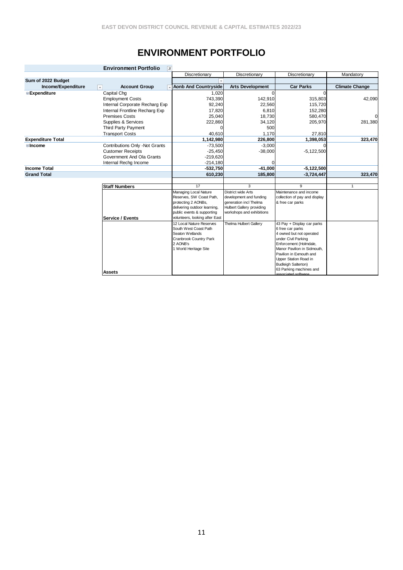## **ENVIRONMENT PORTFOLIO**

|                          | <b>Environment Portfolio</b><br>$\overline{X}$ |                                                   |                                  |                                                 |                       |
|--------------------------|------------------------------------------------|---------------------------------------------------|----------------------------------|-------------------------------------------------|-----------------------|
|                          |                                                | Discretionary                                     | Discretionary                    | Discretionary                                   | Mandatory             |
| Sum of 2022 Budget       |                                                |                                                   |                                  |                                                 |                       |
| Income/Expenditure       | <b>Account Group</b><br>$\mathbf{v}$           | <b>Aonb And Countryside</b>                       | <b>Arts Development</b>          | <b>Car Parks</b>                                | <b>Climate Change</b> |
| <b>Expenditure</b>       | Capital Chq                                    | 1,020                                             |                                  |                                                 |                       |
|                          | <b>Employment Costs</b>                        | 743,390                                           | 142,910                          | 315,803                                         | 42,090                |
|                          | Internal Corporate Recharg Exp                 | 92,240                                            | 22,560                           | 115,720                                         |                       |
|                          | Internal Frontline Recharg Exp                 | 17,820                                            | 6,810                            | 152,280                                         |                       |
|                          | <b>Premises Costs</b>                          | 25,040                                            | 18,730                           | 580,470                                         | $\Omega$              |
|                          | Supplies & Services                            | 222,860                                           | 34,120                           | 205,970                                         | 281,380               |
|                          | Third Party Payment                            |                                                   | 500                              |                                                 |                       |
|                          | <b>Transport Costs</b>                         | 40.610                                            | 1,170                            | 27,810                                          |                       |
| <b>Expenditure Total</b> |                                                | 1,142,980                                         | 226,800                          | 1,398,053                                       | 323,470               |
| <b>Elncome</b>           | Contributions Only -Not Grants                 | $-73,500$                                         | $-3,000$                         |                                                 |                       |
|                          | <b>Customer Receipts</b>                       | $-25,450$                                         | $-38,000$                        | $-5,122,500$                                    |                       |
|                          | Government And Ola Grants                      | $-219,620$                                        |                                  |                                                 |                       |
|                          | Internal Rechg Income                          | $-214,180$                                        | 0                                |                                                 |                       |
| <b>Income Total</b>      |                                                | $-532,750$                                        | $-41,000$                        | $-5,122,500$                                    |                       |
| <b>Grand Total</b>       |                                                | 610,230                                           | 185,800                          | $-3,724,447$                                    | 323,470               |
|                          |                                                | 17                                                | 3                                | 9                                               | $\mathbf{1}$          |
|                          | <b>Staff Numbers</b>                           |                                                   | District wide Arts               | Maintenance and income                          |                       |
|                          |                                                | Managing Local Nature<br>Reserves. SW Coast Path. | development and funding          | collection of pay and display                   |                       |
|                          |                                                | protecting 2 AONBs,                               | generation incl Thelma           | & free car parks                                |                       |
|                          |                                                | delivering outdoor learning,                      | <b>Hulbert Gallery providing</b> |                                                 |                       |
|                          |                                                | public events & supporting                        | workshops and exhibitions        |                                                 |                       |
|                          | Service / Events                               | volunteers, looking after East                    |                                  |                                                 |                       |
|                          |                                                | 12 Local Nature Reserves                          | Thelma Hulbert Gallery           | 43 Pay + Display car parks                      |                       |
|                          |                                                | South West Coast Path                             |                                  | 6 free car parks                                |                       |
|                          |                                                | Seaton Wetlands                                   |                                  | 4 owned but not operated<br>under Civil Parking |                       |
|                          |                                                | Cranbrook Country Park<br>2 AONB's                |                                  | Enforcement (Holmdale,                          |                       |
|                          |                                                | 1 World Heritage Site                             |                                  | Manor Pavilion in Sidmouth,                     |                       |
|                          |                                                |                                                   |                                  | Pavilion in Exmouth and                         |                       |
|                          |                                                |                                                   |                                  | Upper Station Road in                           |                       |
|                          |                                                |                                                   |                                  | <b>Budleigh Salterton)</b>                      |                       |
|                          | <b>Assets</b>                                  |                                                   |                                  | 63 Parking machines and                         |                       |
|                          |                                                |                                                   |                                  | ecociated coftware                              |                       |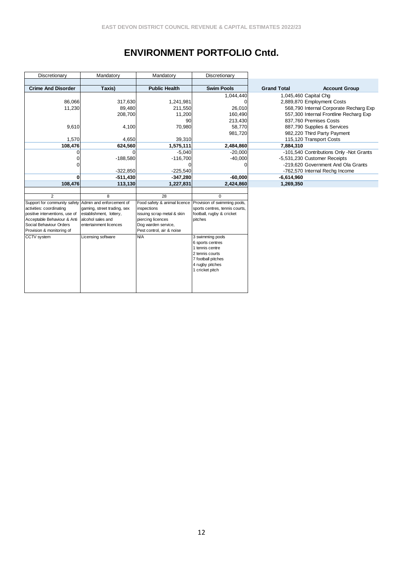## **ENVIRONMENT PORTFOLIO Cntd.**

| Discretionary                                                                                                                                                                                                                               | Mandatory                                                                                                                        | Mandatory                                                                                                                                                       | Discretionary                                                                                                                                                                                                                                                |                       |                                                                                                                                                                                                                                   |
|---------------------------------------------------------------------------------------------------------------------------------------------------------------------------------------------------------------------------------------------|----------------------------------------------------------------------------------------------------------------------------------|-----------------------------------------------------------------------------------------------------------------------------------------------------------------|--------------------------------------------------------------------------------------------------------------------------------------------------------------------------------------------------------------------------------------------------------------|-----------------------|-----------------------------------------------------------------------------------------------------------------------------------------------------------------------------------------------------------------------------------|
|                                                                                                                                                                                                                                             |                                                                                                                                  |                                                                                                                                                                 |                                                                                                                                                                                                                                                              |                       |                                                                                                                                                                                                                                   |
| <b>Crime And Disorder</b>                                                                                                                                                                                                                   | Taxis)                                                                                                                           | <b>Public Health</b>                                                                                                                                            | <b>Swim Pools</b>                                                                                                                                                                                                                                            | <b>Grand Total</b>    | <b>Account Group</b>                                                                                                                                                                                                              |
| 86,066<br>11,230<br>9,610<br>1,570                                                                                                                                                                                                          | 317,630<br>89,480<br>208,700<br>4,100<br>4,650                                                                                   | 1,241,981<br>211,550<br>11,200<br>90<br>70,980<br>39,310                                                                                                        | 1,044,440<br>26,010<br>160,490<br>213,430<br>58,770<br>981,720                                                                                                                                                                                               | 1,045,460 Capital Chq | 2,889,870 Employment Costs<br>568,790 Internal Corporate Recharg Exp<br>557,300 Internal Frontline Recharg Exp<br>837,760 Premises Costs<br>887,790 Supplies & Services<br>982,220 Third Party Payment<br>115,120 Transport Costs |
| 108,476                                                                                                                                                                                                                                     | 624,560                                                                                                                          | 1,575,111                                                                                                                                                       | 2,484,860                                                                                                                                                                                                                                                    | 7,884,310             |                                                                                                                                                                                                                                   |
| 0<br>$\Omega$                                                                                                                                                                                                                               | $-188,580$<br>$-322,850$                                                                                                         | $-5,040$<br>$-116,700$<br>$-225,540$                                                                                                                            | $-20,000$<br>$-40,000$                                                                                                                                                                                                                                       |                       | -101,540 Contributions Only -Not Grants<br>-5,531,230 Customer Receipts<br>-219,620 Government And Ola Grants<br>-762,570 Internal Rechg Income                                                                                   |
| 0                                                                                                                                                                                                                                           | $-511,430$                                                                                                                       | $-347,280$                                                                                                                                                      | $-60,000$                                                                                                                                                                                                                                                    | $-6,614,960$          |                                                                                                                                                                                                                                   |
| 108,476                                                                                                                                                                                                                                     | 113,130                                                                                                                          | 1,227,831                                                                                                                                                       | 2,424,860                                                                                                                                                                                                                                                    | 1,269,350             |                                                                                                                                                                                                                                   |
| $\mathfrak{p}$<br>Support for community safety Admin and enforcement of<br>activities: coordinating<br>positive interventions, use of<br>Acceptable Behaviour & Anti<br>Social Behaviour Orders<br>Provision & monitoring of<br>CCTV system | 8<br>gaming, street trading, sex<br>establishment, lottery,<br>alcohol sales and<br>entertainment licences<br>Licensing software | 28<br>Food safety & animal licence<br>inspections<br>issuing scrap metal & skin<br>piercing licences<br>Dog warden service,<br>Pest control, air & noise<br>N/A | $\Omega$<br>Provision of swimming pools,<br>sports centres, tennis courts,<br>football, rugby & cricket<br>pitches<br>3 swimming pools<br>6 sports centres<br>1 tennis centre<br>2 tennis courts<br>7 football pitches<br>4 rugby pitches<br>1 cricket pitch |                       |                                                                                                                                                                                                                                   |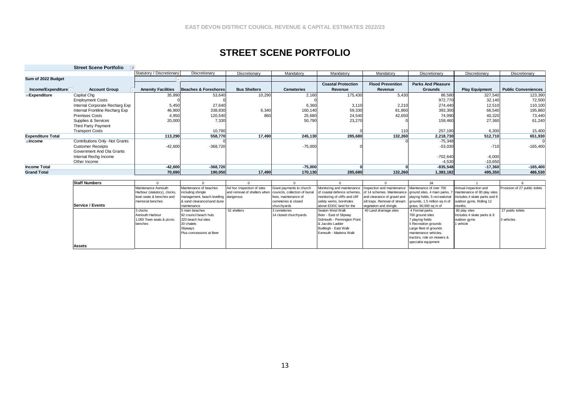### **STREET SCENE PORTFOLIO**

|                                             | <b>Street Scene Portfolio</b>  |                           |                                 |                     |                   |                           |                         |                           |                       |                            |
|---------------------------------------------|--------------------------------|---------------------------|---------------------------------|---------------------|-------------------|---------------------------|-------------------------|---------------------------|-----------------------|----------------------------|
|                                             |                                | Statutory / Discretionary | Discretionary                   | Discretionary       | Mandatory         | Mandatory                 | Mandatory               | Discretionary             | Discretionary         | Discretionary              |
| Sum of 2022 Budget                          |                                |                           |                                 |                     |                   |                           |                         |                           |                       |                            |
|                                             |                                |                           |                                 |                     |                   | <b>Coastal Protection</b> | <b>Flood Prevention</b> | <b>Parks And Pleasure</b> |                       |                            |
| Income/Expenditure $\overline{\phantom{a}}$ | <b>Account Group</b>           | <b>Amenity Facilities</b> | <b>Beaches &amp; Foreshores</b> | <b>Bus Shelters</b> | <b>Cemeteries</b> | Revenue                   | Revenue                 | <b>Grounds</b>            | <b>Play Equipment</b> | <b>Public Conveniences</b> |
| Expenditure                                 | Capital Chg                    | 35,990                    | 53,640                          | 10,290              | 2,160             | 175,430                   | 5,430                   | 86,580                    | 327,540               | 123,390                    |
|                                             | <b>Employment Costs</b>        |                           |                                 |                     |                   |                           |                         | 972,770                   | 32,140                | 72,500                     |
|                                             | Internal Corporate Recharg Exp | 5,450                     | 27,640                          |                     | 6,360             | 3,110                     | 2,210                   | 274,440                   | 12,510                | 110,100                    |
|                                             | Internal Frontline Recharg Exp | 46,900                    | 338,830                         | 6,340               | 160,140           | 59,330                    | 81,860                  | 393,300                   | 66,540                | 195,860                    |
|                                             | <b>Premises Costs</b>          | 4,950                     | 120,540                         | 860                 | 25,680            | 24,540                    | 42,650                  | 74,990                    | 40,320                | 73,440                     |
|                                             | Supplies & Services            | 20,000                    | 7,330                           |                     | 50,790            | 23,270                    |                         | 159,460                   | 27,360                | 61,240                     |
|                                             | Third Party Payment            |                           |                                 |                     |                   |                           |                         |                           |                       |                            |
|                                             | <b>Transport Costs</b>         |                           | 10,790                          |                     |                   |                           | 110                     | 257,190                   | 6,300                 | 15,400                     |
| <b>Expenditure Total</b>                    |                                | 113,290                   | 558,770                         | 17,490              | 245,130           | 285,680                   | 132,260                 | 2,218,730                 | 512,710               | 651,930                    |
| ∃income                                     | Contributions Only -Not Grants |                           |                                 |                     |                   |                           |                         | $-75,348$                 |                       |                            |
|                                             | <b>Customer Receipts</b>       | $-42,600$                 | $-368,720$                      |                     | $-75,000$         |                           |                         | $-53,030$                 | $-710$                | $-165,400$                 |
|                                             | Government And Ola Grants      |                           |                                 |                     |                   |                           |                         |                           |                       |                            |
|                                             | Internal Rechg Income          |                           |                                 |                     |                   |                           |                         | $-702,640$                | $-6,000$              |                            |
|                                             | Other Income                   |                           |                                 |                     |                   |                           |                         | $-4,530$                  | $-10,650$             |                            |
| <b>Income Total</b>                         |                                | $-42,600$                 | $-368,720$                      |                     | $-75,000$         |                           |                         | $-835,548$                | $-17,360$             | $-165,400$                 |
| <b>Grand Total</b>                          |                                | 70.690                    | 190,050                         | 17,490              | 170,130           | 285,680                   | 132,260                 | 1,383,182                 | 495,350               | 486,530                    |

| <b>Staff Numbers</b> |                              |                                       |                                                             |                          |                                                                                                                    |                                                            |                            |                              |                                |
|----------------------|------------------------------|---------------------------------------|-------------------------------------------------------------|--------------------------|--------------------------------------------------------------------------------------------------------------------|------------------------------------------------------------|----------------------------|------------------------------|--------------------------------|
|                      | Maintenance Axmouth          | Maintenance of beaches                | Ad hoc Inspection of sites                                  | Grant payments to church | Monitoring and maintenance Inspection and maintenance I Maintenance of over 700                                    |                                                            |                            | Annual inspection and        | Provision of 27 public toilets |
|                      | Harbour (statutory), clocks, | including shingle                     | and removal of shelters when councils, collection of burial |                          | of coastal defence schemes, of 14 schemes. Maintenance ground sites, 4 main parks, 7 maintenance of 80 play sites. |                                                            |                            |                              |                                |
|                      | town seats & benches and     | management, beach levelling dangerous |                                                             | fees, maintenance of     | monitoring of cliffs and cliff                                                                                     | and clearance of gravel and playing fields, 5 recreational |                            | Includes 4 skate parks and 8 |                                |
|                      | memorial benches             | & sand clearance/sand dune            |                                                             | cemeteries & closed      | safety works, boreholes                                                                                            | silt traps. Removal of stream grounds, 1.5 million sq m of |                            | outdoor avms. Rolling 12     |                                |
| Service / Events     |                              | maintenance                           |                                                             | churchvards              | above EDDC land for the                                                                                            | vegetation and shingle.                                    | grass, 90,000 sq m of      | months.                      |                                |
|                      | 3 clocks                     | 5 main beaches                        | 52 shelters                                                 | 3 cemeteries             | Seaton West Walk                                                                                                   | 40 Land drainage sites                                     | 4 Formal parks             | 80 play sites                | 27 public toilets              |
|                      | Axmouth Harbour              | 92 council beach huts                 |                                                             | 14 closed churchvards    | Beer - East of Slipway                                                                                             |                                                            | 700 around sites           | Includes 4 skate parks & 8   |                                |
|                      | 1,000 Town seats & picnic    | 320 beach hut sites                   |                                                             |                          | Sidmouth - Pennington Point                                                                                        |                                                            | 7 playing fields           | outdoor gyms                 | 3 vehicles                     |
|                      | benches                      | 20 chalets                            |                                                             |                          | & Jacobs Ladder                                                                                                    |                                                            | 5 Recreation grounds       | 1 vehicle                    |                                |
|                      |                              | Slipways                              |                                                             |                          | Budleigh - East Walk                                                                                               |                                                            | Large fleet of grounds     |                              |                                |
|                      |                              | Plus concessions at Beer              |                                                             |                          | Exmouth - Madeira Walk                                                                                             |                                                            | maintenance vehicles.      |                              |                                |
|                      |                              |                                       |                                                             |                          |                                                                                                                    |                                                            | tractors, ride on mowers & |                              |                                |
|                      |                              |                                       |                                                             |                          |                                                                                                                    |                                                            | specialist equipment       |                              |                                |
| Assets               |                              |                                       |                                                             |                          |                                                                                                                    |                                                            |                            |                              |                                |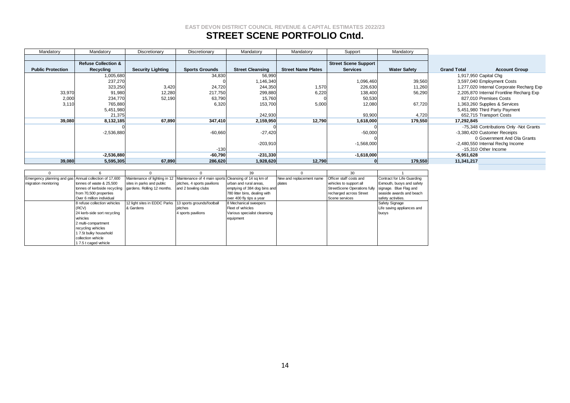### **STREET SCENE PORTFOLIO Cntd.**

| Mandatory                | Mandatory                      | Discretionary            | Discretionary         | Mandatory               | Mandatory                 | Support                     | Mandatory           |                                            |
|--------------------------|--------------------------------|--------------------------|-----------------------|-------------------------|---------------------------|-----------------------------|---------------------|--------------------------------------------|
|                          |                                |                          |                       |                         |                           |                             |                     |                                            |
|                          | <b>Refuse Collection &amp;</b> |                          |                       |                         |                           | <b>Street Scene Support</b> |                     |                                            |
| <b>Public Protection</b> | Recycling                      | <b>Security Lighting</b> | <b>Sports Grounds</b> | <b>Street Cleansing</b> | <b>Street Name Plates</b> | <b>Services</b>             | <b>Water Safety</b> | <b>Account Group</b><br><b>Grand Total</b> |
|                          | 1,005,680                      |                          | 34,830                | 56,990                  |                           |                             |                     | 1,917,950 Capital Chg                      |
|                          | 237,270                        |                          |                       | 1,146,340               |                           | 1,096,460                   | 39,560              | 3,597,040 Employment Costs                 |
|                          | 323,250                        | 3,420                    | 24,720                | 244,350                 | 1,570                     | 226,630                     | 11,260              | 1,277,020 Internal Corporate Recharg Exp   |
| 33,970                   | 91,980                         | 12,280                   | 217,750               | 299,880                 | 6,220                     | 138,400                     | 56,290              | 2,205,870 Internal Frontline Recharg Exp   |
| 2,000                    | 234,770                        | 52,190                   | 63,790                | 15,760                  |                           | 50,530                      |                     | 827,010 Premises Costs                     |
| 3,110                    | 765,880                        |                          | 6,320                 | 153,700                 | 5,000                     | 12,080                      | 67,720              | 1,363,260 Supplies & Services              |
|                          | 5,451,980                      |                          |                       |                         |                           |                             |                     | 5,451,980 Third Party Payment              |
|                          | 21,375                         |                          |                       | 242,930                 |                           | 93,900                      | 4,720               | 652,715 Transport Costs                    |
| 39,080                   | 8,132,185                      | 67,890                   | 347,410               | 2,159,950               | 12,790                    | 1,618,000                   | 179,550             | 17.292.845                                 |
|                          |                                |                          |                       |                         |                           |                             |                     | -75,348 Contributions Only -Not Grants     |
|                          | $-2,536,880$                   |                          | $-60,660$             | $-27,420$               |                           | $-50,000$                   |                     | -3,380,420 Customer Receipts               |
|                          |                                |                          |                       |                         |                           |                             |                     | 0 Government And Ola Grants                |
|                          |                                |                          |                       | $-203,910$              |                           | $-1,568,000$                |                     | -2,480,550 Internal Rechg Income           |
|                          |                                |                          | $-130$                |                         |                           |                             |                     | -15.310 Other Income                       |
|                          | $-2,536,880$                   |                          | $-60,790$             | $-231,330$              |                           | $-1,618,000$                |                     | $-5,951,628$                               |
| 39,080                   | 5,595,305                      | 67,890                   | 286,620               | 1,928,620               | 12,790                    |                             | 179,550             | 11,341,217                                 |

|                                                        |                              |                                                         |                                                                                     | 39                            |                          |                                     |                            |
|--------------------------------------------------------|------------------------------|---------------------------------------------------------|-------------------------------------------------------------------------------------|-------------------------------|--------------------------|-------------------------------------|----------------------------|
| Emergency planning and gas Annual collection of 17,600 |                              |                                                         | Maintenance of lighting in 12 Maintenance of 4 main sports Cleansing of 14 sq km of |                               | New and replacement name | Officer staff costs and             | Contract for Life Guarding |
| migration monitoring                                   | tonnes of waste & 25,500     | sites in parks and public                               | pitches, 4 sports pavilions                                                         | lurban and rural areas.       | plates                   | vehicles to support all             | Exmouth, buoys and safety  |
|                                                        | tonnes of kerbside recycling | gardens. Rolling 12 months.                             | and 2 bowling clubs                                                                 | emptying of 384 dog bins and  |                          | <b>StreetScene Operations fully</b> | signage. Blue Flag and     |
|                                                        | from 70,500 properties       |                                                         |                                                                                     | 780 litter bins, dealing with |                          | recharged across Street             | seaside awards and beach   |
|                                                        | Over 6 million individual    |                                                         |                                                                                     | over 400 fly tips a year      |                          | Scene services                      | safety activities.         |
|                                                        | 8 refuse collection vehicles | 12 light sites in EDDC Parks 13 sports grounds/football |                                                                                     | 8 Mechanical sweepers         |                          |                                     | Safety Signage             |
|                                                        | (RCV)                        | & Gardens                                               | pitches                                                                             | Fleet of vehicles             |                          |                                     | Life saving appliances and |
|                                                        | 24 kerb-side sort recycling  |                                                         | 4 sports pavilions                                                                  | Various specialist cleansing  |                          |                                     | buoys                      |
|                                                        | vehicles                     |                                                         |                                                                                     | equipment                     |                          |                                     |                            |
|                                                        | 2 multi-compartment          |                                                         |                                                                                     |                               |                          |                                     |                            |
|                                                        | recycling vehicles           |                                                         |                                                                                     |                               |                          |                                     |                            |
|                                                        | 1 7.5t bulky household       |                                                         |                                                                                     |                               |                          |                                     |                            |
|                                                        | collection vehicle           |                                                         |                                                                                     |                               |                          |                                     |                            |
|                                                        | 17.5 t caged vehicle         |                                                         |                                                                                     |                               |                          |                                     |                            |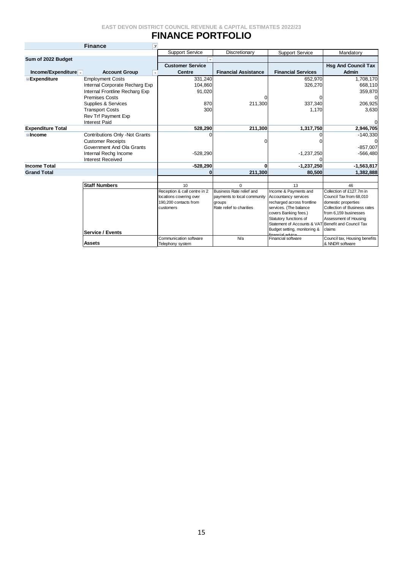# **FINANCE PORTFOLIO**

|                                       | <b>Finance</b><br>$\overline{\mathbf{r}}$        |                                    |                                    |                                                      |                                                     |
|---------------------------------------|--------------------------------------------------|------------------------------------|------------------------------------|------------------------------------------------------|-----------------------------------------------------|
|                                       |                                                  | <b>Support Service</b>             | Discretionary                      | <b>Support Service</b>                               | Mandatory                                           |
| Sum of 2022 Budget                    |                                                  |                                    |                                    |                                                      |                                                     |
|                                       |                                                  | <b>Customer Service</b>            |                                    |                                                      | <b>Hsg And Council Tax</b>                          |
| Income/Expenditure $\overline{\cdot}$ | <b>Account Group</b><br>$\overline{\phantom{a}}$ | <b>Centre</b>                      | <b>Financial Assistance</b>        | <b>Financial Services</b>                            | <b>Admin</b>                                        |
| <b>Expenditure</b>                    | <b>Employment Costs</b>                          | 331,240                            |                                    | 652,970                                              | 1,708,170                                           |
|                                       | Internal Corporate Recharg Exp                   | 104,860                            |                                    | 326,270                                              | 668,110                                             |
|                                       | Internal Frontline Recharg Exp                   | 91,020                             |                                    |                                                      | 359,870                                             |
|                                       | <b>Premises Costs</b>                            |                                    |                                    |                                                      | 0                                                   |
|                                       | Supplies & Services                              | 870                                | 211,300                            | 337,340                                              | 206,925                                             |
|                                       | <b>Transport Costs</b>                           | 300                                |                                    | 1.170                                                | 3,630                                               |
|                                       | Rev Trf Payment Exp                              |                                    |                                    |                                                      |                                                     |
|                                       | <b>Interest Paid</b>                             |                                    |                                    |                                                      |                                                     |
| <b>Expenditure Total</b>              |                                                  | 528.290                            | 211,300                            | 1,317,750                                            | 2,946,705                                           |
| <b>Elncome</b>                        | Contributions Only -Not Grants                   |                                    |                                    |                                                      | $-140,330$                                          |
|                                       | <b>Customer Receipts</b>                         |                                    |                                    |                                                      |                                                     |
|                                       | Government And Ola Grants                        |                                    |                                    |                                                      | $-857,007$                                          |
|                                       | Internal Rechg Income                            | $-528,290$                         |                                    | $-1,237,250$                                         | $-566,480$                                          |
|                                       | <b>Interest Received</b>                         |                                    |                                    |                                                      |                                                     |
| <b>Income Total</b>                   |                                                  | $-528,290$                         |                                    | $-1,237,250$                                         | $-1,563,817$                                        |
| <b>Grand Total</b>                    |                                                  |                                    | 211.300                            | 80.500                                               | 1,382,888                                           |
|                                       |                                                  |                                    |                                    |                                                      |                                                     |
|                                       | <b>Staff Numbers</b>                             | 10 <sup>1</sup>                    | $\Omega$                           | 13                                                   | 46                                                  |
|                                       |                                                  | Reception & call centre in 2       | Business Rate relief and           | Income & Payments and                                | Collection of £127.7m in                            |
|                                       |                                                  | locations covering over            | payments to local community        | Accountancy services                                 | Council Tax from 68,010                             |
|                                       |                                                  | 190,200 contacts from<br>customers | aroups<br>Rate relief to charities | recharged across frontline<br>services. (The balance | domestic properties<br>Collection of Business rates |
|                                       |                                                  |                                    |                                    | covers Banking fees.)                                | from 6,159 businesses                               |
|                                       |                                                  |                                    |                                    | Statutory functions of                               | Assessment of Housing                               |
|                                       |                                                  |                                    |                                    | Statement of Accounts & VAT Benefit and Council Tax  |                                                     |
|                                       | <b>Service / Events</b>                          |                                    |                                    | Budget setting, monitoring &                         | claims                                              |
|                                       |                                                  | Communication software             | N/a                                | financial advice<br>Financial software               | Council tax, Housing benefits                       |
|                                       | <b>Assets</b>                                    | Telephony system                   |                                    |                                                      | & NNDR software                                     |
|                                       |                                                  |                                    |                                    |                                                      |                                                     |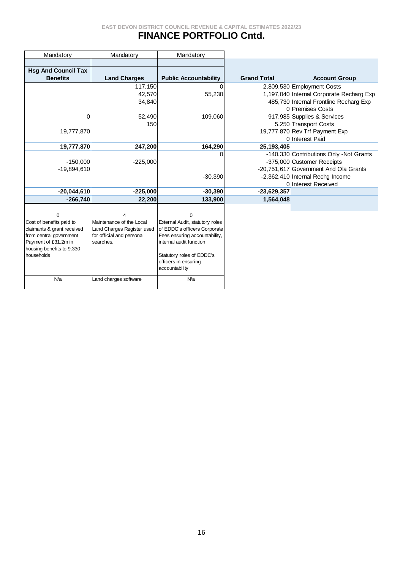## **FINANCE PORTFOLIO Cntd.**

| Mandatory                               | Mandatory                  | Mandatory                       |                    |                                          |
|-----------------------------------------|----------------------------|---------------------------------|--------------------|------------------------------------------|
|                                         |                            |                                 |                    |                                          |
| <b>Hsg And Council Tax</b>              |                            |                                 |                    |                                          |
| <b>Benefits</b>                         | <b>Land Charges</b>        | <b>Public Accountability</b>    | <b>Grand Total</b> | <b>Account Group</b>                     |
|                                         | 117,150                    |                                 |                    | 2,809,530 Employment Costs               |
|                                         | 42,570                     | 55,230                          |                    | 1,197,040 Internal Corporate Recharg Exp |
|                                         | 34,840                     |                                 |                    | 485,730 Internal Frontline Recharg Exp   |
|                                         |                            |                                 |                    | 0 Premises Costs                         |
| 0                                       | 52,490                     | 109,060                         |                    | 917,985 Supplies & Services              |
|                                         | 150                        |                                 |                    | 5,250 Transport Costs                    |
| 19,777,870                              |                            |                                 |                    | 19,777,870 Rev Trf Payment Exp           |
|                                         |                            |                                 |                    | 0 Interest Paid                          |
| 19,777,870                              | 247,200                    | 164,290                         | 25,193,405         |                                          |
|                                         |                            |                                 |                    | -140,330 Contributions Only -Not Grants  |
| $-150,000$                              | $-225,000$                 |                                 |                    | -375,000 Customer Receipts               |
| $-19,894,610$                           |                            |                                 |                    | -20,751,617 Government And Ola Grants    |
|                                         |                            | $-30,390$                       |                    | -2,362,410 Internal Rechg Income         |
|                                         |                            |                                 |                    | 0 Interest Received                      |
| $-20,044,610$                           | $-225,000$                 | $-30,390$                       | -23,629,357        |                                          |
| $-266,740$                              | 22,200                     | 133,900                         | 1,564,048          |                                          |
|                                         |                            |                                 |                    |                                          |
| $\Omega$                                | 4                          | $\Omega$                        |                    |                                          |
| Cost of benefits paid to                | Maintenance of the Local   | External Audit, statutory roles |                    |                                          |
| claimants & grant received              | Land Charges Register used | of EDDC's officers Corporate    |                    |                                          |
| from central government                 | for official and personal  | Fees ensuring accountability,   |                    |                                          |
| Payment of £31.2m in                    | searches.                  | internal audit function         |                    |                                          |
| housing benefits to 9,330<br>households |                            | Statutory roles of EDDC's       |                    |                                          |
|                                         |                            | officers in ensuring            |                    |                                          |
|                                         |                            | accountability                  |                    |                                          |
| N/a                                     | Land charges software      | N/a                             |                    |                                          |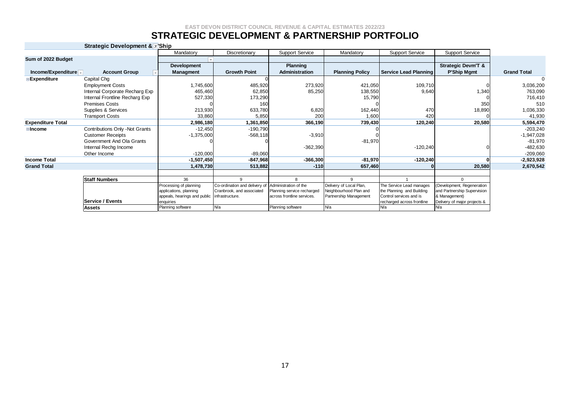### **STRATEGIC DEVELOPMENT & PARTNERSHIP PORTFOLIO**

|                                       | <b>Strategic Development &amp; T</b> | 'Ship                          |                               |                            |                         |                                   |                                     |                    |
|---------------------------------------|--------------------------------------|--------------------------------|-------------------------------|----------------------------|-------------------------|-----------------------------------|-------------------------------------|--------------------|
|                                       |                                      | Mandatory                      | Discretionary                 | <b>Support Service</b>     | Mandatory               | <b>Support Service</b>            | <b>Support Service</b>              |                    |
| Sum of 2022 Budget                    |                                      |                                |                               |                            |                         |                                   |                                     |                    |
|                                       |                                      | Development                    |                               | <b>Planning</b>            |                         |                                   | <b>Strategic Devm'T &amp;</b>       |                    |
| Income/Expenditure $\overline{\cdot}$ | <b>Account Group</b>                 | Managment                      | <b>Growth Point</b>           | Administration             | <b>Planning Policy</b>  | Service Lead Planning             | P'Ship Mgmt                         | <b>Grand Total</b> |
| Expenditure                           | Capital Chg                          |                                |                               |                            |                         |                                   |                                     |                    |
|                                       | <b>Employment Costs</b>              | 1,745,600                      | 485,920                       | 273,920                    | 421,050                 | 109,710                           |                                     | 3,036,200          |
|                                       | Internal Corporate Recharg Exp       | 465,460                        | 62,850                        | 85,250                     | 138,550                 | 9,640                             | 1,340                               | 763,090            |
|                                       | Internal Frontline Recharg Exp       | 527,330                        | 173,290                       |                            | 15,790                  |                                   |                                     | 716,410            |
|                                       | <b>Premises Costs</b>                |                                | 160                           |                            |                         |                                   | 350                                 | 510                |
|                                       | Supplies & Services                  | 213,930                        | 633,780                       | 6,820                      | 162,440                 | 470                               | 18,890                              | 1,036,330          |
|                                       | <b>Transport Costs</b>               | 33,860                         | 5,850                         | 200                        | 1,600                   | 420                               |                                     | 41,930             |
| <b>Expenditure Total</b>              |                                      | 2,986,180                      | 1,361,850                     | 366,190                    | 739,430                 | 120,240                           | 20,580                              | 5,594,470          |
| <b>⊟</b> Income                       | Contributions Only -Not Grants       | $-12,450$                      | $-190,790$                    |                            |                         |                                   |                                     | $-203,240$         |
|                                       | <b>Customer Receipts</b>             | $-1,375,000$                   | $-568,118$                    | $-3,910$                   |                         |                                   |                                     | $-1,947,028$       |
|                                       | Government And Ola Grants            |                                |                               |                            | $-81,970$               |                                   |                                     | $-81,970$          |
|                                       | Internal Rechg Income                |                                |                               | $-362,390$                 |                         | $-120,240$                        |                                     | $-482,630$         |
|                                       | Other Income                         | $-120,000$                     | $-89,060$                     |                            |                         |                                   |                                     | $-209,060$         |
| <b>Income Total</b>                   |                                      | $-1,507,450$                   | $-847,968$                    | $-366,300$                 | $-81,970$               | $-120,240$                        |                                     | $-2,923,928$       |
| <b>Grand Total</b>                    |                                      | 1,478,730                      | 513,882                       | $-110$                     | 657,460                 |                                   | 20,580                              | 2,670,542          |
|                                       |                                      |                                |                               |                            |                         |                                   |                                     |                    |
|                                       | <b>Staff Numbers</b>                 | 36                             | 9                             | 8                          | 9                       |                                   | $\Omega$                            |                    |
|                                       |                                      | Processing of planning         | Co-ordination and delivery of | Administration of the      | Delivery of Local Plan, | The Service Lead manages          | (Development, Regeneration          |                    |
|                                       |                                      | applications, planning         | Cranbrook, and associated     | Planning service recharged | Neighbourhood Plan and  | the Planning and Building         | and Partnership Supervision         |                    |
|                                       | Service / Events                     | appeals, hearings and public   | infrastructure.               | across frontline services. | Partnership Management  | Control services and is           | & Management)                       |                    |
|                                       |                                      | enquiries<br>Planning software | <b>N/a</b>                    | Planning software          | N/a                     | recharged across frontline<br>N/a | Delivery of major projects &<br>N/a |                    |
|                                       | <b>Assets</b>                        |                                |                               |                            |                         |                                   |                                     |                    |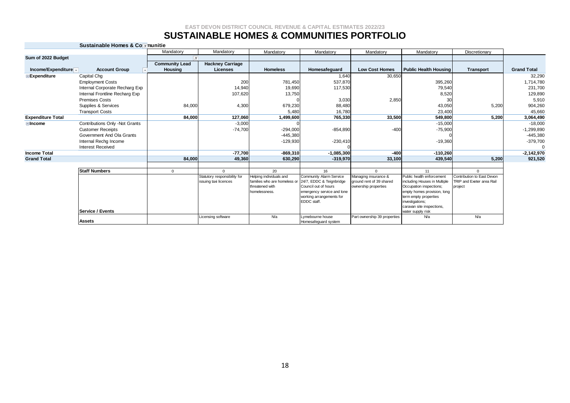### **SUSTAINABLE HOMES & COMMUNITIES PORTFOLIO**

| Sustainable Homes & Co munitie |  |  |
|--------------------------------|--|--|
|                                |  |  |

|                                             |                                | Mandatory             | Mandatory                    | Mandatory                                       | Mandatory                                        | Mandatory                                        | Mandatory                                               | Discretionary              |                    |
|---------------------------------------------|--------------------------------|-----------------------|------------------------------|-------------------------------------------------|--------------------------------------------------|--------------------------------------------------|---------------------------------------------------------|----------------------------|--------------------|
| Sum of 2022 Budget                          |                                | I.T                   |                              |                                                 |                                                  |                                                  |                                                         |                            |                    |
|                                             |                                | <b>Community Lead</b> | <b>Hackney Carriage</b>      |                                                 |                                                  |                                                  |                                                         |                            |                    |
| Income/Expenditure $\overline{\phantom{a}}$ | <b>Account Group</b>           | <b>Housing</b>        | <b>Licenses</b>              | <b>Homeless</b>                                 | Homesafeguard                                    | <b>Low Cost Homes</b>                            | <b>Public Health Housing</b>                            | <b>Transport</b>           | <b>Grand Total</b> |
| <b>Expenditure</b>                          | Capital Chg                    |                       |                              |                                                 | 1,640                                            | 30,650                                           |                                                         |                            | 32,290             |
|                                             | <b>Employment Costs</b>        |                       | 200                          | 781,450                                         | 537,870                                          |                                                  | 395,260                                                 |                            | 1,714,780          |
|                                             | Internal Corporate Recharg Exp |                       | 14,940                       | 19,690                                          | 117,530                                          |                                                  | 79,540                                                  |                            | 231,700            |
|                                             | Internal Frontline Recharg Exp |                       | 107,620                      | 13,750                                          |                                                  |                                                  | 8,520                                                   |                            | 129,890            |
|                                             | <b>Premises Costs</b>          |                       |                              |                                                 | 3,030                                            | 2,850                                            | 30                                                      |                            | 5,910              |
|                                             | Supplies & Services            | 84.000                | 4,300                        | 679,230                                         | 88,480                                           |                                                  | 43,050                                                  | 5,200                      | 904,260            |
|                                             | <b>Transport Costs</b>         |                       |                              | 5,480                                           | 16,780                                           |                                                  | 23,400                                                  |                            | 45,660             |
| <b>Expenditure Total</b>                    |                                | 84.000                | 127,060                      | 1,499,600                                       | 765,330                                          | 33,500                                           | 549,800                                                 | 5,200                      | 3,064,490          |
| <b>Elncome</b>                              | Contributions Only -Not Grants |                       | $-3,000$                     |                                                 |                                                  |                                                  | $-15,000$                                               |                            | $-18,000$          |
|                                             | <b>Customer Receipts</b>       |                       | $-74,700$                    | $-294,000$                                      | $-854,890$                                       | $-400$                                           | $-75,900$                                               |                            | $-1,299,890$       |
|                                             | Government And Ola Grants      |                       |                              | $-445,380$                                      |                                                  |                                                  |                                                         |                            | $-445,380$         |
|                                             | Internal Rechg Income          |                       |                              | $-129,930$                                      | $-230,410$                                       |                                                  | $-19,360$                                               |                            | $-379,700$         |
|                                             | <b>Interest Received</b>       |                       |                              |                                                 |                                                  |                                                  |                                                         |                            | $\mathbf{0}$       |
| <b>Income Total</b>                         |                                |                       | $-77,700$                    | $-869,310$                                      | $-1,085,300$                                     | $-400$                                           | $-110,260$                                              |                            | $-2,142,970$       |
| <b>Grand Total</b>                          |                                | 84,000                | 49,360                       | 630,290                                         | $-319,970$                                       | 33,100                                           | 439,540                                                 | 5,200                      | 921,520            |
|                                             |                                |                       |                              |                                                 |                                                  |                                                  |                                                         |                            |                    |
|                                             | <b>Staff Numbers</b>           | $\mathbf{0}$          | $\Omega$                     | 20                                              | 16                                               | $\Omega$                                         | 11                                                      | $\Omega$                   |                    |
|                                             |                                |                       | Statutory responsibility for | Helping individuals and                         | <b>Community Alarm Service</b>                   | Managing insurance &                             | Public health enforcement                               | Contribution to East Devon |                    |
|                                             |                                |                       | issuing taxi licences        | families who are homeless or<br>threatened with | 24/7, EDDC & Teignbridge<br>Council out of hours | ground rent of 39 shared<br>ownership properties | including Houses in Multiple<br>Occupation inspections; | TRIP and Exeter area Rail  |                    |
|                                             |                                |                       |                              | homelessness.                                   | emergency service and lone                       |                                                  | empty homes provision, long                             | project                    |                    |
|                                             |                                |                       |                              |                                                 | working arrangements for                         |                                                  | term empty properties                                   |                            |                    |
|                                             |                                |                       |                              |                                                 | EDDC staff.                                      |                                                  | investigations;                                         |                            |                    |
|                                             |                                |                       |                              |                                                 |                                                  |                                                  | caravan site inspections,                               |                            |                    |
|                                             | Service / Events               |                       |                              |                                                 |                                                  |                                                  | water supply risk                                       |                            |                    |
|                                             | <b>Assets</b>                  |                       | Licensing software           | N/a                                             | Lymebourne house<br>Homesafeguard system         | Part ownership 39 properties                     | N/a                                                     | N/a                        |                    |
|                                             |                                |                       |                              |                                                 |                                                  |                                                  |                                                         |                            |                    |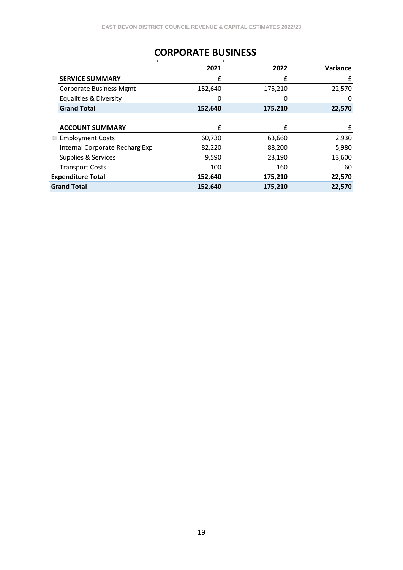# **CORPORATE BUSINESS**

|                                   | 2021    | 2022    | <b>Variance</b> |
|-----------------------------------|---------|---------|-----------------|
| <b>SERVICE SUMMARY</b>            | £       | f       | £               |
| <b>Corporate Business Mgmt</b>    | 152,640 | 175,210 | 22,570          |
| <b>Equalities &amp; Diversity</b> | 0       | 0       | 0               |
| <b>Grand Total</b>                | 152,640 | 175,210 | 22,570          |
|                                   |         |         |                 |
| <b>ACCOUNT SUMMARY</b>            | £       | £       | £               |
| <b>■ Employment Costs</b>         | 60,730  | 63,660  | 2,930           |
| Internal Corporate Recharg Exp    | 82,220  | 88,200  | 5,980           |
| Supplies & Services               | 9,590   | 23,190  | 13,600          |
| <b>Transport Costs</b>            | 100     | 160     | 60              |
| <b>Expenditure Total</b>          | 152,640 | 175,210 | 22,570          |
| <b>Grand Total</b>                | 152,640 | 175,210 | 22,570          |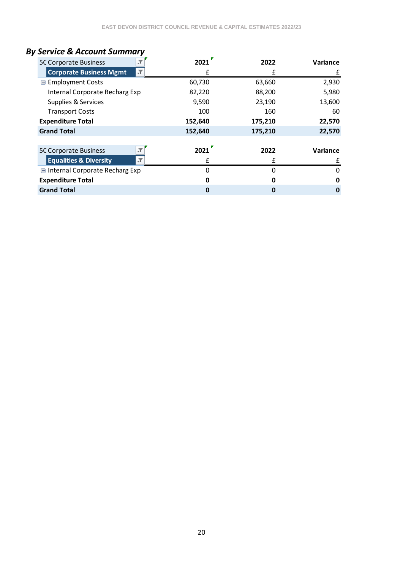# *By Service & Account Summary*

| <b>5C Corporate Business</b>      | 2021    | 2022    | Variance |
|-----------------------------------|---------|---------|----------|
| <b>Corporate Business Mgmt</b>    | £       |         | £        |
| <b>■ Employment Costs</b>         | 60,730  | 63,660  | 2,930    |
| Internal Corporate Recharg Exp    | 82,220  | 88,200  | 5,980    |
| Supplies & Services               | 9,590   | 23,190  | 13,600   |
| <b>Transport Costs</b>            | 100     | 160     | 60       |
| <b>Expenditure Total</b>          | 152,640 | 175,210 | 22,570   |
| <b>Grand Total</b>                | 152,640 | 175,210 | 22,570   |
|                                   |         |         |          |
| <b>5C Corporate Business</b>      | 2021    | 2022    | Variance |
| <b>Equalities &amp; Diversity</b> | £       | f       | £        |
| Internal Corporate Recharg Exp    | 0       | 0       | 0        |
| <b>Expenditure Total</b>          | 0       | 0       | 0        |
| <b>Grand Total</b>                | O       | 0       | 0        |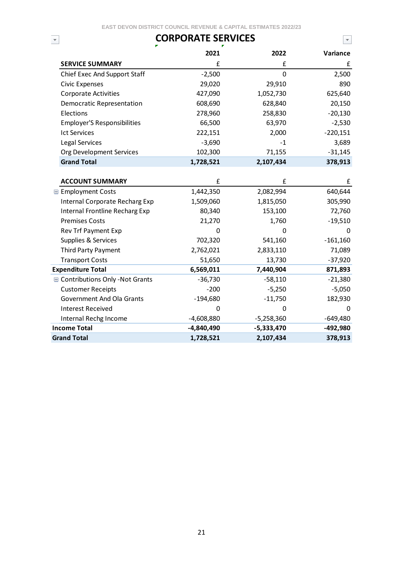# **CORPORATE SERVICES**

 $\bigtriangledown$ 

|                                         | 2021       | 2022         | Variance   |
|-----------------------------------------|------------|--------------|------------|
| <b>SERVICE SUMMARY</b>                  | £          | £            | £          |
| Chief Exec And Support Staff            | $-2,500$   | $\mathbf 0$  | 2,500      |
| <b>Civic Expenses</b>                   | 29,020     | 29,910       | 890        |
| <b>Corporate Activities</b>             | 427,090    | 1,052,730    | 625,640    |
| Democratic Representation               | 608,690    | 628,840      | 20,150     |
| Elections                               | 278,960    | 258,830      | $-20,130$  |
| <b>Employer'S Responsibilities</b>      | 66,500     | 63,970       | $-2,530$   |
| <b>Ict Services</b>                     | 222,151    | 2,000        | $-220,151$ |
| Legal Services                          | $-3,690$   | $-1$         | 3,689      |
| Org Development Services                | 102,300    | 71,155       | $-31,145$  |
| <b>Grand Total</b>                      | 1,728,521  | 2,107,434    | 378,913    |
|                                         |            |              |            |
| <b>ACCOUNT SUMMARY</b>                  | £          | £            | £          |
| <b>■ Employment Costs</b>               | 1,442,350  | 2,082,994    | 640,644    |
| Internal Corporate Recharg Exp          | 1,509,060  | 1,815,050    | 305,990    |
| Internal Frontline Recharg Exp          | 80,340     | 153,100      | 72,760     |
| <b>Premises Costs</b>                   | 21,270     | 1,760        | $-19,510$  |
| Rev Trf Payment Exp                     | 0          | 0            | 0          |
| Supplies & Services                     | 702,320    | 541,160      | $-161,160$ |
| Third Party Payment                     | 2,762,021  | 2,833,110    | 71,089     |
| <b>Transport Costs</b>                  | 51,650     | 13,730       | $-37,920$  |
| <b>Expenditure Total</b>                | 6,569,011  | 7,440,904    | 871,893    |
| <b>■ Contributions Only -Not Grants</b> | $-36,730$  | $-58,110$    | $-21,380$  |
| <b>Customer Receipts</b>                | $-200$     | $-5,250$     | $-5,050$   |
| Government And Ola Grants               | $-194,680$ | $-11,750$    | 182,930    |
| <b>Interest Received</b>                | 0          | 0            | 0          |
| Internal Rechg Income                   | -4,608,880 | $-5,258,360$ | $-649,480$ |
| <b>Income Total</b>                     | -4,840,490 | -5,333,470   | -492,980   |
| <b>Grand Total</b>                      | 1,728,521  | 2,107,434    | 378,913    |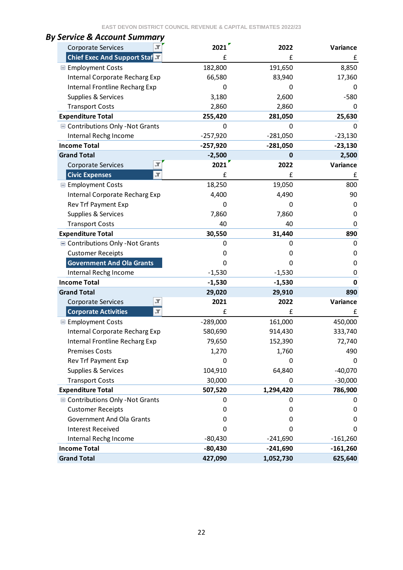| <b>Corporate Services</b>                               | 2021       | 2022       | Variance    |
|---------------------------------------------------------|------------|------------|-------------|
| <b>Chief Exec And Support Staf</b>                      | f          | £          | £           |
| <b>E</b> Employment Costs                               | 182,800    | 191,650    | 8,850       |
| Internal Corporate Recharg Exp                          | 66,580     | 83,940     | 17,360      |
| Internal Frontline Recharg Exp                          | 0          | 0          | 0           |
| Supplies & Services                                     | 3,180      | 2,600      | $-580$      |
| <b>Transport Costs</b>                                  | 2,860      | 2,860      | 0           |
| <b>Expenditure Total</b>                                | 255,420    | 281,050    | 25,630      |
| Contributions Only - Not Grants                         | 0          | 0          | $\Omega$    |
| Internal Rechg Income                                   | $-257,920$ | $-281,050$ | $-23,130$   |
| <b>Income Total</b>                                     | $-257,920$ | $-281,050$ | $-23,130$   |
| <b>Grand Total</b>                                      | $-2,500$   | $\bf{0}$   | 2,500       |
| Л<br><b>Corporate Services</b>                          | 2021       | 2022       | Variance    |
| <b>Civic Expenses</b><br>Л                              | £          | £          | £           |
| <b>■ Employment Costs</b>                               | 18,250     | 19,050     | 800         |
| Internal Corporate Recharg Exp                          | 4,400      | 4,490      | 90          |
| Rev Trf Payment Exp                                     | 0          | 0          | 0           |
| Supplies & Services                                     | 7,860      | 7,860      | 0           |
| <b>Transport Costs</b>                                  | 40         | 40         | 0           |
| <b>Expenditure Total</b>                                | 30,550     | 31,440     | 890         |
| Contributions Only - Not Grants                         | 0          | 0          | 0           |
| <b>Customer Receipts</b>                                | ŋ          | 0          | 0           |
| <b>Government And Ola Grants</b>                        | 0          | 0          | 0           |
| Internal Rechg Income                                   | $-1,530$   | $-1,530$   | 0           |
| <b>Income Total</b>                                     | $-1,530$   | $-1,530$   | $\mathbf 0$ |
| <b>Grand Total</b>                                      | 29,020     | 29,910     | 890         |
| Л<br><b>Corporate Services</b>                          | 2021       | 2022       | Variance    |
| $\overline{\mathcal{X}}$<br><b>Corporate Activities</b> | £          | £          | £           |
| <b>■ Employment Costs</b>                               | $-289,000$ | 161,000    | 450,000     |
| Internal Corporate Recharg Exp                          | 580,690    | 914,430    | 333,740     |
| Internal Frontline Recharg Exp                          | 79,650     | 152,390    | 72,740      |
| <b>Premises Costs</b>                                   | 1,270      | 1,760      | 490         |
| Rev Trf Payment Exp                                     | 0          | 0          | 0           |
| Supplies & Services                                     | 104,910    | 64,840     | $-40,070$   |
| <b>Transport Costs</b>                                  | 30,000     | 0          | $-30,000$   |
| <b>Expenditure Total</b>                                | 507,520    | 1,294,420  | 786,900     |
| Contributions Only - Not Grants                         | 0          | 0          | 0           |
| <b>Customer Receipts</b>                                | 0          | 0          | 0           |
| Government And Ola Grants                               | 0          | 0          | 0           |
| <b>Interest Received</b>                                | 0          | 0          | 0           |
| Internal Rechg Income                                   | $-80,430$  | $-241,690$ | $-161,260$  |
| <b>Income Total</b>                                     | $-80,430$  | $-241,690$ | $-161,260$  |
| <b>Grand Total</b>                                      | 427,090    | 1,052,730  | 625,640     |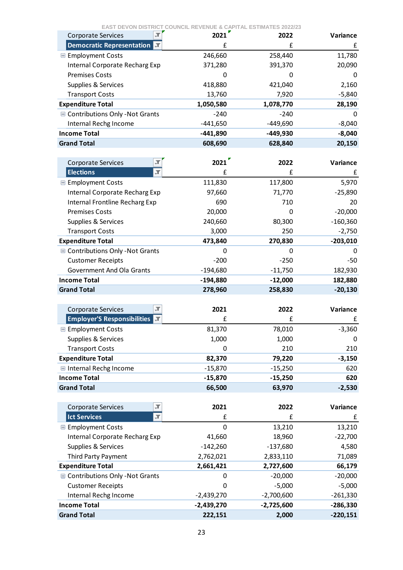| ЭT.<br>Corporate Services                      | 2021                    | 2022                  | Variance                         |
|------------------------------------------------|-------------------------|-----------------------|----------------------------------|
| <b>Democratic Representation M</b>             | £                       | £                     | £                                |
| <b>■ Employment Costs</b>                      | 246,660                 | 258,440               | 11,780                           |
| Internal Corporate Recharg Exp                 | 371,280                 | 391,370               | 20,090                           |
| <b>Premises Costs</b>                          | 0                       | 0                     | 0                                |
| Supplies & Services                            | 418,880                 | 421,040               | 2,160                            |
| <b>Transport Costs</b>                         | 13,760                  | 7,920                 | $-5,840$                         |
| <b>Expenditure Total</b>                       | 1,050,580               | 1,078,770             | 28,190                           |
| ■ Contributions Only -Not Grants               | $-240$                  | $-240$                | 0                                |
| Internal Rechg Income                          | $-441,650$              | $-449,690$            | $-8,040$                         |
| <b>Income Total</b>                            | -441,890                | -449,930              | $-8,040$                         |
| <b>Grand Total</b>                             | 608,690                 | 628,840               | 20,150                           |
|                                                |                         |                       |                                  |
| Т,<br><b>Corporate Services</b>                | 2021                    | 2022                  | Variance                         |
| <b>Elections</b><br>Т,                         | £                       | £                     | £                                |
| <b>■ Employment Costs</b>                      | 111,830                 | 117,800               | 5,970                            |
| Internal Corporate Recharg Exp                 | 97,660                  | 71,770                | $-25,890$                        |
| Internal Frontline Recharg Exp                 | 690                     | 710                   | 20                               |
| <b>Premises Costs</b>                          | 20,000                  | 0                     | $-20,000$                        |
| Supplies & Services                            | 240,660                 | 80,300                | $-160,360$                       |
| <b>Transport Costs</b>                         | 3,000                   | 250                   | $-2,750$                         |
| <b>Expenditure Total</b>                       | 473,840                 | 270,830               | $-203,010$                       |
| ■ Contributions Only -Not Grants               | 0                       | 0                     | 0                                |
| <b>Customer Receipts</b>                       | $-200$                  | $-250$                | $-50$                            |
| Government And Ola Grants                      | $-194,680$              | $-11,750$             | 182,930                          |
| <b>Income Total</b>                            | $-194,880$              | $-12,000$             | 182,880                          |
| <b>Grand Total</b>                             | 278,960                 | 258,830               | $-20,130$                        |
|                                                |                         |                       |                                  |
| $\mathbb T$<br><b>Corporate Services</b>       | 2021                    | 2022                  | Variance                         |
| <b>Employer'S Responsibilities</b><br>IТ.      | £                       | £                     | £                                |
| <b>■ Employment Costs</b>                      |                         |                       |                                  |
|                                                | 81,370                  | 78,010                | $-3,360$                         |
| Supplies & Services                            | 1,000                   | 1,000                 | 0                                |
| <b>Transport Costs</b>                         | 0                       | 210                   | 210                              |
| <b>Expenditure Total</b>                       | 82,370                  | 79,220                | $-3,150$                         |
| Internal Rechg Income                          | $-15,870$               | $-15,250$             | 620                              |
| <b>Income Total</b>                            | $-15,870$               | $-15,250$             | 620                              |
| <b>Grand Total</b>                             | 66,500                  | 63,970                | $-2,530$                         |
|                                                |                         |                       |                                  |
| Л<br>Corporate Services                        | 2021                    | 2022                  | Variance                         |
| <b>Ict Services</b><br>$\overline{\mathbf{r}}$ | £                       | £                     | £                                |
| <b>■ Employment Costs</b>                      | 0                       | 13,210                |                                  |
| Internal Corporate Recharg Exp                 | 41,660                  | 18,960                | $-22,700$                        |
| Supplies & Services                            | $-142,260$              | $-137,680$            | 4,580                            |
| Third Party Payment                            | 2,762,021               | 2,833,110             | 71,089                           |
| <b>Expenditure Total</b>                       | 2,661,421               | 2,727,600             | 66,179                           |
| <b>■ Contributions Only -Not Grants</b>        | 0                       | $-20,000$             | $-20,000$                        |
| <b>Customer Receipts</b>                       | 0                       | $-5,000$              | $-5,000$                         |
| Internal Rechg Income                          | $-2,439,270$            | $-2,700,600$          | $-261,330$                       |
| <b>Income Total</b><br><b>Grand Total</b>      | $-2,439,270$<br>222,151 | $-2,725,600$<br>2,000 | 13,210<br>-286,330<br>$-220,151$ |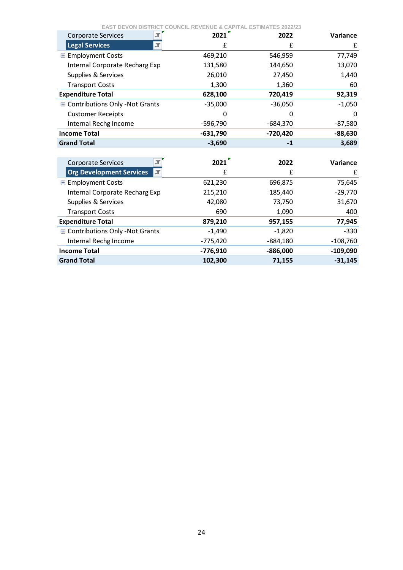| <b>Corporate Services</b>             | 2021       | 2022       | Variance   |
|---------------------------------------|------------|------------|------------|
| <b>Legal Services</b>                 | £          | £          | £          |
| <b>■ Employment Costs</b>             | 469,210    | 546,959    | 77,749     |
| Internal Corporate Recharg Exp        | 131,580    | 144,650    | 13,070     |
| Supplies & Services                   | 26,010     | 27,450     | 1,440      |
| <b>Transport Costs</b>                | 1,300      | 1,360      | 60         |
| <b>Expenditure Total</b>              | 628,100    | 720,419    | 92,319     |
| ■ Contributions Only -Not Grants      | $-35,000$  | $-36,050$  | $-1,050$   |
| <b>Customer Receipts</b>              | 0          | O          | 0          |
| Internal Rechg Income                 | $-596,790$ | $-684,370$ | $-87,580$  |
| <b>Income Total</b>                   | $-631,790$ | $-720,420$ | $-88,630$  |
| <b>Grand Total</b>                    | $-3,690$   | $-1$       | 3,689      |
|                                       |            |            |            |
| <b>Corporate Services</b>             | 2021       | 2022       | Variance   |
| <b>Org Development Services</b><br>π. | £          | £          | £          |
| <b>■ Employment Costs</b>             | 621,230    | 696,875    | 75,645     |
| Internal Corporate Recharg Exp        | 215,210    | 185,440    | $-29,770$  |
| Supplies & Services                   | 42,080     | 73,750     | 31,670     |
| <b>Transport Costs</b>                | 690        | 1,090      | 400        |
| <b>Expenditure Total</b>              | 879,210    | 957,155    | 77,945     |
| ■ Contributions Only -Not Grants      | $-1,490$   | $-1,820$   | $-330$     |
| Internal Rechg Income                 | $-775,420$ | $-884,180$ | $-108,760$ |
| <b>Income Total</b>                   | $-776,910$ | $-886,000$ | $-109,090$ |
| <b>Grand Total</b>                    | 102,300    | 71,155     | $-31,145$  |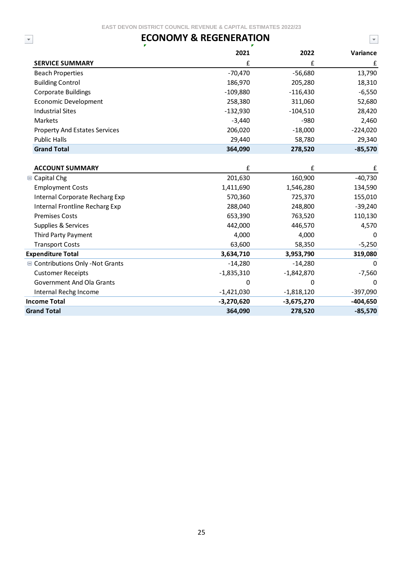## **ECONOMY & REGENERATION**

| <b>ECONOMY &amp; REGENERATION</b><br>$\overline{\mathbf v}$ |              |              | $\overline{\mathbf{v}}$ |
|-------------------------------------------------------------|--------------|--------------|-------------------------|
|                                                             | 2021         | 2022         | Variance                |
| <b>SERVICE SUMMARY</b>                                      | £            | £            | £                       |
| <b>Beach Properties</b>                                     | $-70,470$    | $-56,680$    | 13,790                  |
| <b>Building Control</b>                                     | 186,970      | 205,280      | 18,310                  |
| <b>Corporate Buildings</b>                                  | $-109,880$   | $-116,430$   | $-6,550$                |
| <b>Economic Development</b>                                 | 258,380      | 311,060      | 52,680                  |
| <b>Industrial Sites</b>                                     | $-132,930$   | $-104,510$   | 28,420                  |
| Markets                                                     | $-3,440$     | $-980$       | 2,460                   |
| <b>Property And Estates Services</b>                        | 206,020      | $-18,000$    | $-224,020$              |
| <b>Public Halls</b>                                         | 29,440       | 58,780       | 29,340                  |
| <b>Grand Total</b>                                          | 364,090      | 278,520      | $-85,570$               |
|                                                             |              |              |                         |
| <b>ACCOUNT SUMMARY</b>                                      | £            | £            | £                       |
| $\Box$ Capital Chg                                          | 201,630      | 160,900      | $-40,730$               |
| <b>Employment Costs</b>                                     | 1,411,690    | 1,546,280    | 134,590                 |
| Internal Corporate Recharg Exp                              | 570,360      | 725,370      | 155,010                 |
| Internal Frontline Recharg Exp                              | 288,040      | 248,800      | $-39,240$               |
| <b>Premises Costs</b>                                       | 653,390      | 763,520      | 110,130                 |
| Supplies & Services                                         | 442,000      | 446,570      | 4,570                   |
| <b>Third Party Payment</b>                                  | 4,000        | 4,000        | 0                       |
| <b>Transport Costs</b>                                      | 63,600       | 58,350       | $-5,250$                |
| <b>Expenditure Total</b>                                    | 3,634,710    | 3,953,790    | 319,080                 |
| ■ Contributions Only - Not Grants                           | $-14,280$    | $-14,280$    | 0                       |
| <b>Customer Receipts</b>                                    | $-1,835,310$ | $-1,842,870$ | $-7,560$                |
| <b>Government And Ola Grants</b>                            | 0            | 0            | 0                       |
| Internal Rechg Income                                       | $-1,421,030$ | $-1,818,120$ | $-397,090$              |
| <b>Income Total</b>                                         | $-3,270,620$ | $-3,675,270$ | $-404,650$              |
| <b>Grand Total</b>                                          | 364,090      | 278,520      | $-85,570$               |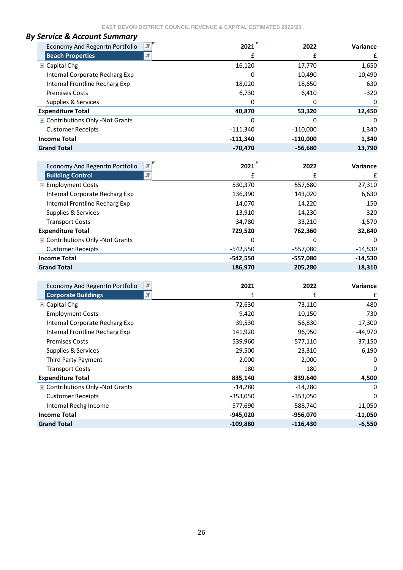| <b>By Service &amp; Account Summary</b> |            |            |          |
|-----------------------------------------|------------|------------|----------|
| Economy And Regenrtn Portfolio          | 2021       | 2022       | Variance |
| <b>Beach Properties</b>                 | £          |            | £        |
| <b>□</b> Capital Chg                    | 16,120     | 17,770     | 1,650    |
| Internal Corporate Recharg Exp          | 0          | 10,490     | 10,490   |
| Internal Frontline Recharg Exp          | 18,020     | 18,650     | 630      |
| <b>Premises Costs</b>                   | 6,730      | 6,410      | $-320$   |
| Supplies & Services                     | 0          | 0          | 0        |
| <b>Expenditure Total</b>                | 40,870     | 53,320     | 12,450   |
| <b>■ Contributions Only -Not Grants</b> | $\Omega$   | 0          | $\Omega$ |
| <b>Customer Receipts</b>                | -111,340   | $-110.000$ | 1,340    |
| <b>Income Total</b>                     | $-111,340$ | $-110,000$ | 1,340    |
| <b>Grand Total</b>                      | $-70,470$  | $-56,680$  | 13,790   |
|                                         |            |            |          |

| $\overline{\mathcal{X}}$<br>Economy And Regenrtn Portfolio | 2021       | 2022       | Variance  |
|------------------------------------------------------------|------------|------------|-----------|
| $\overline{X}$<br><b>Building Control</b>                  |            |            | £         |
| <b>■ Employment Costs</b>                                  | 530,370    | 557,680    | 27,310    |
| Internal Corporate Recharg Exp                             | 136,390    | 143,020    | 6,630     |
| Internal Frontline Recharg Exp                             | 14,070     | 14,220     | 150       |
| Supplies & Services                                        | 13,910     | 14,230     | 320       |
| <b>Transport Costs</b>                                     | 34,780     | 33,210     | $-1,570$  |
| <b>Expenditure Total</b>                                   | 729,520    | 762,360    | 32,840    |
| ■ Contributions Only -Not Grants                           | 0          | 0          | $\Omega$  |
| <b>Customer Receipts</b>                                   | -542,550   | $-557,080$ | $-14,530$ |
| <b>Income Total</b>                                        | $-542,550$ | $-557,080$ | $-14,530$ |
| <b>Grand Total</b>                                         | 186,970    | 205,280    | 18,310    |

| $\mathcal{T}$<br>Economy And Regenrtn Portfolio        | 2021       | 2022       | <b>Variance</b> |
|--------------------------------------------------------|------------|------------|-----------------|
| <b>Corporate Buildings</b><br>$\overline{\mathcal{M}}$ | £          | £          | £               |
| $\Box$ Capital Chg                                     | 72,630     | 73,110     | 480             |
| <b>Employment Costs</b>                                | 9,420      | 10,150     | 730             |
| Internal Corporate Recharg Exp                         | 39,530     | 56,830     | 17,300          |
| Internal Frontline Recharg Exp                         | 141,920    | 96,950     | $-44,970$       |
| <b>Premises Costs</b>                                  | 539,960    | 577,110    | 37,150          |
| Supplies & Services                                    | 29,500     | 23,310     | $-6,190$        |
| Third Party Payment                                    | 2,000      | 2,000      | 0               |
| <b>Transport Costs</b>                                 | 180        | 180        | 0               |
| <b>Expenditure Total</b>                               | 835,140    | 839,640    | 4,500           |
| <b>■ Contributions Only -Not Grants</b>                | $-14,280$  | $-14,280$  | 0               |
| <b>Customer Receipts</b>                               | -353,050   | $-353,050$ | 0               |
| Internal Rechg Income                                  | -577,690   | -588,740   | $-11,050$       |
| <b>Income Total</b>                                    | $-945,020$ | -956,070   | $-11,050$       |
| <b>Grand Total</b>                                     | $-109,880$ | $-116,430$ | $-6,550$        |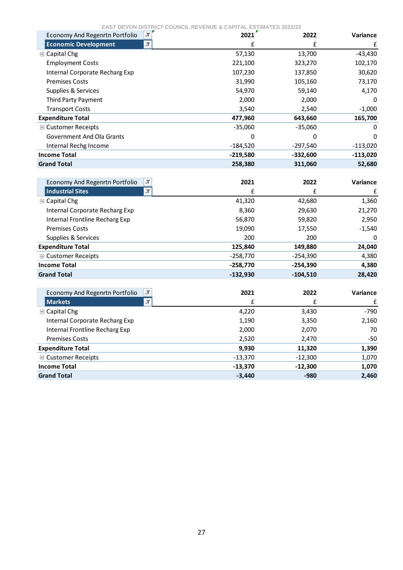| $\sqrt{1}$<br>Economy And Regenrtn Portfolio            | 2021       | 2022       | <b>Variance</b> |
|---------------------------------------------------------|------------|------------|-----------------|
| $\overline{\mathcal{M}}$<br><b>Economic Development</b> | £          | f          | £               |
| <b>□ Capital Chg</b>                                    | 57,130     | 13,700     | $-43,430$       |
| <b>Employment Costs</b>                                 | 221,100    | 323,270    | 102,170         |
| <b>Internal Corporate Recharg Exp</b>                   | 107,230    | 137,850    | 30,620          |
| <b>Premises Costs</b>                                   | 31,990     | 105,160    | 73,170          |
| Supplies & Services                                     | 54,970     | 59,140     | 4,170           |
| Third Party Payment                                     | 2,000      | 2,000      | <sup>0</sup>    |
| <b>Transport Costs</b>                                  | 3,540      | 2,540      | $-1,000$        |
| <b>Expenditure Total</b>                                | 477,960    | 643,660    | 165,700         |
| <b>■ Customer Receipts</b>                              | $-35,060$  | $-35,060$  | 0               |
| <b>Government And Ola Grants</b>                        | 0          | 0          | $\Omega$        |
| Internal Rechg Income                                   | $-184,520$ | $-297,540$ | $-113,020$      |
| <b>Income Total</b>                                     | $-219,580$ | $-332,600$ | $-113,020$      |
| <b>Grand Total</b>                                      | 258,380    | 311,060    | 52,680          |
|                                                         |            |            |                 |
| <b>Economy And Regenrtn Portfolio</b><br>¦.⊤            | 2021       | 2022       | Variance        |
| <b>Industrial Sites</b><br>$\overline{\mathcal{X}}$     | £          | f          | £               |
| <b>■ Capital Chg</b>                                    | 41,320     | 42,680     | 1,360           |
| Internal Corporate Recharg Exp                          | 8,360      | 29,630     | 21,270          |
| Internal Frontline Recharg Exp                          | 56,870     | 59,820     | 2,950           |
| <b>Premises Costs</b>                                   | 19,090     | 17,550     | $-1,540$        |
| Supplies & Services                                     | 200        | 200        | 0               |
| <b>Expenditure Total</b>                                | 125,840    | 149,880    | 24,040          |
| <b>■ Customer Receipts</b>                              | $-258,770$ | $-254,390$ | 4,380           |

| $\sqrt{1}$<br>Economy And Regenrtn Portfolio | 2021      | 2022      | Variance |
|----------------------------------------------|-----------|-----------|----------|
| l Markets<br>$\overline{X}$                  | f         | £         | £        |
| $\Box$ Capital Chg                           | 4,220     | 3,430     | -790     |
| Internal Corporate Recharg Exp               | 1,190     | 3,350     | 2,160    |
| Internal Frontline Recharg Exp               | 2,000     | 2,070     | 70       |
| <b>Premises Costs</b>                        | 2,520     | 2,470     | -50      |
| <b>Expenditure Total</b>                     | 9,930     | 11,320    | 1,390    |
| ■ Customer Receipts                          | $-13,370$ | $-12,300$ | 1,070    |
| <b>Income Total</b>                          | $-13,370$ | $-12,300$ | 1,070    |
| <b>Grand Total</b>                           | $-3,440$  | $-980$    | 2,460    |

**Income Total 1.258,770 1.254,390 4,380 Grand Total -132,930 -104,510 28,420**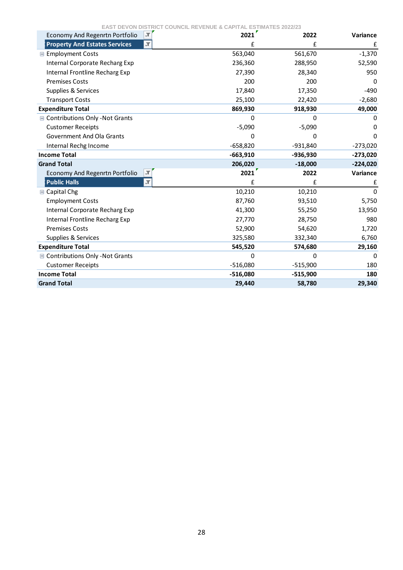| $\overline{\mathcal{X}}$<br>Economy And Regenrtn Portfolio | 2021       | 2022         | Variance        |
|------------------------------------------------------------|------------|--------------|-----------------|
| J,<br><b>Property And Estates Services</b>                 | £          | £            | £               |
| <b>■ Employment Costs</b>                                  | 563,040    | 561,670      | $-1,370$        |
| <b>Internal Corporate Recharg Exp</b>                      | 236,360    | 288,950      | 52,590          |
| Internal Frontline Recharg Exp                             | 27,390     | 28,340       | 950             |
| <b>Premises Costs</b>                                      | 200        | 200          | 0               |
| Supplies & Services                                        | 17,840     | 17,350       | -490            |
| <b>Transport Costs</b>                                     | 25,100     | 22,420       | $-2,680$        |
| <b>Expenditure Total</b>                                   | 869,930    | 918,930      | 49,000          |
| ■ Contributions Only -Not Grants                           | 0          | $\Omega$     | 0               |
| <b>Customer Receipts</b>                                   | $-5,090$   | $-5,090$     | O               |
| <b>Government And Ola Grants</b>                           | 0          | <sup>0</sup> | 0               |
| Internal Rechg Income                                      | $-658,820$ | $-931,840$   | $-273,020$      |
| <b>Income Total</b>                                        | $-663,910$ | $-936,930$   | $-273,020$      |
| <b>Grand Total</b>                                         | 206,020    | $-18,000$    | $-224,020$      |
| ŢТ<br>Economy And Regenrtn Portfolio                       | 2021       | 2022         | <b>Variance</b> |
| <b>Public Halls</b><br>$\overline{\mathcal{X}}$            | £          | £            | £               |
| <b>■ Capital Chg</b>                                       | 10,210     | 10,210       | $\Omega$        |
| <b>Employment Costs</b>                                    | 87,760     | 93,510       | 5,750           |
| Internal Corporate Recharg Exp                             | 41,300     | 55,250       | 13,950          |
| Internal Frontline Recharg Exp                             | 27,770     | 28,750       | 980             |
| <b>Premises Costs</b>                                      | 52,900     | 54,620       | 1,720           |
| Supplies & Services                                        | 325,580    | 332,340      | 6,760           |
| <b>Expenditure Total</b>                                   | 545,520    | 574,680      | 29,160          |
| <b>■ Contributions Only -Not Grants</b>                    | 0          | 0            | 0               |
| <b>Customer Receipts</b>                                   | $-516,080$ | $-515,900$   | 180             |
| <b>Income Total</b>                                        | $-516,080$ | $-515,900$   | 180             |
| <b>Grand Total</b>                                         | 29,440     | 58,780       | 29,340          |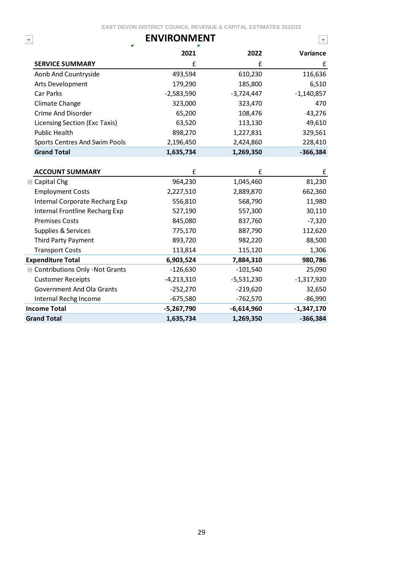|                                   | <b>ENVIRONMENT</b> |              | $\overline{\mathbf{v}}$ |
|-----------------------------------|--------------------|--------------|-------------------------|
|                                   | 2021               | 2022         | Variance                |
| <b>SERVICE SUMMARY</b>            | £                  | £            | £                       |
| Aonb And Countryside              | 493,594            | 610,230      | 116,636                 |
| Arts Development                  | 179,290            | 185,800      | 6,510                   |
| Car Parks                         | $-2,583,590$       | $-3,724,447$ | $-1,140,857$            |
| Climate Change                    | 323,000            | 323,470      | 470                     |
| Crime And Disorder                | 65,200             | 108,476      | 43,276                  |
| Licensing Section (Exc Taxis)     | 63,520             | 113,130      | 49,610                  |
| Public Health                     | 898,270            | 1,227,831    | 329,561                 |
| Sports Centres And Swim Pools     | 2,196,450          | 2,424,860    | 228,410                 |
| <b>Grand Total</b>                | 1,635,734          | 1,269,350    | $-366,384$              |
|                                   |                    |              |                         |
| <b>ACCOUNT SUMMARY</b>            | £                  | £            | £                       |
| <b>■ Capital Chg</b>              | 964,230            | 1,045,460    | 81,230                  |
| <b>Employment Costs</b>           | 2,227,510          | 2,889,870    | 662,360                 |
| Internal Corporate Recharg Exp    | 556,810            | 568,790      | 11,980                  |
| Internal Frontline Recharg Exp    | 527,190            | 557,300      | 30,110                  |
| <b>Premises Costs</b>             | 845,080            | 837,760      | $-7,320$                |
| Supplies & Services               | 775,170            | 887,790      | 112,620                 |
| Third Party Payment               | 893,720            | 982,220      | 88,500                  |
| <b>Transport Costs</b>            | 113,814            | 115,120      | 1,306                   |
| <b>Expenditure Total</b>          | 6,903,524          | 7,884,310    | 980,786                 |
| ■ Contributions Only - Not Grants | $-126,630$         | $-101,540$   | 25,090                  |
| <b>Customer Receipts</b>          | $-4,213,310$       | $-5,531,230$ | $-1,317,920$            |
| <b>Government And Ola Grants</b>  | $-252,270$         | $-219,620$   | 32,650                  |
| Internal Rechg Income             | $-675,580$         | $-762,570$   | $-86,990$               |
| <b>Income Total</b>               | $-5,267,790$       | $-6,614,960$ | $-1,347,170$            |
| <b>Grand Total</b>                | 1,635,734          | 1,269,350    | $-366,384$              |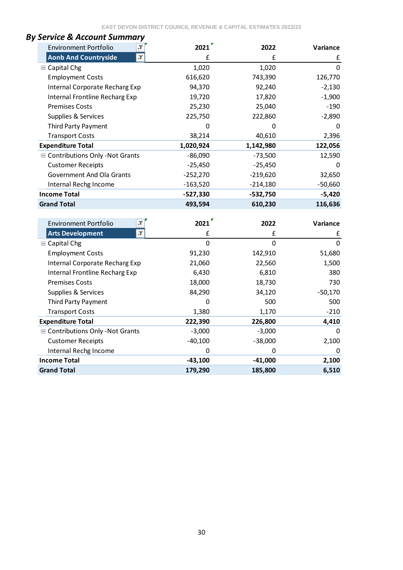| SEIVILE & ALLUUIIL SUIIIIIIUI Y<br>$\overline{\mathbf{r}}$<br><b>Environment Portfolio</b> | 2021           | 2022           | Variance    |
|--------------------------------------------------------------------------------------------|----------------|----------------|-------------|
| $\overline{\mathcal{X}}$<br><b>Aonb And Countryside</b>                                    | £              | £              | £           |
| <b>■ Capital Chg</b>                                                                       | 1,020          | 1,020          | $\mathbf 0$ |
| <b>Employment Costs</b>                                                                    | 616,620        | 743,390        | 126,770     |
| Internal Corporate Recharg Exp                                                             | 94,370         | 92,240         | $-2,130$    |
| Internal Frontline Recharg Exp                                                             | 19,720         | 17,820         | $-1,900$    |
| <b>Premises Costs</b>                                                                      | 25,230         | 25,040         | $-190$      |
| Supplies & Services                                                                        | 225,750        | 222,860        | $-2,890$    |
| Third Party Payment                                                                        | 0              | 0              | 0           |
| <b>Transport Costs</b>                                                                     | 38,214         | 40,610         | 2,396       |
| <b>Expenditure Total</b>                                                                   | 1,020,924      | 1,142,980      | 122,056     |
| ■ Contributions Only - Not Grants                                                          | $-86,090$      | $-73,500$      | 12,590      |
| <b>Customer Receipts</b>                                                                   | $-25,450$      | $-25,450$      | 0           |
| <b>Government And Ola Grants</b>                                                           | $-252,270$     | $-219,620$     | 32,650      |
| Internal Rechg Income                                                                      | $-163,520$     | $-214,180$     | $-50,660$   |
| <b>Income Total</b>                                                                        | $-527,330$     | $-532,750$     | $-5,420$    |
| <b>Grand Total</b>                                                                         | 493,594        | 610,230        | 116,636     |
|                                                                                            |                |                |             |
| <b>Environment Portfolio</b><br>J                                                          | 2021           | 2022           | Variance    |
| $\overline{\mathbf{r}}$<br><b>Arts Development</b>                                         | £              | £              | £           |
| <b>■ Capital Chg</b>                                                                       | $\overline{0}$ | $\overline{0}$ | 0           |
| <b>Employment Costs</b>                                                                    | 91,230         | 142,910        | 51,680      |
| Internal Corporate Recharg Exp                                                             | 21,060         | 22,560         | 1,500       |
| Internal Frontline Recharg Exp                                                             | 6,430          | 6,810          | 380         |
| <b>Premises Costs</b>                                                                      | 18,000         | 18,730         | 730         |
| Supplies & Services                                                                        | 84,290         | 34,120         | $-50,170$   |
| Third Party Payment                                                                        | 0              | 500            | 500         |
| <b>Transport Costs</b>                                                                     | 1,380          | 1,170          | $-210$      |
| <b>Expenditure Total</b>                                                                   | 222,390        | 226,800        | 4,410       |
| Contributions Only - Not Grants                                                            | $-3,000$       | $-3,000$       | 0           |
| <b>Customer Receipts</b>                                                                   | $-40,100$      | $-38,000$      | 2,100       |
| Internal Rechg Income                                                                      | 0              | 0              | 0           |
| <b>Income Total</b>                                                                        | $-43,100$      | $-41,000$      | 2,100       |
| <b>Grand Total</b>                                                                         | 179,290        | 185,800        | 6,510       |

# *By Service & Account Summary*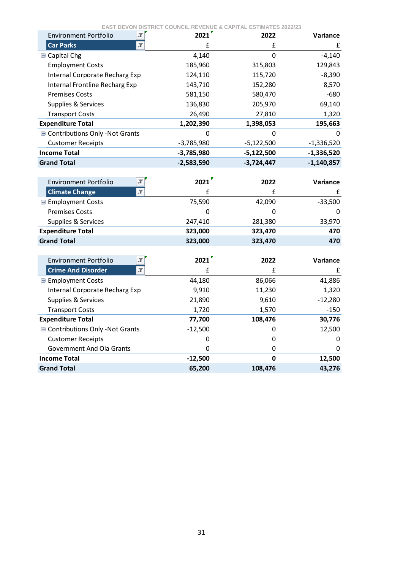| T<br><b>Environment Portfolio</b>                | 2021         | 2022         | Variance     |
|--------------------------------------------------|--------------|--------------|--------------|
| <b>Car Parks</b><br>$\overline{\mathbf{r}}$      | £            | £            | £            |
| <b>■ Capital Chg</b>                             | 4,140        | $\mathbf 0$  | $-4,140$     |
| <b>Employment Costs</b>                          | 185,960      | 315,803      | 129,843      |
| Internal Corporate Recharg Exp                   | 124,110      | 115,720      | $-8,390$     |
| Internal Frontline Recharg Exp                   | 143,710      | 152,280      | 8,570        |
| <b>Premises Costs</b>                            | 581,150      | 580,470      | $-680$       |
| Supplies & Services                              | 136,830      | 205,970      | 69,140       |
| <b>Transport Costs</b>                           | 26,490       | 27,810       | 1,320        |
| <b>Expenditure Total</b>                         | 1,202,390    | 1,398,053    | 195,663      |
| Contributions Only - Not Grants                  | $\Omega$     | $\Omega$     |              |
| <b>Customer Receipts</b>                         | $-3,785,980$ | $-5,122,500$ | $-1,336,520$ |
| <b>Income Total</b>                              | $-3,785,980$ | $-5,122,500$ | $-1,336,520$ |
| <b>Grand Total</b>                               | $-2,583,590$ | $-3,724,447$ | $-1,140,857$ |
|                                                  |              |              |              |
| $\blacksquare$<br><b>Environment Portfolio</b>   | 2021         | 2022         | Variance     |
| $\overline{\mathbf{r}}$<br><b>Climate Change</b> | £            | £            | £            |
| <b>E</b> Employment Costs                        | 75,590       | 42,090       | $-33,500$    |
| <b>Premises Costs</b>                            | 0            | 0            | 0            |
| Supplies & Services                              | 247,410      | 281,380      | 33,970       |
| <b>Expenditure Total</b>                         | 323,000      | 323,470      | 470          |
| <b>Grand Total</b>                               | 323,000      | 323,470      | 470          |
|                                                  |              |              |              |
| <b>Environment Portfolio</b>                     | 2021         | 2022         | Variance     |
| <b>Crime And Disorder</b><br>T                   | £            | £            | £            |
| <b>■ Employment Costs</b>                        | 44,180       | 86,066       | 41,886       |
| Internal Corporate Recharg Exp                   | 9,910        | 11,230       | 1,320        |
| Supplies & Services                              | 21,890       | 9,610        | $-12,280$    |
| <b>Transport Costs</b>                           | 1,720        | 1,570        | $-150$       |
| <b>Expenditure Total</b>                         | 77,700       | 108,476      | 30,776       |
| Contributions Only - Not Grants                  | $-12,500$    | 0            | 12,500       |
| <b>Customer Receipts</b>                         | 0            | 0            | 0            |
| <b>Government And Ola Grants</b>                 | 0            | 0            | 0            |
| <b>Income Total</b>                              | $-12,500$    | $\mathbf 0$  | 12,500       |
| <b>Grand Total</b>                               | 65,200       | 108,476      | 43,276       |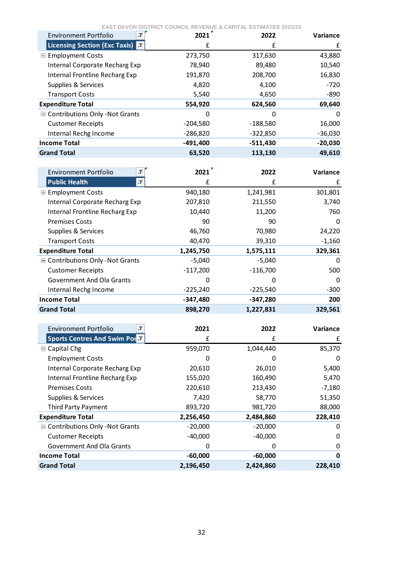| <b>EAST DEVON DISTRICT COUNCIL REVENUE &amp; CAPITAL ESTIMATES 2022/23</b> |  |  |
|----------------------------------------------------------------------------|--|--|
|----------------------------------------------------------------------------|--|--|

| <b>Environment Portfolio</b><br>л    | 2021       | 2022       | <b>Variance</b> |
|--------------------------------------|------------|------------|-----------------|
| <b>Licensing Section (Exc Taxis)</b> | £          | f          | £               |
| <b>■ Employment Costs</b>            | 273,750    | 317,630    | 43,880          |
| Internal Corporate Recharg Exp       | 78,940     | 89,480     | 10,540          |
| Internal Frontline Recharg Exp       | 191,870    | 208,700    | 16,830          |
| Supplies & Services                  | 4,820      | 4,100      | $-720$          |
| <b>Transport Costs</b>               | 5,540      | 4,650      | -890            |
| <b>Expenditure Total</b>             | 554,920    | 624,560    | 69,640          |
| ■ Contributions Only -Not Grants     | 0          | 0          | 0               |
| <b>Customer Receipts</b>             | $-204,580$ | $-188,580$ | 16,000          |
| Internal Rechg Income                | $-286,820$ | $-322,850$ | $-36,030$       |
| <b>Income Total</b>                  | $-491,400$ | $-511,430$ | $-20,030$       |
| <b>Grand Total</b>                   | 63,520     | 113,130    | 49,610          |

| <b>Environment Portfolio</b>            | 2021       | 2022       | Variance |
|-----------------------------------------|------------|------------|----------|
| <b>Public Health</b><br>л               | £          | £          | £        |
| <b>E</b> Employment Costs               | 940,180    | 1,241,981  | 301,801  |
| Internal Corporate Recharg Exp          | 207,810    | 211,550    | 3,740    |
| Internal Frontline Recharg Exp          | 10,440     | 11,200     | 760      |
| <b>Premises Costs</b>                   | 90         | 90         | 0        |
| Supplies & Services                     | 46,760     | 70,980     | 24,220   |
| <b>Transport Costs</b>                  | 40,470     | 39,310     | $-1,160$ |
| <b>Expenditure Total</b>                | 1,245,750  | 1,575,111  | 329,361  |
| <b>■ Contributions Only -Not Grants</b> | $-5,040$   | $-5,040$   | 0        |
| <b>Customer Receipts</b>                | $-117,200$ | $-116,700$ | 500      |
| <b>Government And Ola Grants</b>        | 0          | 0          | 0        |
| Internal Rechg Income                   | $-225,240$ | $-225,540$ | $-300$   |
| <b>Income Total</b>                     | $-347,480$ | $-347,280$ | 200      |
| <b>Grand Total</b>                      | 898,270    | 1,227,831  | 329,561  |

| л<br><b>Environment Portfolio</b>    | 2021      | 2022      | <b>Variance</b> |
|--------------------------------------|-----------|-----------|-----------------|
| <b>Sports Centres And Swim Podat</b> | £         | £         | £               |
| $\blacksquare$ Capital Chg           | 959,070   | 1,044,440 | 85,370          |
| <b>Employment Costs</b>              | O         | 0         | 0               |
| Internal Corporate Recharg Exp       | 20,610    | 26,010    | 5,400           |
| Internal Frontline Recharg Exp       | 155,020   | 160,490   | 5,470           |
| <b>Premises Costs</b>                | 220,610   | 213,430   | $-7,180$        |
| Supplies & Services                  | 7,420     | 58,770    | 51,350          |
| <b>Third Party Payment</b>           | 893,720   | 981,720   | 88,000          |
| <b>Expenditure Total</b>             | 2,256,450 | 2,484,860 | 228,410         |
| ■ Contributions Only -Not Grants     | $-20,000$ | $-20,000$ | O               |
| <b>Customer Receipts</b>             | $-40,000$ | $-40,000$ | 0               |
| Government And Ola Grants            |           | 0         | 0               |
| <b>Income Total</b>                  | $-60,000$ | $-60,000$ | 0               |
| <b>Grand Total</b>                   | 2,196,450 | 2,424,860 | 228,410         |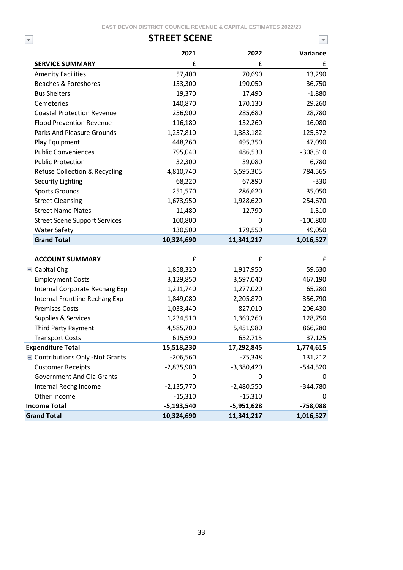$\blacktriangledown$ 

### **STREET SCENE**

 $\overline{\mathbf{v}}$ 

|                                         | 2021           | 2022         | Variance   |
|-----------------------------------------|----------------|--------------|------------|
| <b>SERVICE SUMMARY</b>                  | £              | £            | £          |
| <b>Amenity Facilities</b>               | 57,400         | 70,690       | 13,290     |
| Beaches & Foreshores                    | 153,300        | 190,050      | 36,750     |
| <b>Bus Shelters</b>                     | 19,370         | 17,490       | $-1,880$   |
| Cemeteries                              | 140,870        | 170,130      | 29,260     |
| <b>Coastal Protection Revenue</b>       | 256,900        | 285,680      | 28,780     |
| <b>Flood Prevention Revenue</b>         | 116,180        | 132,260      | 16,080     |
| <b>Parks And Pleasure Grounds</b>       | 1,257,810      | 1,383,182    | 125,372    |
| Play Equipment                          | 448,260        | 495,350      | 47,090     |
| <b>Public Conveniences</b>              | 795,040        | 486,530      | $-308,510$ |
| <b>Public Protection</b>                | 32,300         | 39,080       | 6,780      |
| Refuse Collection & Recycling           | 4,810,740      | 5,595,305    | 784,565    |
| Security Lighting                       | 68,220         | 67,890       | $-330$     |
| Sports Grounds                          | 251,570        | 286,620      | 35,050     |
| <b>Street Cleansing</b>                 | 1,673,950      | 1,928,620    | 254,670    |
| <b>Street Name Plates</b>               | 11,480         | 12,790       | 1,310      |
| <b>Street Scene Support Services</b>    | 100,800        | 0            | $-100,800$ |
| <b>Water Safety</b>                     | 130,500        | 179,550      | 49,050     |
| <b>Grand Total</b>                      | 10,324,690     | 11,341,217   | 1,016,527  |
| <b>ACCOUNT SUMMARY</b>                  | £              | £            | £          |
| <b>■ Capital Chg</b>                    | 1,858,320      | 1,917,950    | 59,630     |
| <b>Employment Costs</b>                 | 3,129,850      | 3,597,040    | 467,190    |
| Internal Corporate Recharg Exp          | 1,211,740      | 1,277,020    | 65,280     |
| Internal Frontline Recharg Exp          | 1,849,080      | 2,205,870    | 356,790    |
| <b>Premises Costs</b>                   | 1,033,440      | 827,010      | $-206,430$ |
| Supplies & Services                     | 1,234,510      | 1,363,260    | 128,750    |
| Third Party Payment                     | 4,585,700      | 5,451,980    | 866,280    |
| <b>Transport Costs</b>                  | 615,590        | 652,715      | 37,125     |
| <b>Expenditure Total</b>                | 15,518,230     | 17,292,845   | 1,774,615  |
| <b>■ Contributions Only -Not Grants</b> | $-206,560$     | $-75,348$    | 131,212    |
| <b>Customer Receipts</b>                | $-2,835,900$   | $-3,380,420$ | $-544,520$ |
| Government And Ola Grants               | 0              | 0            | 0          |
| Internal Rechg Income                   | $-2,135,770$   | $-2,480,550$ | $-344,780$ |
| Other Income                            | $-15,310$      | $-15,310$    | 0          |
| <b>Income Total</b>                     | $-5, 193, 540$ | $-5,951,628$ | -758,088   |
| <b>Grand Total</b>                      | 10,324,690     | 11,341,217   | 1,016,527  |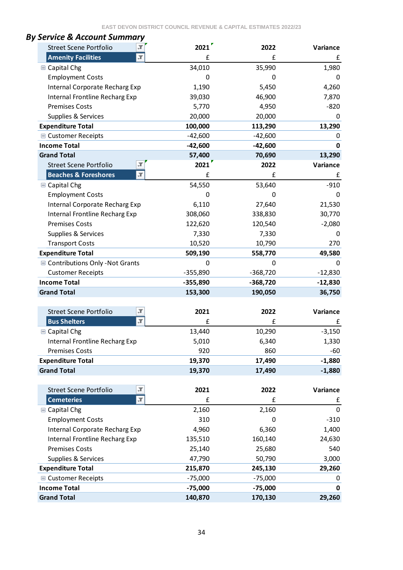| <b>Street Scene Portfolio</b>                           | 2021                   | 2022                   | Variance    |
|---------------------------------------------------------|------------------------|------------------------|-------------|
| <b>Amenity Facilities</b><br>$\mathbf{F}$               | £                      | £                      | £           |
| <b>■ Capital Chg</b>                                    | 34,010                 | 35,990                 | 1,980       |
| <b>Employment Costs</b>                                 | 0                      | 0                      | 0           |
| Internal Corporate Recharg Exp                          | 1,190                  | 5,450                  | 4,260       |
| Internal Frontline Recharg Exp                          | 39,030                 | 46,900                 | 7,870       |
| <b>Premises Costs</b>                                   | 5,770                  | 4,950                  | $-820$      |
| Supplies & Services                                     | 20,000                 | 20,000                 | 0           |
| <b>Expenditure Total</b>                                | 100,000                | 113,290                | 13,290      |
| ■ Customer Receipts                                     | $-42,600$              | $-42,600$              | 0           |
| <b>Income Total</b>                                     | $-42,600$              | $-42,600$              | 0           |
| <b>Grand Total</b>                                      | 57,400                 | 70,690                 | 13,290      |
| T<br><b>Street Scene Portfolio</b>                      | 2021                   | 2022                   | Variance    |
| <b>Beaches &amp; Foreshores</b><br>$\mathbf{T}$         | £                      | £                      | £           |
| <b>■ Capital Chg</b>                                    | 54,550                 | 53,640                 | $-910$      |
| <b>Employment Costs</b>                                 | 0                      | 0                      | 0           |
| Internal Corporate Recharg Exp                          | 6,110                  | 27,640                 | 21,530      |
| Internal Frontline Recharg Exp                          | 308,060                | 338,830                | 30,770      |
| <b>Premises Costs</b>                                   | 122,620                | 120,540                | $-2,080$    |
| Supplies & Services                                     | 7,330                  | 7,330                  | 0           |
| <b>Transport Costs</b>                                  | 10,520                 | 10,790                 | 270         |
| <b>Expenditure Total</b>                                | 509,190                | 558,770                | 49,580      |
| ■ Contributions Only -Not Grants                        | 0                      | 0                      | 0           |
| <b>Customer Receipts</b>                                | $-355,890$             | $-368,720$             | $-12,830$   |
| <b>Income Total</b>                                     | $-355,890$             | $-368,720$             | $-12,830$   |
| <b>Grand Total</b>                                      | 153,300                | 190,050                | 36,750      |
|                                                         |                        |                        |             |
| <b>Street Scene Portfolio</b><br>F                      | 2021                   | 2022                   | Variance    |
| $\overline{\mathbb{T}}$<br><b>Bus Shelters</b>          | £                      | £                      | £           |
| <b>■ Capital Chg</b>                                    | 13,440                 | 10,290                 | $-3,150$    |
| Internal Frontline Recharg Exp                          | 5,010                  | 6,340                  | 1,330       |
| <b>Premises Costs</b>                                   | 920                    | 860                    | $-60$       |
| <b>Expenditure Total</b>                                | 19,370                 | 17,490                 | $-1,880$    |
| <b>Grand Total</b>                                      | 19,370                 | 17,490                 | $-1,880$    |
|                                                         |                        |                        |             |
| Л<br><b>Street Scene Portfolio</b>                      | 2021                   | 2022                   | Variance    |
| $\vert \mathbf{r} \vert$<br><b>Cemeteries</b>           | £                      | £                      | £           |
| <b>■ Capital Chg</b>                                    | 2,160                  | 2,160                  | $\mathbf 0$ |
| <b>Employment Costs</b>                                 | 310                    | 0                      | $-310$      |
|                                                         | 4,960                  | 6,360                  | 1,400       |
| Internal Corporate Recharg Exp                          |                        | 160,140                | 24,630      |
|                                                         |                        |                        |             |
| Internal Frontline Recharg Exp<br><b>Premises Costs</b> | 135,510                |                        | 540         |
|                                                         | 25,140                 | 25,680                 |             |
| Supplies & Services                                     | 47,790                 | 50,790                 | 3,000       |
| <b>Expenditure Total</b>                                | 215,870                | 245,130                | 29,260<br>0 |
| <b>■ Customer Receipts</b><br><b>Income Total</b>       | $-75,000$<br>$-75,000$ | $-75,000$<br>$-75,000$ | $\mathbf 0$ |

# *By Service & Account Summary*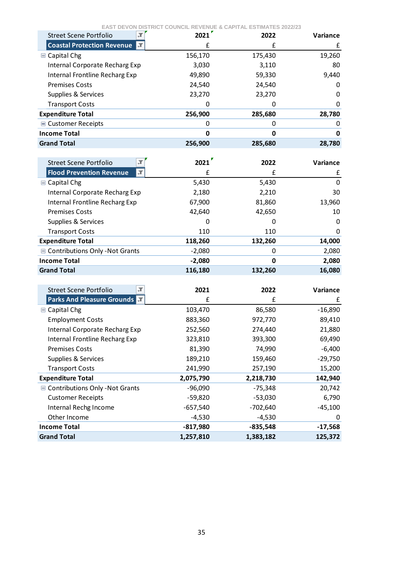| <b>Street Scene Portfolio</b>  | 2021    | 2022    | Variance |
|--------------------------------|---------|---------|----------|
| Coastal Protection Revenue     |         | f       | £        |
| $\blacksquare$ Capital Chg     | 156,170 | 175,430 | 19,260   |
| Internal Corporate Recharg Exp | 3,030   | 3,110   | 80       |
| Internal Frontline Recharg Exp | 49,890  | 59,330  | 9,440    |
| <b>Premises Costs</b>          | 24,540  | 24,540  | 0        |
| Supplies & Services            | 23,270  | 23,270  | 0        |
| <b>Transport Costs</b>         |         | 0       | 0        |
| <b>Expenditure Total</b>       | 256,900 | 285,680 | 28,780   |
| ■ Customer Receipts            |         | 0       | 0        |
| <b>Income Total</b>            | O       | 0       | 0        |
| <b>Grand Total</b>             | 256,900 | 285,680 | 28,780   |

| Street Scene Portfolio           | 2021     | 2022    | Variance |
|----------------------------------|----------|---------|----------|
| Flood Prevention Revenue<br>I JT | f        | £       | f        |
| $\blacksquare$ Capital Chg       | 5,430    | 5,430   | 0        |
| Internal Corporate Recharg Exp   | 2,180    | 2,210   | 30       |
| Internal Frontline Recharg Exp   | 67,900   | 81,860  | 13,960   |
| <b>Premises Costs</b>            | 42.640   | 42,650  | 10       |
| Supplies & Services              |          | 0       | 0        |
| <b>Transport Costs</b>           | 110      | 110     | 0        |
| <b>Expenditure Total</b>         | 118,260  | 132,260 | 14,000   |
| ■ Contributions Only -Not Grants | $-2,080$ | ი       | 2,080    |
| <b>Income Total</b>              | $-2,080$ | 0       | 2,080    |
| <b>Grand Total</b>               | 116,180  | 132,260 | 16,080   |

| л<br>Street Scene Portfolio       | 2021       | 2022       | <b>Variance</b> |
|-----------------------------------|------------|------------|-----------------|
| <b>Parks And Pleasure Grounds</b> | £          | £          | £               |
| $\Box$ Capital Chg                | 103,470    | 86,580     | $-16,890$       |
| <b>Employment Costs</b>           | 883,360    | 972,770    | 89,410          |
| Internal Corporate Recharg Exp    | 252,560    | 274,440    | 21,880          |
| Internal Frontline Recharg Exp    | 323,810    | 393,300    | 69,490          |
| <b>Premises Costs</b>             | 81,390     | 74,990     | $-6,400$        |
| Supplies & Services               | 189,210    | 159,460    | $-29,750$       |
| <b>Transport Costs</b>            | 241,990    | 257,190    | 15,200          |
| <b>Expenditure Total</b>          | 2,075,790  | 2,218,730  | 142,940         |
| ■ Contributions Only -Not Grants  | $-96,090$  | $-75,348$  | 20,742          |
| <b>Customer Receipts</b>          | -59,820    | $-53,030$  | 6,790           |
| Internal Rechg Income             | $-657,540$ | $-702,640$ | $-45,100$       |
| Other Income                      | $-4,530$   | $-4,530$   | 0               |
| <b>Income Total</b>               | $-817,980$ | $-835,548$ | $-17,568$       |
| <b>Grand Total</b>                | 1,257,810  | 1,383,182  | 125,372         |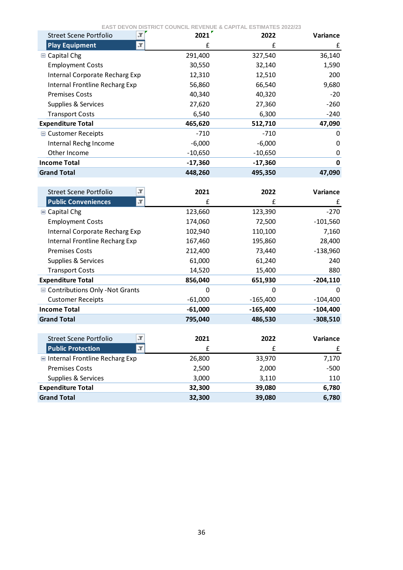| $\mathcal{F}$<br><b>Street Scene Portfolio</b> | 2021      | 2022      | <b>Variance</b> |
|------------------------------------------------|-----------|-----------|-----------------|
| <b>Play Equipment</b>                          | £         | f         | £               |
| $\blacksquare$ Capital Chg                     | 291,400   | 327,540   | 36,140          |
| <b>Employment Costs</b>                        | 30,550    | 32,140    | 1,590           |
| Internal Corporate Recharg Exp                 | 12,310    | 12,510    | 200             |
| Internal Frontline Recharg Exp                 | 56,860    | 66,540    | 9,680           |
| <b>Premises Costs</b>                          | 40,340    | 40,320    | $-20$           |
| Supplies & Services                            | 27,620    | 27,360    | $-260$          |
| <b>Transport Costs</b>                         | 6,540     | 6,300     | $-240$          |
| <b>Expenditure Total</b>                       | 465,620   | 512,710   | 47,090          |
| <b>■ Customer Receipts</b>                     | -710      | -710      | O               |
| Internal Rechg Income                          | $-6,000$  | $-6,000$  | O               |
| Other Income                                   | $-10,650$ | $-10,650$ | 0               |
| <b>Income Total</b>                            | $-17,360$ | $-17,360$ | 0               |
| <b>Grand Total</b>                             | 448,260   | 495,350   | 47,090          |

| л<br>Street Scene Portfolio        | 2021      | 2022       | <b>Variance</b> |
|------------------------------------|-----------|------------|-----------------|
| <b>Public Conveniences</b><br>J    | £         | £          | £               |
| <b>■ Capital Chg</b>               | 123,660   | 123,390    | $-270$          |
| <b>Employment Costs</b>            | 174,060   | 72,500     | $-101,560$      |
| Internal Corporate Recharg Exp     | 102,940   | 110,100    | 7,160           |
| Internal Frontline Recharg Exp     | 167,460   | 195,860    | 28,400          |
| <b>Premises Costs</b>              | 212,400   | 73,440     | $-138,960$      |
| Supplies & Services                | 61,000    | 61,240     | 240             |
| <b>Transport Costs</b>             | 14,520    | 15,400     | 880             |
| <b>Expenditure Total</b>           | 856,040   | 651,930    | $-204,110$      |
| Contributions Only - Not Grants    | 0         | 0          | $\Omega$        |
| <b>Customer Receipts</b>           | $-61,000$ | $-165,400$ | $-104,400$      |
| <b>Income Total</b>                | $-61,000$ | $-165,400$ | $-104,400$      |
| <b>Grand Total</b>                 | 795,040   | 486,530    | $-308,510$      |
|                                    |           |            |                 |
| <b>Street Scene Portfolio</b><br>J | 2021      | 2022       | Variance        |
| <b>Public Protection</b><br>JT.    | £         | £          | £               |
| Internal Frontline Recharg Exp     | 26,800    | 33,970     | 7,170           |
| <b>Premises Costs</b>              | 2,500     | 2,000      | $-500$          |
| Supplies & Services                | 3,000     | 3,110      | 110             |
| <b>Expenditure Total</b>           | 32,300    | 39,080     | 6,780           |
| <b>Grand Total</b>                 | 32,300    | 39,080     | 6,780           |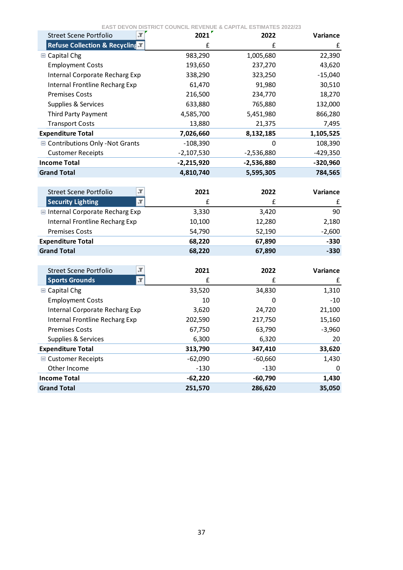| ŢГ<br><b>Street Scene Portfolio</b>                  | 2021         | 2022         | Variance   |
|------------------------------------------------------|--------------|--------------|------------|
| Refuse Collection & Recycling                        | £            | £            | £          |
| <b>■ Capital Chg</b>                                 | 983,290      | 1,005,680    | 22,390     |
| <b>Employment Costs</b>                              | 193,650      | 237,270      | 43,620     |
| Internal Corporate Recharg Exp                       | 338,290      | 323,250      | $-15,040$  |
| Internal Frontline Recharg Exp                       | 61,470       | 91,980       | 30,510     |
| <b>Premises Costs</b>                                | 216,500      | 234,770      | 18,270     |
| Supplies & Services                                  | 633,880      | 765,880      | 132,000    |
| Third Party Payment                                  | 4,585,700    | 5,451,980    | 866,280    |
| <b>Transport Costs</b>                               | 13,880       | 21,375       | 7,495      |
| <b>Expenditure Total</b>                             | 7,026,660    | 8,132,185    | 1,105,525  |
| <b>■ Contributions Only -Not Grants</b>              | $-108,390$   | 0            | 108,390    |
| <b>Customer Receipts</b>                             | $-2,107,530$ | $-2,536,880$ | $-429,350$ |
| <b>Income Total</b>                                  | $-2,215,920$ | $-2,536,880$ | $-320,960$ |
| <b>Grand Total</b>                                   | 4,810,740    | 5,595,305    | 784,565    |
|                                                      |              |              |            |
| Л<br><b>Street Scene Portfolio</b>                   | 2021         | 2022         | Variance   |
| $\overline{\mathcal{X}}$<br><b>Security Lighting</b> | £            | £            | £          |
| Internal Corporate Recharg Exp                       | 3,330        | 3,420        | 90         |
| <b>Internal Frontline Recharg Exp</b>                | 10,100       | 12,280       | 2,180      |
| <b>Premises Costs</b>                                | 54,790       | 52,190       | $-2,600$   |
| <b>Expenditure Total</b>                             | 68,220       | 67,890       | $-330$     |
| <b>Grand Total</b>                                   | 68,220       | 67,890       | $-330$     |
|                                                      |              |              |            |
| "Т<br><b>Street Scene Portfolio</b>                  | 2021         | 2022         | Variance   |
| $\overline{\mathbf{r}}$<br><b>Sports Grounds</b>     | £            | £            | £          |
| <b>■ Capital Chg</b>                                 | 33,520       | 34,830       | 1,310      |
| <b>Employment Costs</b>                              | 10           | 0            | $-10$      |
| Internal Corporate Recharg Exp                       | 3,620        | 24,720       | 21,100     |
| Internal Frontline Recharg Exp                       | 202,590      | 217,750      | 15,160     |
| <b>Premises Costs</b>                                | 67,750       | 63,790       | $-3,960$   |
| Supplies & Services                                  | 6,300        | 6,320        | 20         |
| <b>Expenditure Total</b>                             | 313,790      | 347,410      | 33,620     |
| ■ Customer Receipts                                  | $-62,090$    | $-60,660$    | 1,430      |
| Other Income                                         | $-130$       | $-130$       | 0          |
| <b>Income Total</b>                                  | $-62,220$    | $-60,790$    | 1,430      |
| <b>Grand Total</b>                                   | 251,570      | 286,620      | 35,050     |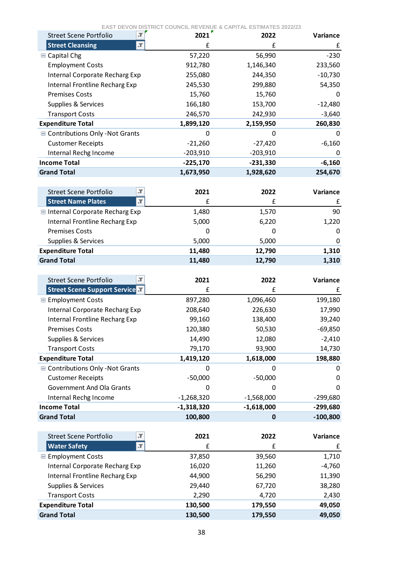| $\mathbf{r}$<br><b>Street Scene Portfolio</b>        | 2021               | 2022               | Variance         |
|------------------------------------------------------|--------------------|--------------------|------------------|
| <b>Street Cleansing</b><br>$\mathbf{r}$              | £                  | £                  | £                |
| <b>■ Capital Chg</b>                                 | 57,220             | 56,990             | $-230$           |
| <b>Employment Costs</b>                              | 912,780            | 1,146,340          | 233,560          |
| Internal Corporate Recharg Exp                       | 255,080            | 244,350            | $-10,730$        |
| Internal Frontline Recharg Exp                       | 245,530            | 299,880            | 54,350           |
| <b>Premises Costs</b>                                | 15,760             | 15,760             | 0                |
| Supplies & Services                                  | 166,180            | 153,700            | $-12,480$        |
| <b>Transport Costs</b>                               | 246,570            | 242,930            | $-3,640$         |
| <b>Expenditure Total</b>                             | 1,899,120          | 2,159,950          | 260,830          |
| <b>■ Contributions Only -Not Grants</b>              | 0                  | 0                  | 0                |
| <b>Customer Receipts</b>                             | $-21,260$          | $-27,420$          | $-6,160$         |
| Internal Rechg Income                                | $-203,910$         | $-203,910$         | 0                |
| <b>Income Total</b>                                  | $-225,170$         | $-231,330$         | $-6,160$         |
| <b>Grand Total</b>                                   | 1,673,950          | 1,928,620          | 254,670          |
|                                                      |                    |                    |                  |
| Л<br><b>Street Scene Portfolio</b>                   | 2021               | 2022               | Variance         |
| $\overline{\mathbf{r}}$<br><b>Street Name Plates</b> | £                  | £                  | £                |
| Internal Corporate Recharg Exp                       | 1,480              | 1,570              | 90               |
| Internal Frontline Recharg Exp                       | 5,000              | 6,220              | 1,220            |
| <b>Premises Costs</b>                                | 0                  | 0                  | 0                |
| Supplies & Services                                  | 5,000              | 5,000              | 0                |
| <b>Expenditure Total</b>                             | 11,480             | 12,790             | 1,310            |
| <b>Grand Total</b>                                   | 11,480             | 12,790             | 1,310            |
|                                                      |                    |                    |                  |
|                                                      |                    |                    |                  |
| <b>Street Scene Portfolio</b><br>Л                   | 2021               | 2022               | Variance         |
| <b>Street Scene Support Service</b>                  | £                  | £                  | £                |
| <b>■ Employment Costs</b>                            | 897,280            | 1,096,460          | 199,180          |
| Internal Corporate Recharg Exp                       | 208,640            | 226,630            | 17,990           |
| Internal Frontline Recharg Exp                       | 99,160             | 138,400            | 39,240           |
| <b>Premises Costs</b>                                | 120,380            | 50,530             | $-69,850$        |
| Supplies & Services                                  | 14,490             | 12,080             | $-2,410$         |
| <b>Transport Costs</b>                               | 79,170             | 93,900             | 14,730           |
| <b>Expenditure Total</b>                             | 1,419,120          | 1,618,000          | 198,880          |
| Contributions Only - Not Grants                      | 0                  | 0                  | 0                |
| <b>Customer Receipts</b>                             | $-50,000$          | $-50,000$          | 0                |
| Government And Ola Grants                            | 0                  | O                  | 0                |
| Internal Rechg Income                                | $-1,268,320$       | $-1,568,000$       | $-299,680$       |
| <b>Income Total</b>                                  | $-1,318,320$       | $-1,618,000$       | $-299,680$       |
| <b>Grand Total</b>                                   | 100,800            | $\mathbf 0$        | $-100,800$       |
|                                                      |                    |                    |                  |
| Л<br><b>Street Scene Portfolio</b>                   | 2021               | 2022               | Variance         |
| <b>Water Safety</b><br>Л                             | £                  | £                  | £                |
| <b>■ Employment Costs</b>                            | 37,850             | 39,560             | 1,710            |
| Internal Corporate Recharg Exp                       | 16,020             | 11,260             | $-4,760$         |
| Internal Frontline Recharg Exp                       | 44,900             | 56,290             | 11,390           |
| Supplies & Services                                  | 29,440             | 67,720             | 38,280           |
| <b>Transport Costs</b>                               | 2,290              | 4,720              | 2,430            |
| <b>Expenditure Total</b><br><b>Grand Total</b>       | 130,500<br>130,500 | 179,550<br>179,550 | 49,050<br>49,050 |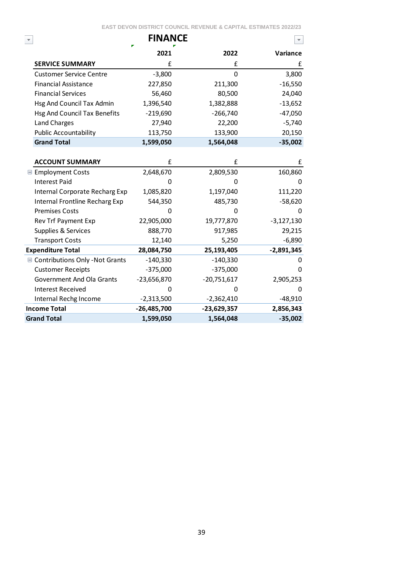|                                  | <b>FINANCE</b> |               |              |
|----------------------------------|----------------|---------------|--------------|
|                                  | 2021           | 2022          | Variance     |
| <b>SERVICE SUMMARY</b>           | £              | £             | £            |
| <b>Customer Service Centre</b>   | $-3,800$       | 0             | 3,800        |
| <b>Financial Assistance</b>      | 227,850        | 211,300       | $-16,550$    |
| <b>Financial Services</b>        | 56,460         | 80,500        | 24,040       |
| Hsg And Council Tax Admin        | 1,396,540      | 1,382,888     | $-13,652$    |
| Hsg And Council Tax Benefits     | $-219,690$     | $-266,740$    | $-47,050$    |
| <b>Land Charges</b>              | 27,940         | 22,200        | $-5,740$     |
| <b>Public Accountability</b>     | 113,750        | 133,900       | 20,150       |
| <b>Grand Total</b>               | 1,599,050      | 1,564,048     | $-35,002$    |
|                                  |                |               |              |
| <b>ACCOUNT SUMMARY</b>           | f              | £             | £            |
| <b>■ Employment Costs</b>        | 2,648,670      | 2,809,530     | 160,860      |
| <b>Interest Paid</b>             | 0              | 0             | 0            |
| Internal Corporate Recharg Exp   | 1,085,820      | 1,197,040     | 111,220      |
| Internal Frontline Recharg Exp   | 544,350        | 485,730       | $-58,620$    |
| <b>Premises Costs</b>            | 0              | 0             | 0            |
| Rev Trf Payment Exp              | 22,905,000     | 19,777,870    | $-3,127,130$ |
| Supplies & Services              | 888,770        | 917,985       | 29,215       |
| <b>Transport Costs</b>           | 12,140         | 5,250         | $-6,890$     |
| <b>Expenditure Total</b>         | 28,084,750     | 25,193,405    | $-2,891,345$ |
| ■ Contributions Only -Not Grants | $-140,330$     | $-140,330$    | 0            |
| <b>Customer Receipts</b>         | $-375,000$     | $-375,000$    | 0            |
| <b>Government And Ola Grants</b> | $-23,656,870$  | $-20,751,617$ | 2,905,253    |
| <b>Interest Received</b>         | n              | 0             | 0            |
| Internal Rechg Income            | $-2,313,500$   | $-2,362,410$  | $-48,910$    |
| <b>Income Total</b>              | $-26,485,700$  | $-23,629,357$ | 2,856,343    |
| <b>Grand Total</b>               | 1,599,050      | 1,564,048     | $-35,002$    |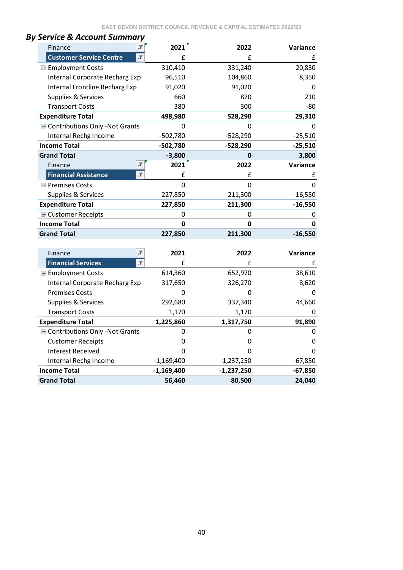| Finance                         | 2021         | 2022         | Variance    |
|---------------------------------|--------------|--------------|-------------|
| <b>Customer Service Centre</b>  | £            | £            | £           |
| <b>■ Employment Costs</b>       | 310,410      | 331,240      | 20,830      |
| Internal Corporate Recharg Exp  | 96,510       | 104,860      | 8,350       |
| Internal Frontline Recharg Exp  | 91,020       | 91,020       | 0           |
| Supplies & Services             | 660          | 870          | 210         |
| <b>Transport Costs</b>          | 380          | 300          | $-80$       |
| <b>Expenditure Total</b>        | 498,980      | 528,290      | 29,310      |
| Contributions Only - Not Grants | 0            | 0            | 0           |
| Internal Rechg Income           | $-502,780$   | $-528,290$   | $-25,510$   |
| <b>Income Total</b>             | $-502,780$   | $-528,290$   | $-25,510$   |
| <b>Grand Total</b>              | $-3,800$     | $\mathbf 0$  | 3,800       |
| Finance                         | 2021         | 2022         | Variance    |
| <b>Financial Assistance</b>     | J<br>£       | £            | £           |
| <b>□ Premises Costs</b>         | 0            | $\mathbf 0$  | $\mathbf 0$ |
| Supplies & Services             | 227,850      | 211,300      | $-16,550$   |
| <b>Expenditure Total</b>        | 227,850      | 211,300      | $-16,550$   |
| <b>■ Customer Receipts</b>      | 0            | 0            | 0           |
| <b>Income Total</b>             | 0            | $\mathbf 0$  | 0           |
| <b>Grand Total</b>              | 227,850      | 211,300      | $-16,550$   |
|                                 |              |              |             |
| Finance                         | "Т<br>2021   | 2022         | Variance    |
| <b>Financial Services</b>       | л<br>£       | £            | £           |
| Employment Costs                | 614,360      | 652,970      | 38,610      |
| Internal Corporate Recharg Exp  | 317,650      | 326,270      | 8,620       |
| <b>Premises Costs</b>           | 0            | 0            | 0           |
| Supplies & Services             | 292,680      | 337,340      | 44,660      |
| <b>Transport Costs</b>          | 1,170        | 1,170        | 0           |
| <b>Expenditure Total</b>        | 1,225,860    | 1,317,750    | 91,890      |
| Contributions Only - Not Grants | 0            | 0            | 0           |
| <b>Customer Receipts</b>        | 0            | 0            | 0           |
| <b>Interest Received</b>        | 0            | 0            | $\pmb{0}$   |
| Internal Rechg Income           | $-1,169,400$ | $-1,237,250$ | $-67,850$   |
| <b>Income Total</b>             | $-1,169,400$ | $-1,237,250$ | $-67,850$   |
| <b>Grand Total</b>              | 56,460       | 80,500       | 24,040      |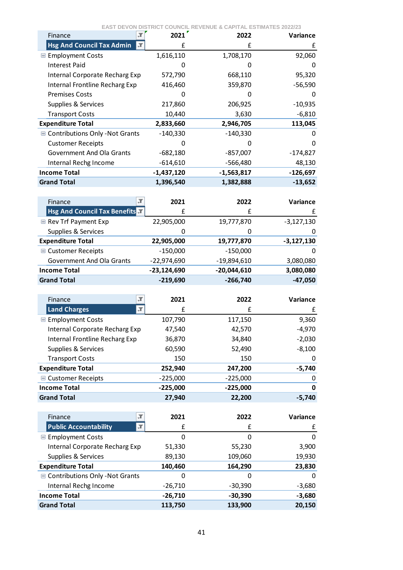|  | <b>EAST DEVON DISTRICT COUNCIL REVENUE &amp; CAPITAL ESTIMATES 2022/23</b> |
|--|----------------------------------------------------------------------------|
|  |                                                                            |

| Finance                           | 2021         | 2022         | <b>Variance</b> |
|-----------------------------------|--------------|--------------|-----------------|
| <b>Hsg And Council Tax Admin</b>  | £<br>÷Т.     | £            | £               |
| <b>■ Employment Costs</b>         | 1,616,110    | 1,708,170    | 92,060          |
| <b>Interest Paid</b>              |              |              | 0               |
| Internal Corporate Recharg Exp    | 572,790      | 668,110      | 95,320          |
| Internal Frontline Recharg Exp    | 416,460      | 359,870      | $-56,590$       |
| <b>Premises Costs</b>             |              |              | 0               |
| Supplies & Services               | 217,860      | 206,925      | $-10,935$       |
| <b>Transport Costs</b>            | 10,440       | 3,630        | $-6,810$        |
| <b>Expenditure Total</b>          | 2,833,660    | 2,946,705    | 113,045         |
| ■ Contributions Only - Not Grants | $-140,330$   | $-140,330$   | 0               |
| <b>Customer Receipts</b>          |              |              | 0               |
| Government And Ola Grants         | $-682,180$   | $-857,007$   | -174,827        |
| Internal Rechg Income             | $-614,610$   | $-566,480$   | 48,130          |
| <b>Income Total</b>               | $-1,437,120$ | $-1,563,817$ | $-126,697$      |
| <b>Grand Total</b>                | 1,396,540    | 1,382,888    | $-13,652$       |

| Finance<br>-1                       | 2021          | 2022          | <b>Variance</b> |
|-------------------------------------|---------------|---------------|-----------------|
| <b>Hsg And Council Tax Benefits</b> | f             | f             | £               |
| Rev Trf Payment Exp                 | 22,905,000    | 19,777,870    | $-3,127,130$    |
| Supplies & Services                 | 0             | 0             | 0               |
| <b>Expenditure Total</b>            | 22,905,000    | 19,777,870    | $-3,127,130$    |
| ■ Customer Receipts                 | $-150,000$    | $-150,000$    | 0               |
| <b>Government And Ola Grants</b>    | $-22,974,690$ | $-19,894,610$ | 3,080,080       |
| <b>Income Total</b>                 | $-23,124,690$ | $-20,044,610$ | 3,080,080       |
| <b>Grand Total</b>                  | $-219,690$    | $-266,740$    | $-47,050$       |
|                                     |               |               |                 |

| Finance                        | Л<br>2021  | 2022       | Variance |
|--------------------------------|------------|------------|----------|
| Land Charges                   | л<br>£     | £          | £        |
| <b>E</b> Employment Costs      | 107,790    | 117,150    | 9,360    |
| Internal Corporate Recharg Exp | 47,540     | 42,570     | $-4,970$ |
| Internal Frontline Recharg Exp | 36,870     | 34,840     | $-2,030$ |
| Supplies & Services            | 60,590     | 52,490     | $-8,100$ |
| <b>Transport Costs</b>         | 150        | 150        | 0        |
| <b>Expenditure Total</b>       | 252,940    | 247,200    | -5,740   |
| ■ Customer Receipts            | $-225,000$ | $-225,000$ | 0        |
| <b>Income Total</b>            | $-225,000$ | $-225,000$ | 0        |
| <b>Grand Total</b>             | 27,940     | 22,200     | $-5,740$ |

| л<br>Finance                      | 2021      | 2022      | Variance |
|-----------------------------------|-----------|-----------|----------|
| <b>Public Accountability</b><br>л | f         | f         | £        |
| <b>E</b> Employment Costs         | 0         | 0         | 0        |
| Internal Corporate Recharg Exp    | 51,330    | 55,230    | 3,900    |
| Supplies & Services               | 89,130    | 109,060   | 19,930   |
| <b>Expenditure Total</b>          | 140,460   | 164,290   | 23,830   |
| ■ Contributions Only -Not Grants  | 0         | 0         | $\Omega$ |
| Internal Rechg Income             | $-26,710$ | $-30,390$ | $-3,680$ |
| <b>Income Total</b>               | $-26,710$ | $-30,390$ | $-3,680$ |
| <b>Grand Total</b>                | 113,750   | 133,900   | 20,150   |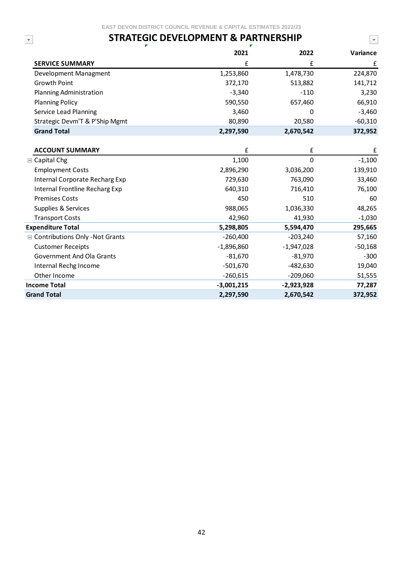## **STRATEGIC DEVELOPMENT & PARTNERSHIP**

 $\blacktriangledown$ 

 $\overline{\mathbf{v}}$ 

|                                         | 2021         | 2022         | Variance  |
|-----------------------------------------|--------------|--------------|-----------|
| <b>SERVICE SUMMARY</b>                  | £            | £            | £         |
| Development Managment                   | 1,253,860    | 1,478,730    | 224,870   |
| <b>Growth Point</b>                     | 372,170      | 513,882      | 141,712   |
| <b>Planning Administration</b>          | $-3,340$     | $-110$       | 3,230     |
| <b>Planning Policy</b>                  | 590,550      | 657,460      | 66,910    |
| Service Lead Planning                   | 3,460        | 0            | $-3,460$  |
| Strategic Devm'T & P'Ship Mgmt          | 80,890       | 20,580       | $-60,310$ |
| <b>Grand Total</b>                      | 2,297,590    | 2,670,542    | 372,952   |
|                                         |              |              |           |
| <b>ACCOUNT SUMMARY</b>                  | £            | $\mathbf f$  | £         |
| <b>■ Capital Chg</b>                    | 1,100        | $\mathbf 0$  | $-1,100$  |
| <b>Employment Costs</b>                 | 2,896,290    | 3,036,200    | 139,910   |
| Internal Corporate Recharg Exp          | 729,630      | 763,090      | 33,460    |
| Internal Frontline Recharg Exp          | 640,310      | 716,410      | 76,100    |
| <b>Premises Costs</b>                   | 450          | 510          | 60        |
| Supplies & Services                     | 988,065      | 1,036,330    | 48,265    |
| <b>Transport Costs</b>                  | 42,960       | 41,930       | $-1,030$  |
| <b>Expenditure Total</b>                | 5,298,805    | 5,594,470    | 295,665   |
| <b>■ Contributions Only -Not Grants</b> | $-260,400$   | $-203,240$   | 57,160    |
| <b>Customer Receipts</b>                | $-1,896,860$ | $-1,947,028$ | $-50,168$ |
| <b>Government And Ola Grants</b>        | $-81,670$    | $-81,970$    | $-300$    |
| Internal Rechg Income                   | $-501,670$   | $-482,630$   | 19,040    |
| Other Income                            | $-260,615$   | $-209,060$   | 51,555    |
| <b>Income Total</b>                     | $-3,001,215$ | $-2,923,928$ | 77,287    |
| <b>Grand Total</b>                      | 2,297,590    | 2,670,542    | 372,952   |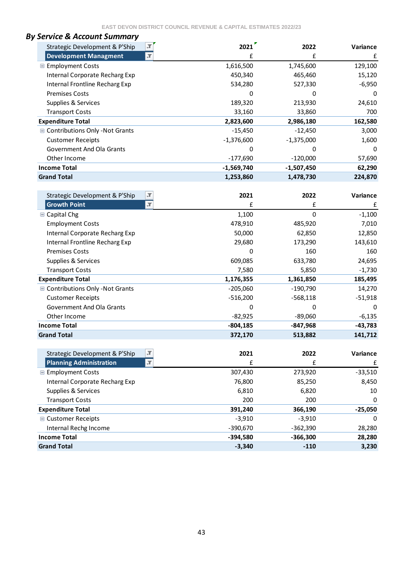| <b>By Service &amp; Account Summary</b>                    |              |              |                 |
|------------------------------------------------------------|--------------|--------------|-----------------|
| $\overline{\mathcal{M}}$<br>Strategic Development & P'Ship | 2021         | 2022         | <b>Variance</b> |
| $\mathbf{r}$<br><b>Development Managment</b>               | £            | £            | £               |
| <b>■ Employment Costs</b>                                  | 1,616,500    | 1,745,600    | 129,100         |
| Internal Corporate Recharg Exp                             | 450,340      | 465,460      | 15,120          |
| Internal Frontline Recharg Exp                             | 534,280      | 527,330      | $-6,950$        |
| <b>Premises Costs</b>                                      | 0            | O            | 0               |
| Supplies & Services                                        | 189,320      | 213,930      | 24,610          |
| <b>Transport Costs</b>                                     | 33,160       | 33,860       | 700             |
| <b>Expenditure Total</b>                                   | 2,823,600    | 2,986,180    | 162,580         |
| ■ Contributions Only -Not Grants                           | $-15,450$    | $-12,450$    | 3,000           |
| <b>Customer Receipts</b>                                   | $-1,376,600$ | $-1,375,000$ | 1,600           |
| Government And Ola Grants                                  | 0            | Ω            | $\Omega$        |
| Other Income                                               | $-177,690$   | $-120,000$   | 57,690          |
| <b>Income Total</b>                                        | $-1,569,740$ | $-1,507,450$ | 62,290          |
| <b>Grand Total</b>                                         | 1,253,860    | 1,478,730    | 224,870         |

| $\overline{\mathcal{X}}$<br>Strategic Development & P'Ship | 2021        | 2022       | Variance    |
|------------------------------------------------------------|-------------|------------|-------------|
| <b>Growth Point</b><br>$\overline{\mathcal{M}}$            | £           | £          | £           |
| <b>■ Capital Chg</b>                                       | 1,100       | $\Omega$   | $-1,100$    |
| <b>Employment Costs</b>                                    | 478,910     | 485,920    | 7,010       |
| Internal Corporate Recharg Exp                             | 50,000      | 62,850     | 12,850      |
| Internal Frontline Recharg Exp                             | 29,680      | 173,290    | 143,610     |
| <b>Premises Costs</b>                                      | 0           | 160        | 160         |
| Supplies & Services                                        | 609,085     | 633,780    | 24,695      |
| <b>Transport Costs</b>                                     | 7,580       | 5,850      | $-1,730$    |
| <b>Expenditure Total</b>                                   | 1,176,355   | 1,361,850  | 185,495     |
| ■ Contributions Only -Not Grants                           | $-205,060$  | $-190,790$ | 14,270      |
| <b>Customer Receipts</b>                                   | $-516,200$  | $-568,118$ | $-51,918$   |
| <b>Government And Ola Grants</b>                           | 0           | 0          | 0           |
| Other Income                                               | $-82,925$   | $-89,060$  | $-6,135$    |
| <b>Income Total</b>                                        | $-804, 185$ | $-847,968$ | $-43,783$   |
| <b>Grand Total</b>                                         | 372,170     | 513,882    | 141,712     |
|                                                            |             |            |             |
| $\overline{\mathcal{M}}$<br>Strategic Development & P'Ship | 2021        | 2022       | Variance    |
| $\overline{\mathcal{M}}$<br><b>Planning Administration</b> | £           | £          | £           |
| <b>■ Employment Costs</b>                                  | 307,430     | 273,920    | $-33,510$   |
| Internal Corporate Recharg Exp                             | 76,800      | 85,250     | 8,450       |
| Supplies & Services                                        | 6,810       | 6,820      | 10          |
| <b>Transport Costs</b>                                     | 200         | 200        | 0           |
| <b>Expenditure Total</b>                                   | 391,240     | 366,190    | $-25,050$   |
| ■ Customer Receipts                                        | $-3,910$    | $-3,910$   | $\mathbf 0$ |
| Internal Rechg Income                                      | $-390,670$  | $-362,390$ | 28,280      |
| <b>Income Total</b>                                        | $-394,580$  | $-366,300$ | 28,280      |
| <b>Grand Total</b>                                         | $-3,340$    | $-110$     | 3,230       |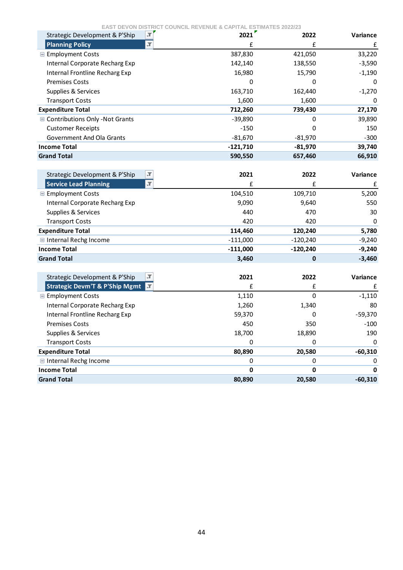| EAS I D<br>ᄃ៴◡៲៶៲៲<br>$\overline{\mathcal{M}}$<br>Strategic Development & P'Ship | 2021       | ƏTIMATEƏ ZUZZIZƏ<br>2022 | Variance    |
|----------------------------------------------------------------------------------|------------|--------------------------|-------------|
| <b>Planning Policy</b><br>J.                                                     | £          | £                        | £           |
| <b>■ Employment Costs</b>                                                        | 387,830    | 421,050                  | 33,220      |
| Internal Corporate Recharg Exp                                                   | 142,140    | 138,550                  | $-3,590$    |
| Internal Frontline Recharg Exp                                                   | 16,980     | 15,790                   | $-1,190$    |
| <b>Premises Costs</b>                                                            | 0          | 0                        | 0           |
| Supplies & Services                                                              | 163,710    | 162,440                  | $-1,270$    |
| <b>Transport Costs</b>                                                           | 1,600      | 1,600                    | 0           |
| <b>Expenditure Total</b>                                                         | 712,260    | 739,430                  | 27,170      |
| ■ Contributions Only -Not Grants                                                 | $-39,890$  | 0                        | 39,890      |
| <b>Customer Receipts</b>                                                         | $-150$     | 0                        | 150         |
| Government And Ola Grants                                                        | $-81,670$  | $-81,970$                | $-300$      |
| <b>Income Total</b>                                                              | $-121,710$ | $-81,970$                | 39,740      |
| <b>Grand Total</b>                                                               | 590,550    | 657,460                  | 66,910      |
|                                                                                  |            |                          |             |
| $\overline{\mathbb{T}}$<br>Strategic Development & P'Ship                        | 2021       | 2022                     | Variance    |
| $\overline{.}$<br><b>Service Lead Planning</b>                                   | £          | £                        | £           |
| <b>■ Employment Costs</b>                                                        | 104,510    | 109,710                  | 5,200       |
| Internal Corporate Recharg Exp                                                   | 9,090      | 9,640                    | 550         |
| Supplies & Services                                                              | 440        | 470                      | 30          |
| <b>Transport Costs</b>                                                           | 420        | 420                      | 0           |
| <b>Expenditure Total</b>                                                         | 114,460    | 120,240                  | 5,780       |
| Internal Rechg Income                                                            | $-111,000$ | $-120,240$               | $-9,240$    |
| <b>Income Total</b>                                                              | $-111,000$ | $-120,240$               | $-9,240$    |
| <b>Grand Total</b>                                                               | 3,460      | 0                        | $-3,460$    |
|                                                                                  |            |                          |             |
| $\overline{\mathcal{M}}$<br>Strategic Development & P'Ship                       | 2021       | 2022                     | Variance    |
| <b>Strategic Devm'T &amp; P'Ship Mgmt</b><br>I.T                                 | £          | £                        | £           |
| <b>E</b> Employment Costs                                                        | 1,110      | $\mathbf 0$              | $-1,110$    |
| Internal Corporate Recharg Exp                                                   | 1,260      | 1,340                    | 80          |
| Internal Frontline Recharg Exp                                                   | 59,370     | 0                        | $-59,370$   |
| <b>Premises Costs</b>                                                            | 450        | 350                      | $-100$      |
| Supplies & Services                                                              | 18,700     | 18,890                   | 190         |
| <b>Transport Costs</b>                                                           | $\Omega$   | 0                        | $\mathbf 0$ |
| <b>Expenditure Total</b>                                                         | 80,890     | 20,580                   | $-60,310$   |
| Internal Rechg Income                                                            | 0          | 0                        | 0           |
| <b>Income Total</b>                                                              | 0          | 0                        |             |
| <b>Grand Total</b>                                                               | 80,890     | 20,580                   | $-60,310$   |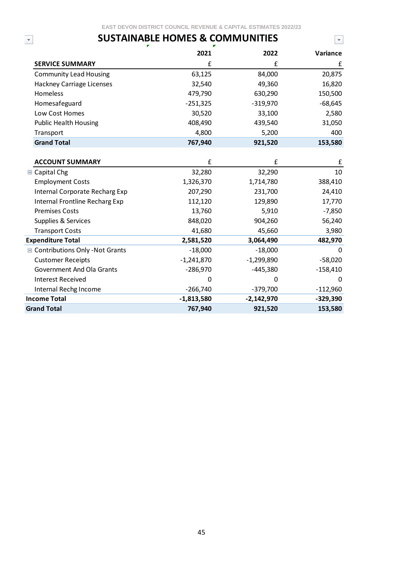$\overline{\mathbf{r}}$ 

 $\bar{\mathbf{v}}$ 

# **SUSTAINABLE HOMES & COMMUNITIES**

|                                  | 2021         | 2022         | Variance   |
|----------------------------------|--------------|--------------|------------|
| <b>SERVICE SUMMARY</b>           | £            | £            | £          |
| <b>Community Lead Housing</b>    | 63,125       | 84,000       | 20,875     |
| Hackney Carriage Licenses        | 32,540       | 49,360       | 16,820     |
| Homeless                         | 479,790      | 630,290      | 150,500    |
| Homesafeguard                    | $-251,325$   | $-319,970$   | $-68,645$  |
| Low Cost Homes                   | 30,520       | 33,100       | 2,580      |
| <b>Public Health Housing</b>     | 408,490      | 439,540      | 31,050     |
| Transport                        | 4,800        | 5,200        | 400        |
| <b>Grand Total</b>               | 767,940      | 921,520      | 153,580    |
|                                  |              |              |            |
| <b>ACCOUNT SUMMARY</b>           | £            | £            | £          |
| $\blacksquare$ Capital Chg       | 32,280       | 32,290       | 10         |
| <b>Employment Costs</b>          | 1,326,370    | 1,714,780    | 388,410    |
| Internal Corporate Recharg Exp   | 207,290      | 231,700      | 24,410     |
| Internal Frontline Recharg Exp   | 112,120      | 129,890      | 17,770     |
| <b>Premises Costs</b>            | 13,760       | 5,910        | $-7,850$   |
| Supplies & Services              | 848,020      | 904,260      | 56,240     |
| <b>Transport Costs</b>           | 41,680       | 45,660       | 3,980      |
| <b>Expenditure Total</b>         | 2,581,520    | 3,064,490    | 482,970    |
| ■ Contributions Only -Not Grants | $-18,000$    | $-18,000$    | O          |
| <b>Customer Receipts</b>         | $-1,241,870$ | $-1,299,890$ | $-58,020$  |
| <b>Government And Ola Grants</b> | $-286,970$   | $-445,380$   | $-158,410$ |
| <b>Interest Received</b>         | 0            | 0            | 0          |
| Internal Rechg Income            | $-266,740$   | $-379,700$   | $-112,960$ |
| <b>Income Total</b>              | $-1,813,580$ | $-2,142,970$ | $-329,390$ |
| <b>Grand Total</b>               | 767,940      | 921,520      | 153,580    |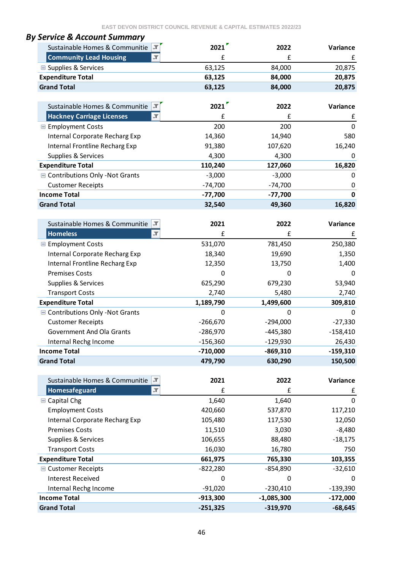| By Service & Account Summary                       |                    |              |              |
|----------------------------------------------------|--------------------|--------------|--------------|
| Sustainable Homes & Communitie                     | 2021               | 2022         | Variance     |
| <b>Community Lead Housing</b><br>JT.               | £                  | £            | £            |
| <b>■ Supplies &amp; Services</b>                   | 63,125             | 84,000       | 20,875       |
| <b>Expenditure Total</b>                           | 63,125             | 84,000       | 20,875       |
| <b>Grand Total</b>                                 | 63,125             | 84,000       | 20,875       |
|                                                    |                    |              |              |
| Sustainable Homes & Communitie                     | 2021               | 2022         | Variance     |
| <b>Hackney Carriage Licenses</b><br>$\blacksquare$ | £                  | £            | £            |
| <b>■ Employment Costs</b>                          | 200                | 200          | $\mathbf{0}$ |
| <b>Internal Corporate Recharg Exp</b>              | 14,360             | 14,940       | 580          |
| Internal Frontline Recharg Exp                     | 91,380             | 107,620      | 16,240       |
| Supplies & Services                                | 4,300              | 4,300        | 0            |
| <b>Expenditure Total</b>                           | 110,240            | 127,060      | 16,820       |
| ■ Contributions Only - Not Grants                  | $-3,000$           | $-3,000$     | 0            |
| <b>Customer Receipts</b>                           | $-74,700$          | $-74,700$    | 0            |
| <b>Income Total</b>                                | $-77,700$          | $-77,700$    | $\mathbf 0$  |
| <b>Grand Total</b>                                 | 32,540             | 49,360       | 16,820       |
| Sustainable Homes & Communitie<br>∣.⊤              | 2021               | 2022         | Variance     |
| <b>Homeless</b><br>$\overline{\mathcal{X}}$        | £                  | £            | £            |
| <b>■ Employment Costs</b>                          | 531,070            | 781,450      | 250,380      |
| Internal Corporate Recharg Exp                     | 18,340             | 19,690       | 1,350        |
| Internal Frontline Recharg Exp                     | 12,350             | 13,750       | 1,400        |
| <b>Premises Costs</b>                              | 0                  | 0            | 0            |
| Supplies & Services                                | 625,290<br>679,230 |              | 53,940       |
| <b>Transport Costs</b>                             | 2,740              | 5,480        | 2,740        |
| <b>Expenditure Total</b>                           | 1,189,790          | 1,499,600    | 309,810      |
| ■ Contributions Only - Not Grants                  | $\mathbf{0}$       | $\Omega$     | 0            |
| <b>Customer Receipts</b>                           | $-266,670$         | $-294,000$   | $-27,330$    |
| <b>Government And Ola Grants</b>                   | $-286,970$         | $-445,380$   | $-158,410$   |
| Internal Rechg Income                              | $-156,360$         | $-129,930$   | 26,430       |
| <b>Income Total</b>                                | $-710,000$         | $-869,310$   | $-159,310$   |
| <b>Grand Total</b>                                 | 479,790            | 630,290      | 150,500      |
|                                                    |                    |              |              |
| Sustainable Homes & Communitie<br>IJ               | 2021               | 2022         | Variance     |
| Homesafeguard<br>$\overline{\mathbf{r}}$           | £                  | £            | £            |
| <b>□</b> Capital Chg                               | 1,640              | 1,640        | 0            |
| <b>Employment Costs</b>                            | 420,660            | 537,870      | 117,210      |
| <b>Internal Corporate Recharg Exp</b>              | 105,480            | 117,530      | 12,050       |
| <b>Premises Costs</b>                              | 11,510             | 3,030        | $-8,480$     |
| Supplies & Services                                | 106,655            | 88,480       | $-18,175$    |
| <b>Transport Costs</b>                             | 16,030             | 16,780       | 750          |
| <b>Expenditure Total</b>                           | 661,975            | 765,330      | 103,355      |
| <b>■ Customer Receipts</b>                         | $-822,280$         | $-854,890$   | $-32,610$    |
| <b>Interest Received</b>                           | $\mathbf 0$        | 0            | 0            |
| Internal Rechg Income                              | $-91,020$          | $-230,410$   | $-139,390$   |
| <b>Income Total</b>                                | $-913,300$         | $-1,085,300$ | $-172,000$   |
| <b>Grand Total</b>                                 | $-251,325$         | $-319,970$   | $-68,645$    |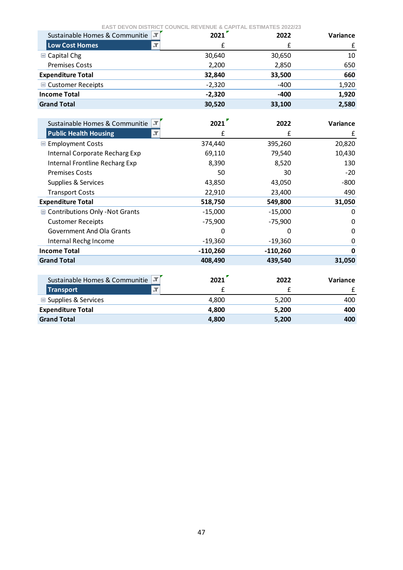| <b>EAST DEVON DISTRICT COUNCIL REVENUE &amp; CAPITAL ESTIMATES 2022/23</b> |            |            |             |
|----------------------------------------------------------------------------|------------|------------|-------------|
| Sustainable Homes & Communitie                                             | 2021       | 2022       | Variance    |
| $\overline{\mathbb{T}}$<br><b>Low Cost Homes</b>                           | £          | £          | £           |
| $\blacksquare$ Capital Chg                                                 | 30,640     | 30,650     | 10          |
| <b>Premises Costs</b>                                                      | 2,200      | 2,850      | 650         |
| <b>Expenditure Total</b>                                                   | 32,840     | 33,500     | 660         |
| <b>■ Customer Receipts</b>                                                 | $-2,320$   | $-400$     | 1,920       |
| <b>Income Total</b>                                                        | $-2,320$   | $-400$     | 1,920       |
| <b>Grand Total</b>                                                         | 30,520     | 33,100     | 2,580       |
|                                                                            |            |            |             |
| Sustainable Homes & Communitie                                             | 2021       | 2022       | Variance    |
| <b>Public Health Housing</b><br>$\overline{\mathbf{r}}$                    | £          | £          | £           |
| <b>■ Employment Costs</b>                                                  | 374,440    | 395,260    | 20,820      |
| Internal Corporate Recharg Exp                                             | 69,110     | 79,540     | 10,430      |
| Internal Frontline Recharg Exp                                             | 8,390      | 8,520      | 130         |
| <b>Premises Costs</b>                                                      | 50         | 30         | $-20$       |
| Supplies & Services                                                        | 43,850     | 43,050     | $-800$      |
| <b>Transport Costs</b>                                                     | 22,910     | 23,400     | 490         |
| <b>Expenditure Total</b>                                                   | 518,750    | 549,800    | 31,050      |
| Contributions Only - Not Grants                                            | $-15,000$  | $-15,000$  | 0           |
| <b>Customer Receipts</b>                                                   | $-75,900$  | $-75,900$  | 0           |
| <b>Government And Ola Grants</b>                                           | 0          | 0          | 0           |
| Internal Rechg Income                                                      | $-19,360$  | $-19,360$  | 0           |
| <b>Income Total</b>                                                        | $-110,260$ | $-110,260$ | $\mathbf 0$ |
| <b>Grand Total</b>                                                         | 408,490    | 439,540    | 31,050      |
|                                                                            |            |            |             |
| Sustainable Homes & Communitie                                             | 2021       | 2022       | Variance    |
| $\overline{\mathbf{r}}$<br><b>Transport</b>                                | £          | £          | £           |
| <b>■ Supplies &amp; Services</b>                                           | 4,800      | 5,200      | 400         |
| <b>Expenditure Total</b>                                                   | 4,800      | 5,200      | 400         |
| <b>Grand Total</b>                                                         | 4,800      | 5,200      | 400         |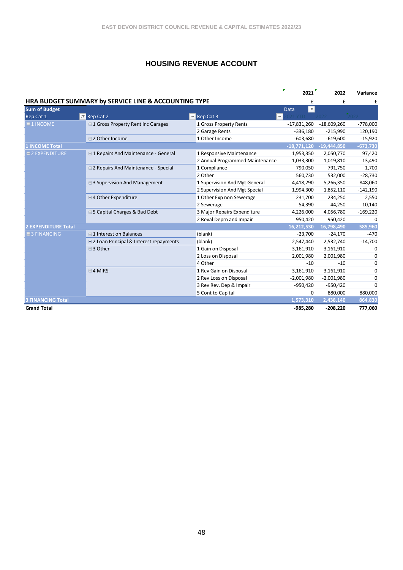#### **HOUSING REVENUE ACCOUNT**

|                            |                                                      |                                 | 2021                          | 2022          | Variance   |
|----------------------------|------------------------------------------------------|---------------------------------|-------------------------------|---------------|------------|
|                            | HRA BUDGET SUMMARY by SERVICE LINE & ACCOUNTING TYPE |                                 | £                             | £             | £          |
| <b>Sum of Budget</b>       |                                                      |                                 | $ \mathbf{x} $<br><b>Data</b> |               |            |
| Rep Cat 1                  | $\overline{2}$ Rep Cat 2                             | Rep Cat 3                       | ÷.                            |               |            |
| $\equiv$ 1 INCOME          | □1 Gross Property Rent inc Garages                   | 1 Gross Property Rents          | $-17,831,260$                 | $-18,609,260$ | $-778,000$ |
|                            |                                                      | 2 Garage Rents                  | $-336,180$                    | $-215,990$    | 120,190    |
|                            | □2 Other Income                                      | 1 Other Income                  | $-603,680$                    | $-619,600$    | $-15,920$  |
| <b>1 INCOME Total</b>      |                                                      |                                 | $-18,771,120$                 | $-19,444,850$ | $-673,730$ |
| $\equiv$ 2 EXPENDITURE     | <b>□1 Repairs And Maintenance - General</b>          | 1 Responsive Maintenance        | 1,953,350                     | 2,050,770     | 97,420     |
|                            |                                                      | 2 Annual Programmed Maintenance | 1,033,300                     | 1,019,810     | $-13,490$  |
|                            | <b>□ 2 Repairs And Maintenance - Special</b>         | 1 Compliance                    | 790,050                       | 791,750       | 1,700      |
|                            |                                                      | 2 Other                         | 560,730                       | 532,000       | $-28,730$  |
|                            | <b>□ 3 Supervision And Management</b>                | 1 Supervision And Mgt General   | 4,418,290                     | 5,266,350     | 848,060    |
|                            |                                                      | 2 Supervision And Mgt Special   | 1,994,300                     | 1,852,110     | $-142,190$ |
|                            | □4 Other Expenditure                                 | 1 Other Exp non Sewerage        | 231,700                       | 234,250       | 2,550      |
|                            |                                                      | 2 Sewerage                      | 54,390                        | 44,250        | $-10,140$  |
|                            | □5 Capital Charges & Bad Debt                        | 3 Major Repairs Expenditure     | 4,226,000                     | 4,056,780     | $-169,220$ |
|                            |                                                      | 2 Reval Deprn and Impair        | 950,420                       | 950,420       | 0          |
| <b>2 EXPENDITURE Total</b> |                                                      |                                 | 16.212.530                    | 16,798,490    | 585,960    |
| $\equiv$ 3 FINANCING       | <b>□1 Interest on Balances</b>                       | (blank)                         | $-23,700$                     | $-24,170$     | $-470$     |
|                            | □ 2 Loan Principal & Interest repayments             | (blank)                         | 2,547,440                     | 2,532,740     | $-14,700$  |
|                            | ⊟3 Other                                             | 1 Gain on Disposal              | $-3,161,910$                  | $-3,161,910$  | 0          |
|                            |                                                      | 2 Loss on Disposal              | 2,001,980                     | 2,001,980     | 0          |
|                            |                                                      | 4 Other                         | $-10$                         | $-10$         | 0          |
|                            | $\boxminus$ 4 MIRS                                   | 1 Rev Gain on Disposal          | 3,161,910                     | 3,161,910     | 0          |
|                            |                                                      | 2 Rev Loss on Disposal          | $-2,001,980$                  | $-2,001,980$  | 0          |
|                            |                                                      | 3 Rev Rev, Dep & Impair         | $-950,420$                    | $-950,420$    | 0          |
|                            |                                                      | 5 Cont to Capital               | 0                             | 880,000       | 880,000    |
| <b>FINANCING Total</b>     |                                                      |                                 | 1,573,310                     | 2,438,140     | 864,830    |
| <b>Grand Total</b>         |                                                      |                                 | $-985,280$                    | $-208,220$    | 777,060    |

48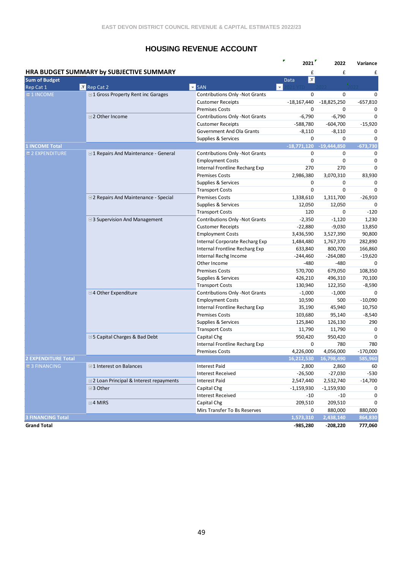#### **HOUSING REVENUE ACCOUNT**

|                            |                                             |                                                      | r<br>2021                        | 2022          | Variance   |
|----------------------------|---------------------------------------------|------------------------------------------------------|----------------------------------|---------------|------------|
|                            | HRA BUDGET SUMMARY by SUBJECTIVE SUMMARY    |                                                      | £                                | £             | £          |
| <b>Sum of Budget</b>       |                                             |                                                      | $\vert \mathbf{r} \vert$<br>Data |               |            |
| Rep Cat 1                  | M Rep Cat 2                                 | $\overline{2}$ 5AN                                   | $\overline{\mathbf{v}}$          |               |            |
| $\equiv$ 1 INCOME          | <b>□1 Gross Property Rent inc Garages</b>   | <b>Contributions Only -Not Grants</b>                | 0                                | 0             | 0          |
|                            |                                             | <b>Customer Receipts</b>                             | $-18,167,440$                    | $-18,825,250$ | $-657,810$ |
|                            |                                             | <b>Premises Costs</b>                                | 0                                | 0             | 0          |
|                            | □2 Other Income                             | <b>Contributions Only -Not Grants</b>                | $-6,790$                         | $-6,790$      | 0          |
|                            |                                             | <b>Customer Receipts</b>                             | -588,780                         | $-604,700$    | $-15,920$  |
|                            |                                             | Government And Ola Grants                            | $-8,110$                         | $-8,110$      | 0          |
|                            |                                             | Supplies & Services                                  | 0                                | 0             | 0          |
| <b>1 INCOME Total</b>      |                                             |                                                      | $-18,771,120$ $-19,444,850$      |               | $-673,730$ |
| <b>E2 EXPENDITURE</b>      | <b>□1 Repairs And Maintenance - General</b> | <b>Contributions Only -Not Grants</b>                | 0                                | 0             | 0          |
|                            |                                             | <b>Employment Costs</b>                              | $\mathbf 0$                      | 0             | 0          |
|                            |                                             | Internal Frontline Recharg Exp                       | 270                              | 270           | 0          |
|                            |                                             | <b>Premises Costs</b>                                | 2,986,380                        | 3,070,310     | 83,930     |
|                            |                                             | Supplies & Services                                  | 0                                | 0             | 0          |
|                            |                                             | <b>Transport Costs</b>                               | $\mathbf 0$                      | $\mathbf 0$   | 0          |
|                            | □ 2 Repairs And Maintenance - Special       | <b>Premises Costs</b>                                | 1,338,610                        | 1,311,700     | $-26,910$  |
|                            |                                             | Supplies & Services                                  | 12,050                           | 12,050        | 0          |
|                            |                                             | <b>Transport Costs</b>                               | 120                              | 0             | $-120$     |
|                            | □ 3 Supervision And Management              | <b>Contributions Only -Not Grants</b>                | $-2,350$                         | $-1,120$      | 1,230      |
|                            |                                             | <b>Customer Receipts</b>                             | $-22,880$                        | $-9,030$      | 13,850     |
|                            |                                             | <b>Employment Costs</b>                              | 3,436,590                        | 3,527,390     | 90,800     |
|                            |                                             | Internal Corporate Recharg Exp                       | 1,484,480                        | 1,767,370     | 282,890    |
|                            |                                             | Internal Frontline Recharg Exp                       | 633,840                          | 800,700       | 166,860    |
|                            |                                             | Internal Rechg Income                                | $-244,460$                       | $-264,080$    | $-19,620$  |
|                            |                                             | Other Income                                         | $-480$                           | $-480$        | $\Omega$   |
|                            |                                             | <b>Premises Costs</b>                                | 570,700                          | 679,050       | 108,350    |
|                            |                                             | Supplies & Services                                  | 426,210                          | 496,310       | 70,100     |
|                            |                                             | <b>Transport Costs</b>                               | 130,940                          | 122,350       | $-8,590$   |
|                            | □4 Other Expenditure                        | <b>Contributions Only -Not Grants</b>                | $-1,000$                         | $-1,000$      | 0          |
|                            |                                             | <b>Employment Costs</b>                              | 10,590                           | 500           | $-10,090$  |
|                            |                                             | Internal Frontline Recharg Exp                       | 35,190                           | 45,940        | 10,750     |
|                            |                                             | <b>Premises Costs</b>                                | 103,680                          | 95,140        | $-8,540$   |
|                            |                                             | Supplies & Services                                  | 125,840                          | 126,130       | 290        |
|                            |                                             | <b>Transport Costs</b>                               | 11,790                           | 11,790        | 0          |
|                            |                                             |                                                      |                                  |               | 0          |
|                            | <b>□5 Capital Charges &amp; Bad Debt</b>    | Capital Chg<br><b>Internal Frontline Recharg Exp</b> | 950,420<br>0                     | 950,420       |            |
|                            |                                             |                                                      |                                  | 780           | 780        |
|                            |                                             | <b>Premises Costs</b>                                | 4,226,000                        | 4,056,000     | $-170,000$ |
| <b>2 EXPENDITURE Total</b> |                                             |                                                      | 16,212,530                       | 16,798,490    | 585,960    |
| $\equiv$ 3 FINANCING       | □1 Interest on Balances                     | <b>Interest Paid</b>                                 | 2,800                            | 2,860         | 60         |
|                            |                                             | <b>Interest Received</b>                             | $-26,500$                        | $-27,030$     | $-530$     |
|                            | □2 Loan Principal & Interest repayments     | <b>Interest Paid</b>                                 | 2,547,440                        | 2,532,740     | $-14,700$  |
|                            | <b>⊟3 Other</b>                             | Capital Chg                                          | $-1,159,930$                     | $-1,159,930$  | 0          |
|                            |                                             | <b>Interest Received</b>                             | -10                              | -10           | 0          |
|                            | $\boxminus$ 4 MIRS                          | Capital Chg                                          | 209,510                          | 209,510       | 0          |
|                            |                                             | Mirs Transfer To Bs Reserves                         | 0                                | 880,000       | 880,000    |
| <b>3 FINANCING Total</b>   |                                             |                                                      | 1,573,310                        | 2,438,140     | 864,830    |
| <b>Grand Total</b>         |                                             |                                                      | $-985,280$                       | $-208,220$    | 777,060    |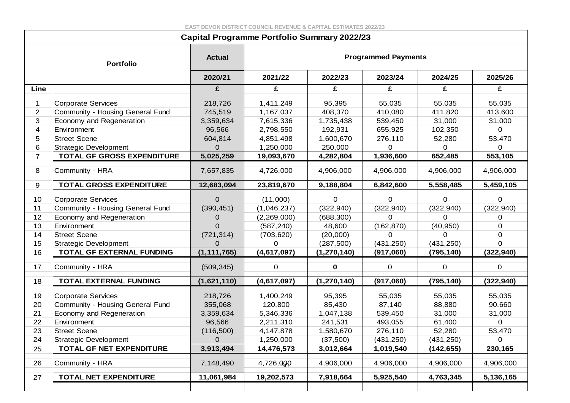|                | <b>Capital Programme Portfolio Summary 2022/23</b> |                |             |               |                            |             |             |  |  |  |  |
|----------------|----------------------------------------------------|----------------|-------------|---------------|----------------------------|-------------|-------------|--|--|--|--|
|                | <b>Portfolio</b>                                   | <b>Actual</b>  |             |               | <b>Programmed Payments</b> |             |             |  |  |  |  |
|                |                                                    | 2020/21        | 2021/22     | 2022/23       | 2023/24                    | 2024/25     | 2025/26     |  |  |  |  |
| Line           |                                                    | £              | £           | £             | £                          | £           | £           |  |  |  |  |
| 1              | <b>Corporate Services</b>                          | 218,726        | 1,411,249   | 95,395        | 55,035                     | 55,035      | 55,035      |  |  |  |  |
| $\overline{2}$ | Community - Housing General Fund                   | 745,519        | 1,167,037   | 408,370       | 410,080                    | 411,820     | 413,600     |  |  |  |  |
| 3              | Economy and Regeneration                           | 3,359,634      | 7,615,336   | 1,735,438     | 539,450                    | 31,000      | 31,000      |  |  |  |  |
| 4              | Environment                                        | 96,566         | 2,798,550   | 192,931       | 655,925                    | 102,350     | 0           |  |  |  |  |
| 5              | <b>Street Scene</b>                                | 604,814        | 4,851,498   | 1,600,670     | 276,110                    | 52,280      | 53,470      |  |  |  |  |
| 6              | <b>Strategic Development</b>                       | 0              | 1,250,000   | 250,000       | 0                          | 0           | 0           |  |  |  |  |
| $\overline{7}$ | TOTAL GF GROSS EXPENDITURE                         | 5,025,259      | 19,093,670  | 4,282,804     | 1,936,600                  | 652,485     | 553,105     |  |  |  |  |
| 8              | Community - HRA                                    | 7,657,835      | 4,726,000   | 4,906,000     | 4,906,000                  | 4,906,000   | 4,906,000   |  |  |  |  |
| 9              | TOTAL GROSS EXPENDITURE                            | 12,683,094     | 23,819,670  | 9,188,804     | 6,842,600                  | 5,558,485   | 5,459,105   |  |  |  |  |
| 10             | <b>Corporate Services</b>                          | $\mathbf 0$    | (11,000)    | 0             | 0                          | 0           | 0           |  |  |  |  |
| 11             | Community - Housing General Fund                   | (390, 451)     | (1,046,237) | (322, 940)    | (322, 940)                 | (322, 940)  | (322, 940)  |  |  |  |  |
| 12             | Economy and Regeneration                           | 0              | (2,269,000) | (688, 300)    | 0                          | 0           | 0           |  |  |  |  |
| 13             | Environment                                        | $\mathbf{O}$   | (587, 240)  | 48,600        | (162, 870)                 | (40, 950)   | 0           |  |  |  |  |
| 14             | <b>Street Scene</b>                                | (721, 314)     | (703, 620)  | (20,000)      | 0                          | 0           | 0           |  |  |  |  |
| 15             | <b>Strategic Development</b>                       | 0              | 0           | (287, 500)    | (431, 250)                 | (431, 250)  | 0           |  |  |  |  |
| 16             | TOTAL GF EXTERNAL FUNDING                          | (1, 111, 765)  | (4,617,097) | (1, 270, 140) | (917,060)                  | (795, 140)  | (322, 940)  |  |  |  |  |
| 17             | Community - HRA                                    | (509, 345)     | $\mathbf 0$ | $\mathbf 0$   | $\mathbf 0$                | $\mathbf 0$ | 0           |  |  |  |  |
| 18             | <b>TOTAL EXTERNAL FUNDING</b>                      | (1,621,110)    | (4,617,097) | (1, 270, 140) | (917,060)                  | (795, 140)  | (322, 940)  |  |  |  |  |
| 19             | <b>Corporate Services</b>                          | 218,726        | 1,400,249   | 95,395        | 55,035                     | 55,035      | 55,035      |  |  |  |  |
| 20             | Community - Housing General Fund                   | 355,068        | 120,800     | 85,430        | 87,140                     | 88,880      | 90,660      |  |  |  |  |
| 21             | Economy and Regeneration                           | 3,359,634      | 5,346,336   | 1,047,138     | 539,450                    | 31,000      | 31,000      |  |  |  |  |
| 22             | Environment                                        | 96,566         | 2,211,310   | 241,531       | 493,055                    | 61,400      | 0           |  |  |  |  |
| 23             | <b>Street Scene</b>                                | (116, 500)     | 4,147,878   | 1,580,670     | 276,110                    | 52,280      | 53,470      |  |  |  |  |
| 24             | <b>Strategic Development</b>                       | $\overline{0}$ | 1,250,000   | (37, 500)     | (431, 250)                 | (431, 250)  | $\mathbf 0$ |  |  |  |  |
| 25             | TOTAL GF NET EXPENDITURE                           | 3,913,494      | 14,476,573  | 3,012,664     | 1,019,540                  | (142, 655)  | 230,165     |  |  |  |  |
| 26             | Community - HRA                                    | 7,148,490      | 4,726,000   | 4,906,000     | 4,906,000                  | 4,906,000   | 4,906,000   |  |  |  |  |
| 27             | TOTAL NET EXPENDITURE                              | 11,061,984     | 19,202,573  | 7,918,664     | 5,925,540                  | 4,763,345   | 5,136,165   |  |  |  |  |
|                |                                                    |                |             |               |                            |             |             |  |  |  |  |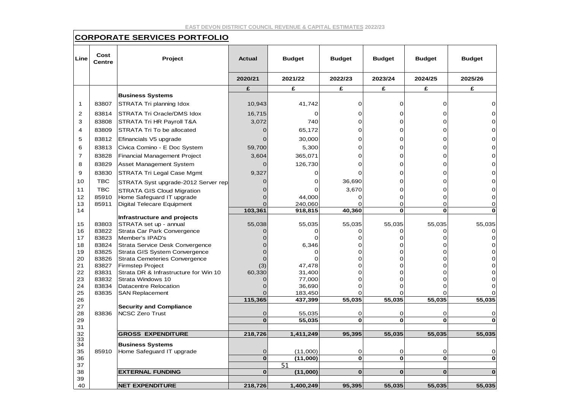#### **CORPORATE SERVICES PORTFOLIO**

| Line           | Cost<br><b>Centre</b> | <b>Project</b>                                                  | <b>Actual</b>   | <b>Budget</b>  | <b>Budget</b> | <b>Budget</b> | <b>Budget</b> | <b>Budget</b> |
|----------------|-----------------------|-----------------------------------------------------------------|-----------------|----------------|---------------|---------------|---------------|---------------|
|                |                       |                                                                 | 2020/21         | 2021/22        | 2022/23       | 2023/24       | 2024/25       | 2025/26       |
|                |                       |                                                                 | £               | £              | £             | £             | £             | £             |
|                |                       | <b>Business Systems</b>                                         |                 |                |               |               |               |               |
| $\mathbf 1$    | 83807                 | STRATA Tri planning Idox                                        | 10,943          | 41,742         | 0             | 0             | 0             |               |
| $\overline{2}$ | 83814                 | STRATA Tri Oracle/DMS Idox                                      | 16,715          | 0              | 0             | 0             | 0             |               |
| 3              | 83808                 | STRATA Tri HR Payroll T&A                                       | 3,072           | 740            | 0             | 0             | 0             | 0             |
| 4              | 83809                 | STRATA Tri To be allocated                                      | $\overline{0}$  | 65,172         | $\Omega$      | 0             | 0             |               |
| 5              | 83812                 | Efinancials V5 upgrade                                          | $\Omega$        | 30,000         | $\Omega$      | $\Omega$      | $\Omega$      |               |
| 6              | 83813                 | Civica Comino - E Doc System                                    | 59,700          | 5,300          | $\Omega$      | 0             | $\Omega$      |               |
| $\overline{7}$ | 83828                 | Financial Management Project                                    | 3,604           | 365,071        | $\Omega$      | 0             | $\Omega$      |               |
| 8              | 83829                 | Asset Management System                                         | $\Omega$        | 126,730        | 0             | O             | O             |               |
| 9              | 83830                 | STRATA Tri Legal Case Mgmt                                      | 9,327           | 0              | 0             | 0             | 0             |               |
| 10             | <b>TBC</b>            |                                                                 | 0               | 0              | 36,690        | 0             | 0             |               |
| 11             | TBC                   | STRATA Syst upgrade-2012 Server rep                             | 0               | ი              | 3,670         | $\Omega$      | 0             |               |
| 12             | 85910                 | <b>STRATA GIS Cloud Migration</b><br>Home Safeguard IT upgrade  | $\overline{O}$  | 44,000         | 0             | 0             | O             | O             |
| 13             | 85911                 | <b>Digital Telecare Equipment</b>                               | $\Omega$        | 240,060        | $\Omega$      | 0             | O             | O             |
| 14             |                       |                                                                 | 103,361         | 918,815        | 40,360        | $\mathbf{0}$  | $\mathbf 0$   |               |
|                |                       | Infrastructure and projects                                     |                 |                |               |               |               |               |
| 15             | 83803                 | STRATA set up - annual                                          | 55,038          | 55,035         | 55,035        | 55,035        | 55,035        | 55,035        |
| 16             | 83822                 | Strata Car Park Convergence                                     | 0               | O              | 0             | 0             | 0             |               |
| 17             | 83823                 | Member's IPAD's                                                 | $\Omega$        | 0              | 0             | 0             | $\Omega$      | O             |
| 18             | 83824                 | Strata Service Desk Convergence                                 | $\Omega$        | 6,346          | $\Omega$      | $\Omega$      | 0             |               |
| 19             | 83825                 | Strata GIS System Convergence                                   | 0               | O              | 0<br>$\Omega$ | 0<br>$\Omega$ | 0<br>$\Omega$ | O             |
| 20<br>21       | 83826<br>83827        | <b>Strata Cemeteries Convergence</b><br><b>Firmstep Project</b> | $\Omega$<br>(3) | 0<br>47,478    | 0             | O             | 0             |               |
| 22             | 83831                 | Strata DR & Infrastructure for Win 10                           | 60,330          | 31,400         | $\Omega$      | $\Omega$      | $\Omega$      |               |
| 23             | 83832                 | Strata Windows 10                                               | 0               | 77,000         | $\Omega$      | $\Omega$      | $\Omega$      | 0             |
| 24             | 83834                 | <b>Datacentre Relocation</b>                                    | $\Omega$        | 36,690         | $\Omega$      | $\Omega$      | 0             |               |
| 25             | 83835                 | <b>SAN Replacement</b>                                          | 0               | 183,450        | 0             |               |               |               |
| 26             |                       |                                                                 | 115,365         | 437,399        | 55,035        | 55,035        | 55,035        | 55,035        |
| 27             |                       | <b>Security and Compliance</b>                                  |                 |                |               |               |               |               |
| 28             | 83836                 | <b>NCSC Zero Trust</b>                                          | $\Omega$        | 55,035         | 0             | 0             | $\Omega$      | 0             |
| 29             |                       |                                                                 | $\bf{0}$        | 55,035         | 0             | $\mathbf o$   | $\mathbf o$   |               |
| 31<br>32       |                       | <b>GROSS EXPENDITURE</b>                                        | 218,726         | 1,411,249      | 95,395        | 55,035        | 55,035        | 55,035        |
| 33             |                       |                                                                 |                 |                |               |               |               |               |
| 34             |                       | <b>Business Systems</b>                                         |                 |                |               |               |               |               |
| 35             | 85910                 | Home Safeguard IT upgrade                                       | $\Omega$        | (11,000)       | 0             | O             | 0             | 0             |
| 36<br>37       |                       |                                                                 | $\mathbf 0$     | (11,000)<br>51 | 0             | $\mathbf 0$   | $\mathbf 0$   | O             |
| 38             |                       | <b>EXTERNAL FUNDING</b>                                         | $\mathbf 0$     | (11,000)       | $\bf{0}$      | $\Omega$      | $\Omega$      | $\Omega$      |
| 39             |                       |                                                                 |                 |                |               |               |               |               |
| 40             |                       | <b>NET EXPENDITURE</b>                                          | 218,726         | 1,400,249      | 95,395        | 55,035        | 55,035        | 55,035        |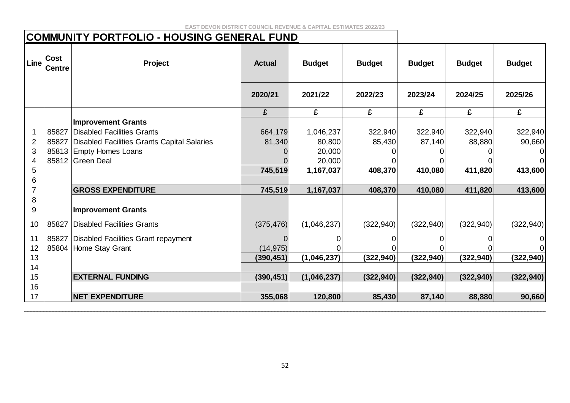# **COMMUNITY PORTFOLIO - HOUSING GENERAL FUND**

| Line           | <b>Cost</b><br><b>Centre</b> | Project                                     | <b>Actual</b> | <b>Budget</b> | <b>Budget</b> | <b>Budget</b> | <b>Budget</b> | <b>Budget</b>  |
|----------------|------------------------------|---------------------------------------------|---------------|---------------|---------------|---------------|---------------|----------------|
|                |                              |                                             | 2020/21       | 2021/22       | 2022/23       | 2023/24       | 2024/25       | 2025/26        |
|                |                              |                                             | £             | £             | £             | £             | £             | £              |
|                |                              | <b>Improvement Grants</b>                   |               |               |               |               |               |                |
|                | 85827                        | Disabled Facilities Grants                  | 664,179       | 1,046,237     | 322,940       | 322,940       | 322,940       | 322,940        |
| $\overline{2}$ | 85827                        | Disabled Facilities Grants Capital Salaries | 81,340        | 80,800        | 85,430        | 87,140        | 88,880        | 90,660         |
| 3              |                              | 85813 Empty Homes Loans                     |               | 20,000        |               |               |               | $\overline{0}$ |
| 4              |                              | 85812 Green Deal                            |               | 20,000        |               |               |               | $\Omega$       |
| 5              |                              |                                             | 745,519       | 1,167,037     | 408,370       | 410,080       | 411,820       | 413,600        |
| 6              |                              |                                             |               |               |               |               |               |                |
| $\overline{7}$ |                              | <b>GROSS EXPENDITURE</b>                    | 745,519       | 1,167,037     | 408,370       | 410,080       | 411,820       | 413,600        |
| 8              |                              |                                             |               |               |               |               |               |                |
| 9              |                              | <b>Improvement Grants</b>                   |               |               |               |               |               |                |
| 10             | 85827                        | Disabled Facilities Grants                  | (375, 476)    | (1,046,237)   | (322, 940)    | (322, 940)    | (322, 940)    | (322, 940)     |
| 11             |                              | 85827   Disabled Facilities Grant repayment |               | 0             |               |               |               | $\overline{0}$ |
| 12             |                              | 85804 Home Stay Grant                       | (14, 975)     |               |               |               |               | $\Omega$       |
| 13             |                              |                                             | (390, 451)    | (1,046,237)   | (322, 940)    | (322, 940)    | (322, 940)    | (322, 940)     |
| 14             |                              |                                             |               |               |               |               |               |                |
| 15             |                              | <b>EXTERNAL FUNDING</b>                     | (390, 451)    | (1,046,237)   | (322, 940)    | (322, 940)    | (322, 940)    | (322, 940)     |
| 16             |                              |                                             |               |               |               |               |               |                |
| 17             |                              | <b>NET EXPENDITURE</b>                      | 355,068       | 120,800       | 85,430        | 87,140        | 88,880        | 90,660         |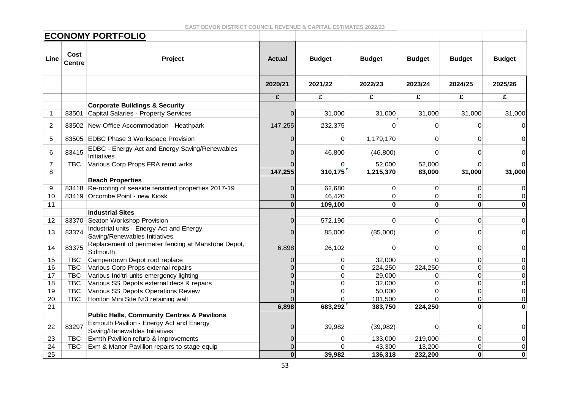|                |                       | <b>ECONOMY PORTFOLIO</b>                                                  |               |               |                |               |               |               |
|----------------|-----------------------|---------------------------------------------------------------------------|---------------|---------------|----------------|---------------|---------------|---------------|
| Line           | Cost<br><b>Centre</b> | Project                                                                   | <b>Actual</b> | <b>Budget</b> | <b>Budget</b>  | <b>Budget</b> | <b>Budget</b> | <b>Budget</b> |
|                |                       |                                                                           | 2020/21       | 2021/22       | 2022/23        | 2023/24       | 2024/25       | 2025/26       |
|                |                       |                                                                           | £             | £             | £              | £             | £             | £             |
|                |                       | <b>Corporate Buildings &amp; Security</b>                                 |               |               |                |               |               |               |
| $\mathbf 1$    | 83501                 | Capital Salaries - Property Services                                      | $\Omega$      | 31,000        | 31,000         | 31,000        | 31,000        | 31,000        |
| 2              |                       | 83502 New Office Accommodation - Heathpark                                | 147,255       | 232,375       | 0              |               | U             | 0             |
| 5              |                       | 83505 EDBC Phase 3 Workspace Provision                                    | $\Omega$      | $\mathbf{0}$  | 1,179,170      | $\Omega$      |               |               |
| 6              | 83415                 | EDBC - Energy Act and Energy Saving/Renewables<br>Initiatives             |               | 46,800        | (46, 800)      | $\Omega$      |               | 0             |
| $\overline{7}$ | <b>TBC</b>            | Various Corp Props FRA remd wrks                                          |               | $\Omega$      | 52,000         | 52,000        | $\Omega$      |               |
| 8              |                       |                                                                           | 147,255       | 310,175       | 1,215,370      | 83,000        | 31,000        | 31,000        |
|                |                       | <b>Beach Properties</b>                                                   |               |               |                |               |               |               |
| 9              |                       | 83418 Re-roofing of seaside tenanted properties 2017-19                   | $\mathbf{0}$  | 62,680        | 0              | 0             | 0             | 0             |
| 10             |                       | 83419 Orcombe Point - new Kiosk                                           | 0             | 46,420        | $\overline{0}$ | $\Omega$      | $\Omega$      | $\Omega$      |
| 11             |                       |                                                                           | $\mathbf 0$   | 109,100       | $\mathbf 0$    | $\mathbf{0}$  | $\Omega$      | 0             |
|                |                       | <b>Industrial Sites</b>                                                   |               |               |                |               |               |               |
| 12             |                       | 83370 Seaton Workshop Provision                                           | $\Omega$      | 572,190       | $\Omega$       | $\Omega$      | ი             | 0             |
| 13             | 83374                 | Industrial units - Energy Act and Energy<br>Saving/Renewables Initiatives | 0             | 85,000        | (85,000)       | ∩             | O             | 0             |
| 14             | 83375                 | Replacement of perimeter fencing at Manstone Depot,<br>Sidmouth           | 6,898         | 26,102        | $\Omega$       | $\Omega$      | $\Omega$      | 0             |
| 15             | <b>TBC</b>            | Camperdown Depot roof replace                                             | 0             | $\Omega$      | 32,000         | $\cap$        | $\Omega$      | 0             |
| 16             | <b>TBC</b>            | Various Corp Props external repairs                                       |               | $\Omega$      | 224,250        | 224,250       | $\Omega$      | 0             |
| 17             | <b>TBC</b>            | Various Ind'trl units emergency lighting                                  |               | $\Omega$      | 29,000         | $\Omega$      | O             | 0             |
| 18             | <b>TBC</b>            | Various SS Depots external decs & repairs                                 |               | $\Omega$      | 32,000         | $\Omega$      |               | 0             |
| 19             | <b>TBC</b>            | Various SS Depots Operations Review                                       | ሰ             | $\Omega$      | 50,000         | ∩             |               | 0             |
| 20             | <b>TBC</b>            | Honiton Mini Site Nr3 retaining wall                                      | ∩             | $\Omega$      | 101,500        |               | 0             | 0             |
| 21             |                       |                                                                           | 6,898         | 683,292       | 383,750        | 224,250       | $\bf{0}$      | O             |
|                |                       | <b>Public Halls, Community Centres &amp; Pavilions</b>                    |               |               |                |               |               |               |
| 22             | 83297                 | Exmouth Pavilion - Energy Act and Energy                                  | $\Omega$      | 39,982        | (39, 982)      | $\Omega$      | $\Omega$      | 0             |
|                |                       | Saving/Renewables Initiatives                                             |               |               |                |               |               |               |
| 23             | <b>TBC</b>            | Exmth Pavillion refurb & improvements                                     | 0             | $\Omega$      | 133,000        | 219,000       | $\Omega$      | 0             |
| 24             | <b>TBC</b>            | Exm & Manor Pavillion repairs to stage equip                              | 0             | $\Omega$      | 43,300         | 13,200        | $\Omega$      | 0             |
| 25             |                       |                                                                           | $\mathbf{0}$  | 39,982        | 136,318        | 232,200       | $\bf{0}$      | 0             |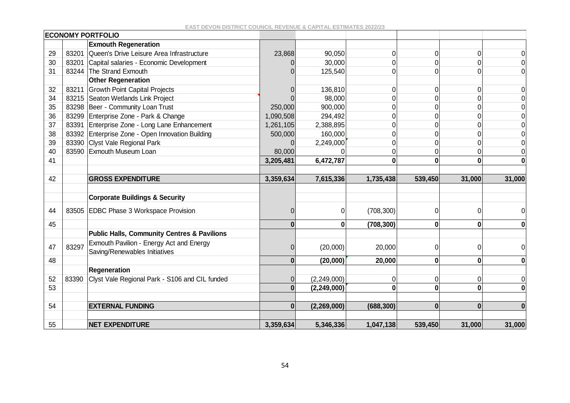|    |       | <b>ECONOMY PORTFOLIO</b>                               |           |               |                |              |          |                  |
|----|-------|--------------------------------------------------------|-----------|---------------|----------------|--------------|----------|------------------|
|    |       | <b>Exmouth Regeneration</b>                            |           |               |                |              |          |                  |
| 29 | 83201 | Queen's Drive Leisure Area Infrastructure              | 23,868    | 90,050        | $\mathbf 0$    | 0            | 0        | 0                |
| 30 | 83201 | Capital salaries - Economic Development                |           | 30,000        | $\Omega$       |              |          | $\Omega$         |
| 31 |       | 83244 The Strand Exmouth                               |           | 125,540       | $\mathbf 0$    |              |          | 0                |
|    |       | <b>Other Regeneration</b>                              |           |               |                |              |          |                  |
| 32 | 83211 | <b>Growth Point Capital Projects</b>                   |           | 136,810       | $\mathbf 0$    | $\Omega$     | $\Omega$ | $\mathbf 0$      |
| 34 |       | 83215 Seaton Wetlands Link Project                     |           | 98,000        | $\Omega$       |              |          | 0                |
| 35 |       | 83298 Beer - Community Loan Trust                      | 250,000   | 900,000       | 0              |              |          | 0                |
| 36 |       | 83299 Enterprise Zone - Park & Change                  | 1,090,508 | 294,492       | $\overline{0}$ |              |          | $\overline{0}$   |
| 37 | 83391 | Enterprise Zone - Long Lane Enhancement                | 1,261,105 | 2,388,895     | $\mathbf 0$    |              |          | $\Omega$         |
| 38 |       | 83392 Enterprise Zone - Open Innovation Building       | 500,000   | 160,000       | $\mathbf 0$    |              |          | 0                |
| 39 |       | 83390 Clyst Vale Regional Park                         | 0         | 2,249,000     | $\Omega$       |              |          | 0                |
| 40 |       | 83590 Exmouth Museum Loan                              | 80,000    |               | 0              |              |          | 0                |
| 41 |       |                                                        | 3,205,481 | 6,472,787     | $\mathbf{0}$   | 0            |          | $\boldsymbol{0}$ |
|    |       |                                                        |           |               |                |              |          |                  |
| 42 |       | <b>GROSS EXPENDITURE</b>                               | 3,359,634 | 7,615,336     | 1,735,438      | 539,450      | 31,000   | 31,000           |
|    |       |                                                        |           |               |                |              |          |                  |
|    |       | <b>Corporate Buildings &amp; Security</b>              |           |               |                |              |          |                  |
| 44 |       | 83505 EDBC Phase 3 Workspace Provision                 | 0         | 0             | (708, 300)     |              | $\Omega$ |                  |
| 45 |       |                                                        | $\bf{0}$  | $\mathbf 0$   | (708, 300)     | $\mathbf{0}$ | 0        | 0                |
|    |       | <b>Public Halls, Community Centres &amp; Pavilions</b> |           |               |                |              |          |                  |
|    |       | Exmouth Pavilion - Energy Act and Energy               |           |               |                |              |          |                  |
| 47 | 83297 | Saving/Renewables Initiatives                          | 0         | (20,000)      | 20,000         | ∩            | 0        | 0                |
| 48 |       |                                                        | 0         | (20,000)      | 20,000         | 0            | 0        | 0                |
|    |       | <b>Regeneration</b>                                    |           |               |                |              |          |                  |
| 52 | 83390 | Clyst Vale Regional Park - S106 and CIL funded         | 0         | (2, 249, 000) | $\mathbf 0$    | $\Omega$     | 0        | $\mathbf 0$      |
| 53 |       |                                                        | $\bf{0}$  | (2, 249, 000) | 0              | 0            |          | $\bf{0}$         |
|    |       |                                                        |           |               |                |              |          |                  |
| 54 |       | <b>EXTERNAL FUNDING</b>                                | $\bf{0}$  | (2,269,000)   | (688, 300)     | $\Omega$     | $\Omega$ | $\bf{0}$         |
|    |       |                                                        |           |               |                |              |          |                  |
| 55 |       | <b>NET EXPENDITURE</b>                                 | 3,359,634 | 5,346,336     | 1,047,138      | 539,450      | 31,000   | 31,000           |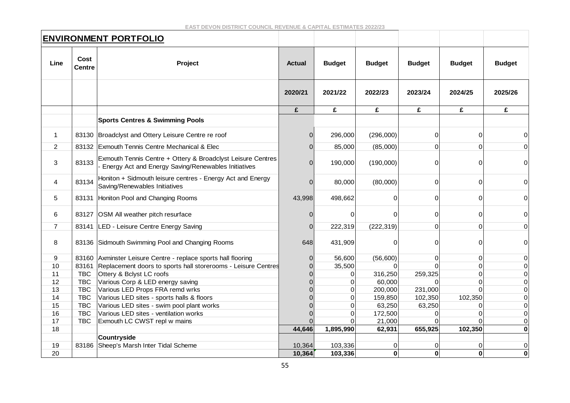|                |                                  | <b>ENVIRONMENT PORTFOLIO</b>                                                                                              |                |               |               |               |               |                |
|----------------|----------------------------------|---------------------------------------------------------------------------------------------------------------------------|----------------|---------------|---------------|---------------|---------------|----------------|
| Line           | Cost<br>Project<br><b>Centre</b> |                                                                                                                           | <b>Actual</b>  | <b>Budget</b> | <b>Budget</b> | <b>Budget</b> | <b>Budget</b> | <b>Budget</b>  |
|                |                                  |                                                                                                                           | 2020/21        | 2021/22       | 2022/23       | 2023/24       | 2024/25       | 2025/26        |
|                |                                  |                                                                                                                           | £              | £             | £             | £             | £             | £              |
|                |                                  | <b>Sports Centres &amp; Swimming Pools</b>                                                                                |                |               |               |               |               |                |
| $\mathbf 1$    |                                  | 83130 Broadclyst and Ottery Leisure Centre re roof                                                                        | $\Omega$       | 296,000       | (296,000)     | $\Omega$      | 0             | $\Omega$       |
| $\overline{2}$ |                                  | 83132 Exmouth Tennis Centre Mechanical & Elec                                                                             | $\Omega$       | 85,000        | (85,000)      | $\Omega$      | ი             | $\overline{0}$ |
| 3              | 83133                            | Exmouth Tennis Centre + Ottery & Broadclyst Leisure Centres<br><b>Energy Act and Energy Saving/Renewables Initiatives</b> | $\Omega$       | 190,000       | (190,000)     | 0             |               | 0              |
| 4              | 83134                            | Honiton + Sidmouth leisure centres - Energy Act and Energy<br>Saving/Renewables Initiatives                               | $\Omega$       | 80,000        | (80,000)      | 0             | 0             | $\Omega$       |
| 5              | 83131                            | Honiton Pool and Changing Rooms                                                                                           | 43,998         | 498,662       | 0             | $\Omega$      | 0             | 0              |
| 6              |                                  | 83127 OSM All weather pitch resurface                                                                                     | $\mathbf 0$    | $\Omega$      | 0             | 0             | 0             | $\mathbf 0$    |
| $\overline{7}$ | 83141                            | LED - Leisure Centre Energy Saving                                                                                        | $\Omega$       | 222,319       | (222, 319)    | $\Omega$      | 0             | $\Omega$       |
| 8              | 83136                            | Sidmouth Swimming Pool and Changing Rooms                                                                                 | 648            | 431,909       | 0             | 0             | ∩             | 0              |
| 9              |                                  | 83160 Axminster Leisure Centre - replace sports hall flooring                                                             | $\overline{0}$ | 56,600        | (56,600)      | $\mathbf 0$   | 0             | 0              |
| 10             | 83161                            | Replacement doors to sports hall storerooms - Leisure Centres                                                             | $\Omega$       | 35,500        | O             |               | O             | $\Omega$       |
| 11             | <b>TBC</b>                       | Ottery & Bclyst LC roofs                                                                                                  |                | 0             | 316,250       | 259,325       |               | 0              |
| 12             | <b>TBC</b>                       | Various Corp & LED energy saving                                                                                          |                | $\Omega$      | 60,000        |               | U             | 0              |
| 13             | <b>TBC</b>                       | Various LED Props FRA remd wrks                                                                                           |                | $\Omega$      | 200,000       | 231,000       |               | $\Omega$       |
| 14             | <b>TBC</b>                       | Various LED sites - sports halls & floors                                                                                 |                | $\mathbf 0$   | 159,850       | 102,350       | 102,350       | 0              |
| 15             | <b>TBC</b>                       | Various LED sites - swim pool plant works                                                                                 |                | $\Omega$      | 63,250        | 63,250        |               | 0              |
| 16             | <b>TBC</b>                       | Various LED sites - ventilation works                                                                                     |                | $\Omega$      | 172,500       |               |               | $\Omega$       |
| 17             | <b>TBC</b>                       | Exmouth LC CWST repl w mains                                                                                              |                | $\Omega$      | 21,000        |               |               | 0              |
| 18             |                                  |                                                                                                                           | 44,646         | 1,895,990     | 62,931        | 655,925       | 102,350       | $\bf{0}$       |
|                |                                  | <b>Countryside</b>                                                                                                        |                |               |               |               |               |                |
| 19             | 83186                            | Sheep's Marsh Inter Tidal Scheme                                                                                          | 10,364         | 103,336       | 0             | 0             | 0             | 0              |
| 20             |                                  |                                                                                                                           | 10,364         | 103,336       | $\mathbf 0$   | $\mathbf 0$   | O             | $\mathbf 0$    |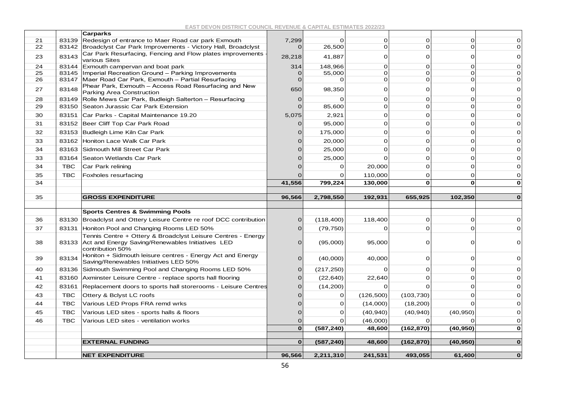|    |            | <b>Carparks</b>                                                                                                                      |             |            |                |              |                |                                                                              |
|----|------------|--------------------------------------------------------------------------------------------------------------------------------------|-------------|------------|----------------|--------------|----------------|------------------------------------------------------------------------------|
| 21 | 83139      | Redesign of entrance to Maer Road car park Exmouth                                                                                   | 7,299       | $\Omega$   | 0              | $\Omega$     | 0              | 0                                                                            |
| 22 | 83142      | Broadclyst Car Park Improvements - Victory Hall, Broadclyst                                                                          | $\Omega$    | 26,500     | $\mathbf{O}$   | $\Omega$     | $\Omega$       | $\mathbf 0$                                                                  |
| 23 | 83143      | Car Park Resurfacing, Fencing and Flow plates improvements<br>various Sites                                                          | 28,218      | 41,887     | 0              | $\Omega$     | $\Omega$       | O                                                                            |
| 24 | 83144      | Exmouth campervan and boat park                                                                                                      | 314         | 148,966    | $\Omega$       | $\Omega$     | $\Omega$       | 0                                                                            |
| 25 | 83145      | Imperial Recreation Ground - Parking Improvements                                                                                    | $\Omega$    | 55,000     | $\Omega$       | $\mathbf 0$  | O              | $\mathbf 0$                                                                  |
| 26 | 83147      | Maer Road Car Park, Exmouth - Partial Resurfacing                                                                                    | $\Omega$    |            | $\Omega$       | $\Omega$     |                | 0                                                                            |
| 27 | 83148      | Phear Park, Exmouth - Access Road Resurfacing and New<br>Parking Area Construction                                                   | 650         | 98,350     | $\overline{O}$ | $\Omega$     | $\Omega$       | 0                                                                            |
| 28 | 83149      | Rolle Mews Car Park, Budleigh Salterton - Resurfacing                                                                                | O           |            | $\Omega$       | $\mathbf 0$  | $\Omega$       | $\mathbf 0$                                                                  |
| 29 | 83150      | Seaton Jurassic Car Park Extension                                                                                                   | $\Omega$    | 85,600     | $\Omega$       | $\Omega$     | $\Omega$       | 0                                                                            |
| 30 | 83151      | Car Parks - Capital Maintenance 19.20                                                                                                | 5,075       | 2,921      | $\Omega$       | $\Omega$     | $\Omega$       | 0                                                                            |
| 31 | 83152      | Beer Cliff Top Car Park Road                                                                                                         | $\Omega$    | 95,000     | $\Omega$       | $\Omega$     | $\Omega$       | O                                                                            |
| 32 | 83153      | Budleigh Lime Kiln Car Park                                                                                                          |             | 175,000    | 0              | $\Omega$     | $\Omega$       | $\Omega$                                                                     |
| 33 | 83162      | Honiton Lace Walk Car Park                                                                                                           |             | 20,000     | 0              | $\Omega$     | $\Omega$       | $\mathbf 0$                                                                  |
| 34 | 83163      | Sidmouth Mill Street Car Park                                                                                                        |             | 25,000     | $\Omega$       | $\Omega$     | $\Omega$       | $\mathbf 0$                                                                  |
| 33 | 83164      | Seaton Wetlands Car Park                                                                                                             |             | 25,000     | $\Omega$       | $\Omega$     | $\Omega$       | 0                                                                            |
| 34 | <b>TBC</b> | Car Park relining                                                                                                                    |             | $\Omega$   | 20,000         | $\Omega$     | $\Omega$       | $\mathbf 0$                                                                  |
| 35 | <b>TBC</b> | Foxholes resurfacing                                                                                                                 |             |            | 110,000        | $\Omega$     | $\Omega$       | 0                                                                            |
| 34 |            |                                                                                                                                      | 41,556      | 799,224    | 130,000        | $\mathbf{o}$ | $\mathbf 0$    | $\mathbf{o}$                                                                 |
|    |            |                                                                                                                                      |             |            |                |              |                |                                                                              |
|    |            |                                                                                                                                      |             |            |                |              |                |                                                                              |
| 35 |            | <b>GROSS EXPENDITURE</b>                                                                                                             | 96,566      | 2,798,550  | 192,931        | 655,925      | 102,350        | $\mathbf 0$                                                                  |
|    |            |                                                                                                                                      |             |            |                |              |                |                                                                              |
|    |            | <b>Sports Centres &amp; Swimming Pools</b>                                                                                           |             |            |                |              |                |                                                                              |
| 36 | 83130      | Broadclyst and Ottery Leisure Centre re roof DCC contribution                                                                        | 0           | (118, 400) | 118,400        | $\Omega$     | 0              |                                                                              |
| 37 | 83131      | Honiton Pool and Changing Rooms LED 50%                                                                                              | 0           | (79, 750)  | 0              | $\Omega$     | $\Omega$       |                                                                              |
| 38 | 83133      | Tennis Centre + Ottery & Broadclyst Leisure Centres - Energy<br>Act and Energy Saving/Renewables Initiatives LED<br>contribution 50% | 0           | (95,000)   | 95,000         | $\Omega$     | $\Omega$       |                                                                              |
| 39 | 83134      | Honiton + Sidmouth leisure centres - Energy Act and Energy<br>Saving/Renewables Initiatives LED 50%                                  | 0           | (40,000)   | 40,000         | 0            | $\overline{0}$ |                                                                              |
| 40 | 83136      | Sidmouth Swimming Pool and Changing Rooms LED 50%                                                                                    | $\Omega$    | (217, 250) | $\Omega$       | $\Omega$     | $\Omega$       |                                                                              |
| 41 | 83160      | Axminster Leisure Centre - replace sports hall flooring                                                                              | O           | (22, 640)  | 22,640         | $\Omega$     | $\Omega$       |                                                                              |
| 42 | 83161      | Replacement doors to sports hall storerooms - Leisure Centres                                                                        |             | (14, 200)  | $\Omega$       | $\Omega$     | $\Omega$       |                                                                              |
| 43 | <b>TBC</b> | Ottery & Bclyst LC roofs                                                                                                             |             | $\Omega$   | (126, 500)     | (103, 730)   | $\Omega$       | 0<br>0<br>$\mathbf 0$<br>0<br>$\mathbf 0$<br>0<br>$\mathbf 0$<br>$\mathbf 0$ |
| 44 | <b>TBC</b> | Various LED Props FRA remd wrks                                                                                                      |             | $\Omega$   | (14,000)       | (18, 200)    | $\Omega$       |                                                                              |
| 45 | <b>TBC</b> | Various LED sites - sports halls & floors                                                                                            | O           | $\Omega$   | (40, 940)      | (40, 940)    | (40, 950)      |                                                                              |
| 46 | <b>TBC</b> | Various LED sites - ventilation works                                                                                                | 0           | $\Omega$   | (46,000)       | $\Omega$     | $\Omega$       |                                                                              |
|    |            |                                                                                                                                      | $\mathbf 0$ | (587, 240) | 48,600         | (162, 870)   | (40, 950)      |                                                                              |
|    |            |                                                                                                                                      | $\mathbf 0$ |            |                |              |                | $\mathbf 0$<br>0<br>0<br>$\mathbf 0$                                         |
|    |            | <b>EXTERNAL FUNDING</b>                                                                                                              |             | (587, 240) | 48,600         | (162, 870)   | (40, 950)      | $\mathbf 0$                                                                  |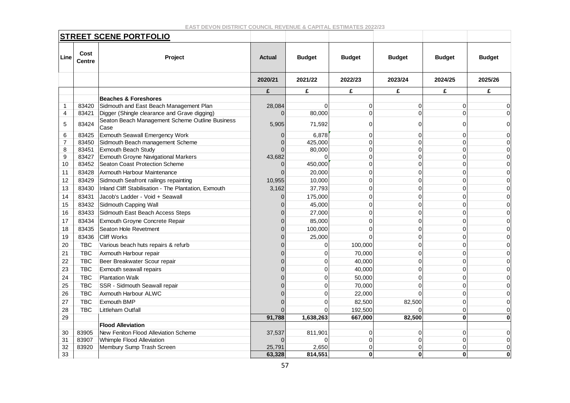|                |                       | <b>STREET SCENE PORTFOLIO</b>                           |               |               |               |               |               |               |
|----------------|-----------------------|---------------------------------------------------------|---------------|---------------|---------------|---------------|---------------|---------------|
| Line           | Cost<br><b>Centre</b> | Project                                                 | <b>Actual</b> | <b>Budget</b> | <b>Budget</b> | <b>Budget</b> | <b>Budget</b> | <b>Budget</b> |
|                |                       |                                                         | 2020/21       | 2021/22       | 2022/23       | 2023/24       | 2024/25       | 2025/26       |
|                |                       |                                                         | £             | £             | £             | £             | £             | £             |
|                |                       | <b>Beaches &amp; Foreshores</b>                         |               |               |               |               |               |               |
| 1              | 83420                 | Sidmouth and East Beach Management Plan                 | 28,084        | ი             | 0             | 0             | 0             | 0             |
| 4              | 83421                 | Digger (Shingle clearance and Grave digging)            | $\Omega$      | 80,000        | $\Omega$      | 0             | $\Omega$      | $\Omega$      |
| 5              | 83424                 | Seaton Beach Management Scheme Outline Business<br>Case | 5,905         | 71,592        | O             | 0             | 0             | 0             |
| 6              | 83425                 | Exmouth Seawall Emergency Work                          |               | 6,878         | 0             | 0             | $\Omega$      | 0             |
| $\overline{7}$ | 83450                 | Sidmouth Beach management Scheme                        |               | 425,000       |               | 0             | $\Omega$      | 0             |
| 8              | 83451                 | Exmouth Beach Study                                     |               | 80,000        | $\Omega$      | $\Omega$      | $\Omega$      | $\Omega$      |
| 9              | 83427                 | Exmouth Groyne Navigational Markers                     | 43,682        | U             |               | 0             | $\Omega$      | $\Omega$      |
| 10             | 83452                 | <b>Seaton Coast Protection Scheme</b>                   |               | 450,000       | $\Omega$      | 0             | $\Omega$      | 0             |
| 11             | 83428                 | Axmouth Harbour Maintenance                             |               | 20,000        | $\Omega$      | 0             | $\Omega$      | $\Omega$      |
| 12             | 83429                 | Sidmouth Seafront railings repainting                   | 10,955        | 10,000        | $\Omega$      | 0             | $\Omega$      | $\Omega$      |
| 13             | 83430                 | Inland Cliff Stabilisation - The Plantation, Exmouth    | 3,162         | 37,793        | 0             | 0             | 0             | 0             |
| 14             | 83431                 | Jacob's Ladder - Void + Seawall                         |               | 175,000       | $\Omega$      | 0             | $\Omega$      | $\Omega$      |
| 15             | 83432                 | Sidmouth Capping Wall                                   |               | 45,000        | $\Omega$      | 0             | $\Omega$      | 0             |
| 16             | 83433                 | Sidmouth East Beach Access Steps                        |               | 27,000        | $\Omega$      | 0             | $\Omega$      | $\Omega$      |
| 17             | 83434                 | Exmouth Groyne Concrete Repair                          |               | 85,000        | O             | 0             | $\Omega$      | 0             |
| 18             | 83435                 | Seaton Hole Revetment                                   |               | 100,000       | $\Omega$      | 0             | $\Omega$      | $\Omega$      |
| 19             | 83436                 | <b>Cliff Works</b>                                      |               | 25,000        |               | 0             | $\Omega$      | 0             |
| 20             | TBC.                  | Various beach huts repairs & refurb                     |               | 0             | 100,000       | 0             | $\Omega$      | 0             |
| 21             | <b>TBC</b>            | Axmouth Harbour repair                                  |               |               | 70,000        | 0             | $\Omega$      | $\Omega$      |
| 22             | <b>TBC</b>            | Beer Breakwater Scour repair                            |               | O             | 40,000        | $\Omega$      | $\Omega$      | $\Omega$      |
| 23             | <b>TBC</b>            | Exmouth seawall repairs                                 |               | O             | 40,000        | 0             | $\Omega$      | 0             |
| 24             | <b>TBC</b>            | <b>Plantation Walk</b>                                  |               | O             | 50,000        | $\Omega$      | $\Omega$      | $\Omega$      |
| 25             | <b>TBC</b>            | SSR - Sidmouth Seawall repair                           |               | 0             | 70,000        | $\Omega$      | $\Omega$      | $\Omega$      |
| 26             | <b>TBC</b>            | Axmouth Harbour ALWC                                    |               | 0             | 22,000        | $\Omega$      | $\Omega$      | 0             |
| 27             | <b>TBC</b>            | Exmouth BMP                                             |               | 0             | 82,500        | 82,500        | $\Omega$      | $\Omega$      |
| 28             | <b>TBC</b>            | Littleham Outfall                                       |               |               | 192,500       |               | $\Omega$      | $\Omega$      |
| 29             |                       |                                                         | 91,788        | 1,638,263     | 667,000       | 82,500        | $\bf{0}$      | 0             |
|                |                       | <b>Flood Alleviation</b>                                |               |               |               |               |               |               |
| 30             | 83905                 | New Feniton Flood Alleviation Scheme                    | 37,537        | 811,901       | 0             | 0             | 0             | 0             |
| 31             | 83907                 | Whimple Flood Alleviation                               |               |               | $\Omega$      | 0             | $\Omega$      | 0             |
| 32             | 83920                 | Membury Sump Trash Screen                               | 25,791        | 2,650         | $\Omega$      | 0             | $\Omega$      | $\Omega$      |
| 33             |                       |                                                         | 63,328        | 814,551       | $\mathbf{0}$  | $\bf{0}$      | $\bf{0}$      | $\bf{0}$      |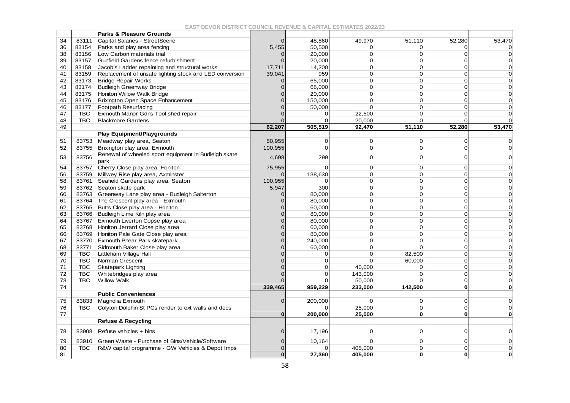|    |            | <b>Parks &amp; Pleasure Grounds</b>                          |          |                |          |          |          |          |
|----|------------|--------------------------------------------------------------|----------|----------------|----------|----------|----------|----------|
| 34 | 83111      | Capital Salaries - StreetScene                               |          | 48,860         | 49,970   | 51,110   | 52,280   | 53,470   |
| 36 | 83154      | Parks and play area fencing                                  | 5,455    | 50,500         | $\Omega$ | n        |          |          |
| 38 | 83156      | Low Carbon materials trial                                   |          | 20,000         | $\Omega$ | $\Omega$ |          |          |
| 39 | 83157      | Gunfield Gardens fence refurbishment                         |          | 20,000         | $\Omega$ | $\Omega$ |          |          |
| 40 | 83158      | Jacob's Ladder repainting and structural works               | 17,711   | 14,200         | $\Omega$ | $\Omega$ |          |          |
| 41 | 83159      | Replacement of unsafe lighting stock and LED conversion      | 39,041   | 959            | $\Omega$ | $\Omega$ | n        |          |
| 42 | 83173      | <b>Bridge Repair Works</b>                                   |          | 65,000         | $\Omega$ | $\Omega$ |          |          |
| 43 | 83174      | <b>Budleigh Greenway Bridge</b>                              | $\Omega$ | 66,000         | $\Omega$ | $\Omega$ | $\Omega$ |          |
| 44 | 83175      | Honiton Willow Walk Bridge                                   |          | 20,000         | $\Omega$ | $\Omega$ |          |          |
| 45 | 83176      | Brixington Open Space Enhancement                            |          | 150,000        | $\Omega$ | $\Omega$ | ∩        |          |
| 46 | 83177      | <b>Footpath Resurfacing</b>                                  |          | 50,000         | $\Omega$ | $\Omega$ |          |          |
| 47 | TBC        | Exmouth Manor Gdns Tool shed repair                          |          | $\Omega$       | 22,500   | $\Omega$ |          |          |
| 48 | <b>TBC</b> | <b>Blackmore Gardens</b>                                     |          | $\Omega$       | 20,000   | $\Omega$ |          |          |
| 49 |            |                                                              | 62,207   | 505,519        | 92,470   | 51,110   | 52,280   | 53,470   |
|    |            | <b>Play Equipment/Playgrounds</b>                            |          |                |          |          |          |          |
| 51 | 83753      | Meadway play area, Seaton                                    | 50,955   | 0              | $\Omega$ | 0        | ∩        | O        |
| 52 | 83755      | Brixington play area, Exmouth                                | 100,955  | $\overline{0}$ | $\Omega$ | $\Omega$ |          |          |
| 53 | 83756      | Renewal of wheeled sport equipment in Budleigh skate<br>park | 4,698    | 299            | 0        | O        |          |          |
| 54 | 83757      | Cherry Close play area, Honiton                              | 75,955   | $\Omega$       | C        | 0        |          |          |
| 56 | 83759      | Millwey Rise play area, Axminster                            |          | 138,630        | ∩        | ∩        |          |          |
| 58 | 83761      | Seafield Gardens play area, Seaton                           | 100,955  | $\Omega$       | U        | C        |          |          |
| 59 | 83762      | Seaton skate park                                            | 5,947    | 300            | O        | ∩        |          |          |
| 60 | 83763      | Greenway Lane play area - Budleigh Salterton                 |          | 80,000         | U        | $\Omega$ |          |          |
| 61 | 83764      | The Crescent play area - Exmouth                             |          | 80,000         | $\Omega$ | $\Omega$ |          |          |
| 62 | 83765      | Butts Close play area - Honiton                              |          | 60,000         | U        |          |          |          |
| 63 | 83766      | Budleigh Lime Kiln play area                                 |          | 80,000         | $\Omega$ | 0        |          |          |
| 64 | 83767      | Exmouth Liverton Copse play area                             |          | 80,000         | $\Omega$ | O        |          |          |
| 65 | 83768      | Honiton Jerrard Close play area                              |          | 60,000         | $\Omega$ | $\Omega$ | ∩        |          |
| 66 | 83769      | Honiton Pale Gate Close play area                            |          | 80,000         | Ū        | $\Omega$ |          |          |
| 67 | 83770      | <b>Exmouth Phear Park skatepark</b>                          |          | 240,000        | $\Omega$ | $\Omega$ | ∩        |          |
| 68 | 83771      | Sidmouth Baker Close play area                               |          | 60,000         | $\Omega$ |          |          |          |
| 69 | <b>TBC</b> | Littleham Village Hall                                       |          | 0              | $\Omega$ | 82,500   | ∩        |          |
| 70 | <b>TBC</b> | Norman Crescent                                              |          | $\Omega$       |          | 60,000   | ∩        |          |
| 71 | <b>TBC</b> | <b>Skatepark Lighting</b>                                    |          | $\mathbf 0$    | 40,000   | $\Omega$ | ∩        |          |
| 72 | <b>TBC</b> | Whitebridges play area                                       |          | $\mathbf 0$    | 143,000  | $\Omega$ | ∩        | $\Omega$ |
| 73 | <b>TBC</b> | <b>Willow Walk</b>                                           |          | $\Omega$       | 50,000   | $\Omega$ | ∩        | $\Omega$ |
| 74 |            |                                                              | 339,465  | 959,229        | 233,000  | 142,500  | $\Omega$ | O        |
|    |            | <b>Public Conveniences</b>                                   |          |                |          |          |          |          |
| 75 | 83833      | Magnolia Exmouth                                             |          | 200,000        | O        | 0        | $\Omega$ |          |
| 76 | <b>TBC</b> | Colyton Dolphin St PCs render to ext walls and decs          |          |                | 25,000   | $\Omega$ | ∩        | 0        |
| 77 |            |                                                              | $\Omega$ | 200,000        | 25,000   | $\Omega$ |          |          |
|    |            | <b>Refuse &amp; Recycling</b>                                |          |                |          |          |          |          |
| 78 | 83908      | Refuse vehicles + bins                                       |          | 17,196         | O        | 0        |          | O        |
| 79 | 83910      | Green Waste - Purchase of Bins/Vehicle/Software              |          | 10,164         |          | 0        |          |          |
| 80 | <b>TBC</b> | R&W capital programme - GW Vehicles & Depot Imps             |          |                | 405,000  | $\Omega$ |          | $\Omega$ |
| 81 |            |                                                              | U        | 27,360         | 405,000  | $\bf{0}$ | 0        | O        |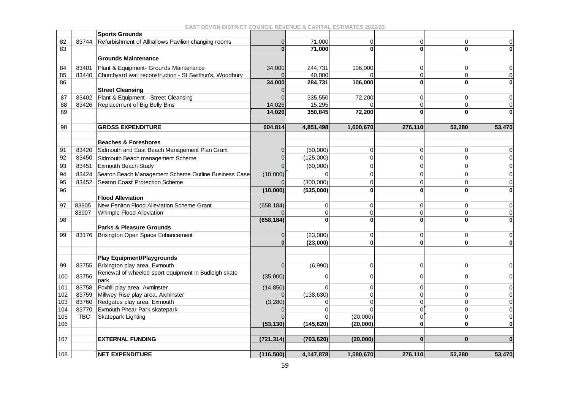|     |            | <b>Sports Grounds</b>                                        |            |              |              |                |          |             |
|-----|------------|--------------------------------------------------------------|------------|--------------|--------------|----------------|----------|-------------|
| 82  | 83744      | Refurbishment of Allhallows Pavilion changing rooms          | 0          | 71,000       | 0            | 0              | $\Omega$ | $\mathbf 0$ |
| 83  |            |                                                              | $\Omega$   | 71,000       | 0            | $\bf{0}$       | $\bf{0}$ | $\bf{0}$    |
|     |            | <b>Grounds Maintenance</b>                                   |            |              |              |                |          |             |
| 84  | 83401      | Plant & Equipment- Grounds Maintenance                       | 34,000     | 244,731      | 106,000      | $\Omega$       | $\Omega$ | $\mathbf 0$ |
| 85  | 83440      | Churchyard wall reconstruction - St Swithun's, Woodbury      |            | 40,000       |              | $\Omega$       | $\Omega$ | $\mathbf 0$ |
| 86  |            |                                                              | 34,000     | 284,731      | 106,000      | $\mathbf{0}$   | 0        | $\bf{0}$    |
|     |            | <b>Street Cleansing</b>                                      |            |              |              |                |          |             |
| 87  | 83402      | Plant & Equipment - Street Cleansing                         |            | 335,550      | 72,200       | $\Omega$       | O        | $\mathbf 0$ |
| 88  | 83426      | Replacement of Big Belly Bins                                | 14,026     | 15,295       |              | $\Omega$       | ∩        | $\mathbf 0$ |
| 89  |            |                                                              | 14,026     | 350,845      | 72,200       | $\bf{0}$       | $\Omega$ | $\bf{0}$    |
|     |            |                                                              |            |              |              |                |          |             |
| 90  |            | <b>GROSS EXPENDITURE</b>                                     | 604,814    | 4,851,498    | 1,600,670    | 276,110        | 52,280   | 53,470      |
|     |            | <b>Beaches &amp; Foreshores</b>                              |            |              |              |                |          |             |
| 91  | 83420      | Sidmouth and East Beach Management Plan Grant                |            | (50,000)     | 0            | 0              |          | 0           |
| 92  | 83450      | Sidmouth Beach management Scheme                             |            | (125,000)    | 0            | 0              |          | $\Omega$    |
| 93  | 83451      | Exmouth Beach Study                                          |            | (60,000)     | ი            | $\Omega$       |          | $\Omega$    |
| 94  | 83424      | Seaton Beach Management Scheme Outline Business Case         | (10,000)   | $\Omega$     | ი            | $\Omega$       |          | $\mathbf 0$ |
| 95  | 83452      | Seaton Coast Protection Scheme                               |            | (300,000)    | 0            | $\Omega$       |          | $\mathbf 0$ |
| 96  |            |                                                              | (10,000)   | (535,000)    | 0            | $\mathbf{0}$   | $\bf{0}$ |             |
|     |            | <b>Flood Alleviation</b>                                     |            |              |              |                |          | $\bf{0}$    |
| 97  | 83905      | New Feniton Flood Alleviation Scheme Grant                   | (658, 184) | 0            | 0            | $\overline{0}$ | 0        | 0           |
|     | 83907      | Whimple Flood Alleviation                                    |            | $\Omega$     | 0            | $\mathbf 0$    | $\Omega$ | $\mathbf 0$ |
| 98  |            |                                                              | (658, 184) | $\mathbf{0}$ | $\mathbf{0}$ | $\mathbf{0}$   | $\bf{0}$ | $\bf{0}$    |
|     |            | Parks & Pleasure Grounds                                     |            |              |              |                |          |             |
| 99  |            | 83176   Brixington Open Space Enhancement                    |            | (23,000)     | 0            | $\mathbf 0$    | 0        | $\mathbf 0$ |
|     |            |                                                              | $\Omega$   | (23.000)     | $\mathbf{0}$ | $\bf{0}$       | $\bf{0}$ | $\bf{0}$    |
|     |            |                                                              |            |              |              |                |          |             |
|     |            | <b>Play Equipment/Playgrounds</b>                            |            |              |              |                |          |             |
| 99  | 83755      | Brixington play area, Exmouth                                | 0          | (6,990)      | 0            | $\overline{O}$ | $\Omega$ | $\mathbf 0$ |
| 100 | 83756      | Renewal of wheeled sport equipment in Budleigh skate<br>park | (35,000)   | $\Omega$     | 0            | $\Omega$       |          | 0           |
| 101 | 83758      | Foxhill play area, Axminster                                 | (14, 850)  | $\Omega$     | 0            | $\Omega$       |          | $\mathbf 0$ |
| 102 | 83759      | Millwey Rise play area, Axminster                            |            | (138, 630)   | 0            | $\Omega$       |          | $\mathbf 0$ |
| 103 | 83760      | Redgates play area, Exmouth                                  | (3, 280)   | U            | ი            | $\Omega$       |          | $\mathbf 0$ |
| 104 | 83770      | Exmouth Phear Park skatepark                                 |            |              |              | $\Omega$       |          | $\mathbf 0$ |
| 105 | <b>TBC</b> | Skatepark Lighting                                           |            |              | (20,000)     | $\Omega$       |          | $\mathbf 0$ |
| 106 |            |                                                              | (53, 130)  | (145, 620)   | (20,000)     | $\bf{0}$       | 0        | $\bf{0}$    |
|     |            |                                                              |            |              |              |                |          |             |
| 107 |            | <b>EXTERNAL FUNDING</b>                                      | (721, 314) | (703, 620)   | (20,000)     | $\bf{0}$       | $\Omega$ | $\Omega$    |
| 108 |            | <b>NET EXPENDITURE</b>                                       | (116, 500) | 4,147,878    | 1,580,670    | 276,110        | 52,280   | 53,470      |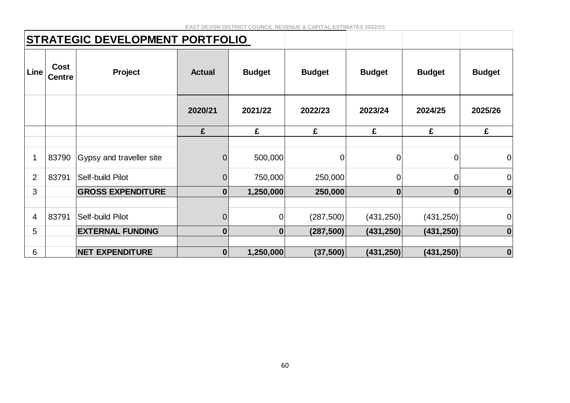| STRATEGIC DEVELOPMENT PORTFOLIO |                              |                          |                  |                |               |                |                |                |
|---------------------------------|------------------------------|--------------------------|------------------|----------------|---------------|----------------|----------------|----------------|
| Line                            | <b>Cost</b><br><b>Centre</b> | Project                  | <b>Actual</b>    | <b>Budget</b>  | <b>Budget</b> | <b>Budget</b>  | <b>Budget</b>  | <b>Budget</b>  |
|                                 |                              |                          | 2020/21          | 2021/22        | 2022/23       | 2023/24        | 2024/25        | 2025/26        |
|                                 |                              |                          | £                | £              | £             | £              | £              | £              |
|                                 |                              |                          |                  |                |               |                |                |                |
| $\mathbf 1$                     | 83790                        | Gypsy and traveller site | $\boldsymbol{0}$ | 500,000        | 0             | $\overline{0}$ | $\overline{0}$ | $\overline{0}$ |
| $\overline{2}$                  | 83791                        | Self-build Pilot         | $\boldsymbol{0}$ | 750,000        | 250,000       | $\overline{O}$ | $\mathbf 0$    | $\mathbf 0$    |
| 3                               |                              | <b>GROSS EXPENDITURE</b> | $\boldsymbol{0}$ | 1,250,000      | 250,000       | $\bf{0}$       | $\mathbf{0}$   | $\bf{0}$       |
|                                 |                              |                          |                  |                |               |                |                |                |
| $\overline{4}$                  | 83791                        | Self-build Pilot         | $\mathbf 0$      | $\overline{0}$ | (287, 500)    | (431, 250)     | (431, 250)     | $\mathbf 0$    |
| 5                               |                              | <b>EXTERNAL FUNDING</b>  | $\boldsymbol{0}$ | $\mathbf{0}$   | (287, 500)    | (431, 250)     | (431, 250)     | $\bf{0}$       |
|                                 |                              |                          |                  |                |               |                |                |                |
| 6                               |                              | <b>NET EXPENDITURE</b>   | $\boldsymbol{0}$ | 1,250,000      | (37, 500)     | (431,250)      | (431, 250)     | $\bf{0}$       |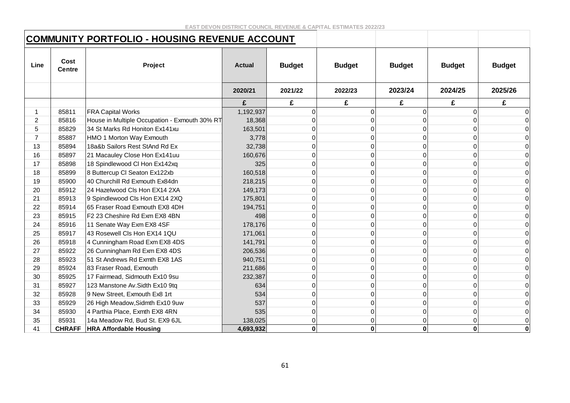### **COMMUNITY PORTFOLIO - HOUSING REVENUE ACCOUNT**

| Line           | Cost<br><b>Centre</b> | Project                                       | <b>Actual</b> | <b>Budget</b> | <b>Budget</b> | <b>Budget</b> | <b>Budget</b> | <b>Budget</b>  |
|----------------|-----------------------|-----------------------------------------------|---------------|---------------|---------------|---------------|---------------|----------------|
|                |                       |                                               | 2020/21       | 2021/22       | 2022/23       | 2023/24       | 2024/25       | 2025/26        |
|                |                       |                                               | £             | £             | £             | £             | £             | £              |
|                | 85811                 | <b>FRA Capital Works</b>                      | 1,192,937     | $\Omega$      | $\Omega$      |               | 0             |                |
| 2              | 85816                 | House in Multiple Occupation - Exmouth 30% RT | 18,368        | $\Omega$      |               |               | U             | 0              |
| 5              | 85829                 | 34 St Marks Rd Honiton Ex141xu                | 163,501       | $\Omega$      | U             |               | 0             | 0              |
| $\overline{7}$ | 85887                 | HMO 1 Morton Way Exmouth                      | 3,778         | $\Omega$      |               |               | 0             |                |
| 13             | 85894                 | 18a&b Sailors Rest StAnd Rd Ex                | 32,738        | $\Omega$      | 0             |               | 0             |                |
| 16             | 85897                 | 21 Macauley Close Hon Ex141uu                 | 160,676       | $\Omega$      |               |               | 0             | 0              |
| 17             | 85898                 | 18 Spindlewood Cl Hon Ex142xq                 | 325           | $\Omega$      | $\Omega$      |               | 0             | $\Omega$       |
| 18             | 85899                 | 8 Buttercup CI Seaton Ex122xb                 | 160,518       | $\Omega$      |               |               | U             | $\Omega$       |
| 19             | 85900                 | 40 Churchill Rd Exmouth Ex84dn                | 218,215       | $\Omega$      |               |               | U             |                |
| 20             | 85912                 | 24 Hazelwood Cls Hon EX14 2XA                 | 149,173       | $\Omega$      |               |               | 0             |                |
| 21             | 85913                 | 9 Spindlewood Cls Hon EX14 2XQ                | 175,801       | $\Omega$      |               |               | 0             | 0              |
| 22             | 85914                 | 65 Fraser Road Exmouth EX8 4DH                | 194,751       | $\Omega$      | <sup>0</sup>  |               | 0             | $\Omega$       |
| 23             | 85915                 | F2 23 Cheshire Rd Exm EX8 4BN                 | 498           | $\Omega$      |               |               | 0             | $\Omega$       |
| 24             | 85916                 | 11 Senate Way Exm EX8 4SF                     | 178,176       | $\Omega$      | 0             |               | 0             | 0              |
| 25             | 85917                 | 43 Rosewell Cls Hon EX14 1QU                  | 171,061       | $\Omega$      | <sup>n</sup>  |               | 0             | 0              |
| 26             | 85918                 | 4 Cunningham Road Exm EX8 4DS                 | 141,791       | $\Omega$      | $\Omega$      |               | 0             | $\Omega$       |
| 27             | 85922                 | 26 Cunningham Rd Exm EX8 4DS                  | 206,536       | $\Omega$      |               |               | 0             | $\Omega$       |
| 28             | 85923                 | 51 St Andrews Rd Exmth EX8 1AS                | 940,751       | $\Omega$      |               |               | 0             |                |
| 29             | 85924                 | 83 Fraser Road, Exmouth                       | 211,686       | 0             |               |               | U             | 0              |
| 30             | 85925                 | 17 Fairmead, Sidmouth Ex10 9su                | 232,387       | $\Omega$      |               |               | 0             | $\Omega$       |
| 31             | 85927                 | 123 Manstone Av. Sidth Ex10 9tq               | 634           | $\Omega$      | 0             |               | 0             | $\Omega$       |
| 32             | 85928                 | 9 New Street, Exmouth Ex8 1rt                 | 534           | $\Omega$      |               |               | 0             | 0              |
| 33             | 85929                 | 26 High Meadow, Sidmth Ex10 9uw               | 537           | $\Omega$      | $\Omega$      |               | 0             | $\overline{0}$ |
| 34             | 85930                 | 4 Parthia Place, Exmth EX8 4RN                | 535           | $\Omega$      | 0             |               | 0             | $\Omega$       |
| 35             | 85931                 | 14a Meadow Rd, Bud St. EX9 6JL                | 138,025       | $\Omega$      | $\Omega$      | U             | 0             | 0              |
| 41             | <b>CHRAFF</b>         | <b>HRA Affordable Housing</b>                 | 4,693,932     | $\mathbf 0$   | $\mathbf 0$   | 0             | $\mathbf 0$   | $\mathbf 0$    |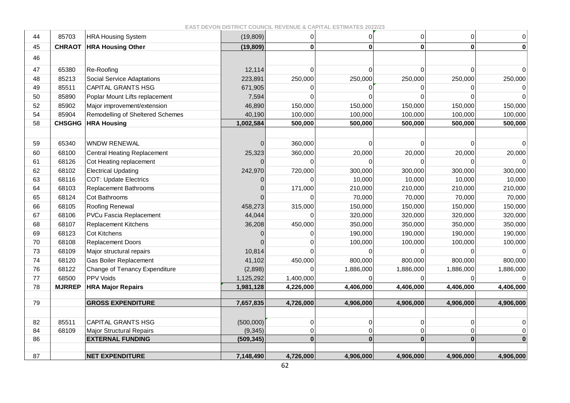**EAST DEVON DISTRICT COUNCIL REVENUE & CAPITAL ESTIMATES 2022/23**

| 44 | 85703         | <b>HRA Housing System</b>          | (19, 809)      | $\mathbf 0$ | $\overline{0}$ | $\Omega$     | 0            | $\mathsf 0$ |
|----|---------------|------------------------------------|----------------|-------------|----------------|--------------|--------------|-------------|
| 45 | <b>CHRAOT</b> | <b>HRA Housing Other</b>           | (19, 809)      | 0           | $\mathbf{0}$   | $\mathbf{0}$ | $\mathbf{0}$ | $\bf{0}$    |
| 46 |               |                                    |                |             |                |              |              |             |
| 47 | 65380         | Re-Roofing                         | 12,114         | $\mathbf 0$ | $\overline{0}$ | $\Omega$     | $\mathbf 0$  |             |
| 48 | 85213         | <b>Social Service Adaptations</b>  | 223,891        | 250,000     | 250,000        | 250,000      | 250,000      | 250,000     |
| 49 | 85511         | CAPITAL GRANTS HSG                 | 671,905        |             | $\Omega$       |              |              |             |
| 50 | 85890         | Poplar Mount Lifts replacement     | 7,594          | U           | 0              |              |              |             |
| 52 | 85902         | Major improvement/extension        | 46,890         | 150,000     | 150,000        | 150,000      | 150,000      | 150,000     |
| 54 | 85904         | Remodelling of Sheltered Schemes   | 40,190         | 100,000     | 100,000        | 100,000      | 100,000      | 100,000     |
| 58 | <b>CHSGHG</b> | <b>HRA Housing</b>                 | 1,002,584      | 500,000     | 500,000        | 500,000      | 500,000      | 500,000     |
|    |               |                                    |                |             |                |              |              |             |
| 59 | 65340         | <b>WNDW RENEWAL</b>                | $\mathbf{0}$   | 360,000     | $\Omega$       | U            | $\Omega$     | $\Omega$    |
| 60 | 68100         | <b>Central Heating Replacement</b> | 25,323         | 360,000     | 20,000         | 20,000       | 20,000       | 20,000      |
| 61 | 68126         | Cot Heating replacement            | $\Omega$       |             | 0              |              |              |             |
| 62 | 68102         | <b>Electrical Updating</b>         | 242,970        | 720,000     | 300,000        | 300,000      | 300,000      | 300,000     |
| 63 | 68116         | <b>COT: Update Electrics</b>       | 0              |             | 10,000         | 10,000       | 10,000       | 10,000      |
| 64 | 68103         | <b>Replacement Bathrooms</b>       | $\Omega$       | 171,000     | 210,000        | 210,000      | 210,000      | 210,000     |
| 65 | 68124         | Cot Bathrooms                      |                |             | 70,000         | 70,000       | 70,000       | 70,000      |
| 66 | 68105         | Roofing Renewal                    | 458,273        | 315,000     | 150,000        | 150,000      | 150,000      | 150,000     |
| 67 | 68106         | PVCu Fascia Replacement            | 44,044         | U           | 320,000        | 320,000      | 320,000      | 320,000     |
| 68 | 68107         | <b>Replacement Kitchens</b>        | 36,208         | 450,000     | 350,000        | 350,000      | 350,000      | 350,000     |
| 69 | 68123         | <b>Cot Kitchens</b>                | $\overline{0}$ | 0           | 190,000        | 190,000      | 190,000      | 190,000     |
| 70 | 68108         | <b>Replacement Doors</b>           |                |             | 100,000        | 100,000      | 100,000      | 100,000     |
| 73 | 68109         | Major structural repairs           | 10,814         |             | 0              |              | $\Omega$     |             |
| 74 | 68120         | Gas Boiler Replacement             | 41,102         | 450,000     | 800,000        | 800,000      | 800,000      | 800,000     |
| 76 | 68122         | Change of Tenancy Expenditure      | (2,898)        | $\Omega$    | 1,886,000      | 1,886,000    | 1,886,000    | 1,886,000   |
| 77 | 68500         | PPV Voids                          | 1,125,292      | 1,400,000   | 0              |              |              |             |
| 78 | <b>MJRREP</b> | <b>HRA Major Repairs</b>           | 1,981,128      | 4,226,000   | 4,406,000      | 4,406,000    | 4,406,000    | 4,406,000   |
| 79 |               | <b>GROSS EXPENDITURE</b>           | 7,657,835      | 4,726,000   | 4,906,000      | 4,906,000    | 4,906,000    | 4,906,000   |
|    |               |                                    |                |             |                |              |              |             |
| 82 | 85511         | <b>CAPITAL GRANTS HSG</b>          | (500,000)      | 0           | $\mathbf 0$    | 0            | 0            | 0           |
| 84 | 68109         | <b>Major Structural Repairs</b>    | (9, 345)       | 0           | 0              | 0            | 0            | $\Omega$    |
| 86 |               | <b>EXTERNAL FUNDING</b>            | (509, 345)     | $\bf{0}$    | $\mathbf{0}$   | $\mathbf{0}$ | $\mathbf{0}$ |             |
|    |               |                                    |                |             |                |              |              |             |
| 87 |               | <b>NET EXPENDITURE</b>             | 7,148,490      | 4,726,000   | 4,906,000      | 4,906,000    | 4,906,000    | 4,906,000   |